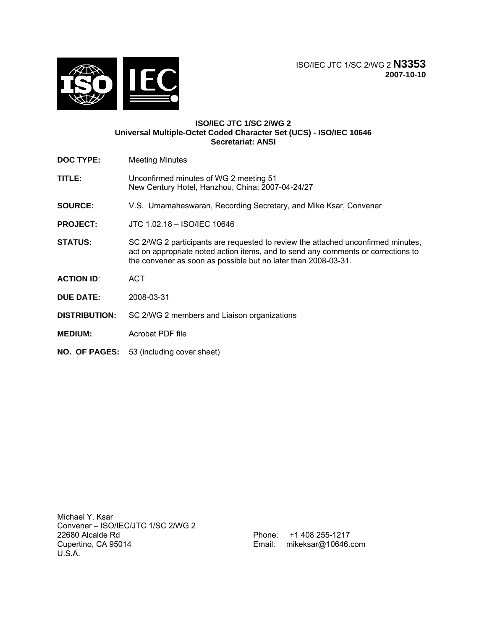

### **ISO/IEC JTC 1/SC 2/WG 2 Universal Multiple-Octet Coded Character Set (UCS) - ISO/IEC 10646 Secretariat: ANSI**

- **DOC TYPE:** Meeting Minutes
- **TITLE:** Unconfirmed minutes of WG 2 meeting 51 New Century Hotel, Hanzhou, China; 2007-04-24/27
- **SOURCE:** V.S. Umamaheswaran, Recording Secretary, and Mike Ksar, Convener
- **PROJECT:** JTC 1.02.18 ISO/IEC 10646
- **STATUS:** SC 2/WG 2 participants are requested to review the attached unconfirmed minutes, act on appropriate noted action items, and to send any comments or corrections to the convener as soon as possible but no later than 2008-03-31.
- **ACTION ID**: ACT
- **DUE DATE:** 2008-03-31
- **DISTRIBUTION:** SC 2/WG 2 members and Liaison organizations
- **MEDIUM:** Acrobat PDF file
- **NO. OF PAGES:** 53 (including cover sheet)

Michael Y. Ksar Convener – ISO/IEC/JTC 1/SC 2/WG 2 22680 Alcalde Rd Cupertino, CA 95014 U.S.A.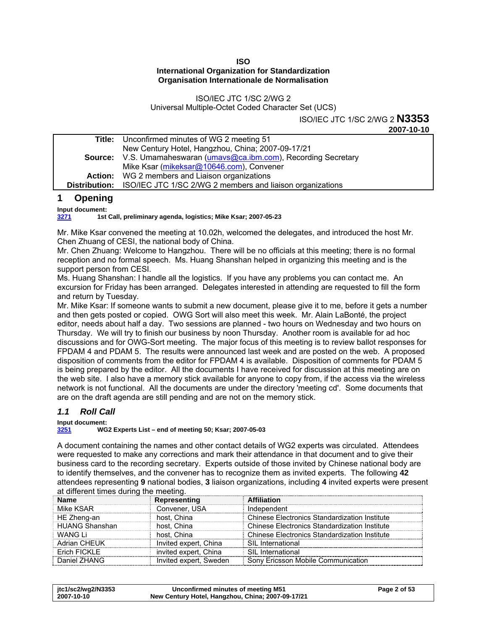### **ISO International Organization for Standardization Organisation Internationale de Normalisation**

# ISO/IEC JTC 1/SC 2/WG 2 Universal Multiple-Octet Coded Character Set (UCS)

# ISO/IEC JTC 1/SC 2/WG 2 **N3353**

**2007-10-10** 

<span id="page-1-0"></span>

| <b>Title:</b> Unconfirmed minutes of WG 2 meeting 51                           |
|--------------------------------------------------------------------------------|
| New Century Hotel, Hangzhou, China; 2007-09-17/21                              |
| <b>Source:</b> V.S. Umamaheswaran (umays@ca.ibm.com), Recording Secretary      |
| Mike Ksar (mikeksar@10646.com), Convener                                       |
| <b>Action:</b> WG 2 members and Liaison organizations                          |
| <b>Distribution:</b> ISO/IEC JTC 1/SC 2/WG 2 members and liaison organizations |

# **1 Opening**

**Input document:** 

**[3271](http://www.dkuug.dk/jtc1/sc2/wg2/docs/n3271.doc) 1st Call, preliminary agenda, logistics; Mike Ksar; 2007-05-23** 

Mr. Mike Ksar convened the meeting at 10.02h, welcomed the delegates, and introduced the host Mr. Chen Zhuang of CESI, the national body of China.

Mr. Chen Zhuang: Welcome to Hangzhou. There will be no officials at this meeting; there is no formal reception and no formal speech. Ms. Huang Shanshan helped in organizing this meeting and is the support person from CESI.

Ms. Huang Shanshan: I handle all the logistics. If you have any problems you can contact me. An excursion for Friday has been arranged. Delegates interested in attending are requested to fill the form and return by Tuesday.

Mr. Mike Ksar: If someone wants to submit a new document, please give it to me, before it gets a number and then gets posted or copied. OWG Sort will also meet this week. Mr. Alain LaBonté, the project editor, needs about half a day. Two sessions are planned - two hours on Wednesday and two hours on Thursday. We will try to finish our business by noon Thursday. Another room is available for ad hoc discussions and for OWG-Sort meeting. The major focus of this meeting is to review ballot responses for FPDAM 4 and PDAM 5. The results were announced last week and are posted on the web. A proposed disposition of comments from the editor for FPDAM 4 is available. Disposition of comments for PDAM 5 is being prepared by the editor. All the documents I have received for discussion at this meeting are on the web site. I also have a memory stick available for anyone to copy from, if the access via the wireless network is not functional. All the documents are under the directory 'meeting cd'. Some documents that are on the draft agenda are still pending and are not on the memory stick.

# *1.1 Roll Call*

**Input document:** 

**[3251](http://www.dkuug.dk/jtc1/sc2/wg2/docs/n3251.xls) WG2 Experts List – end of meeting 50; Ksar; 2007-05-03** 

A document containing the names and other contact details of WG2 experts was circulated. Attendees were requested to make any corrections and mark their attendance in that document and to give their business card to the recording secretary. Experts outside of those invited by Chinese national body are to identify themselves, and the convener has to recognize them as invited experts. The following **42** attendees representing **9** national bodies, **3** liaison organizations, including **4** invited experts were present at different times during the meeting.

| <u>al alliel ein milles aallig mie lileemigi</u> |                        |                                                      |  |
|--------------------------------------------------|------------------------|------------------------------------------------------|--|
| <b>Name</b>                                      | Representing           | <b>Affiliation</b>                                   |  |
| Mike KSAR                                        | Convener, USA          | Independent                                          |  |
| HE Zheng-an                                      | host, China            | Chinese Electronics Standardization Institute        |  |
| <b>HUANG Shanshan</b>                            | host. China            | <b>Chinese Electronics Standardization Institute</b> |  |
| WANG Li                                          | host, China            | <b>Chinese Electronics Standardization Institute</b> |  |
| <b>Adrian CHEUK</b>                              | Invited expert, China  | <b>SIL</b> International                             |  |
| Erich FICKLE                                     | invited expert, China  | <b>SIL International</b>                             |  |
| Daniel ZHANG                                     | Invited expert, Sweden | Sony Ericsson Mobile Communication                   |  |

| itc1/sc2/wg2/N3353 | Unconfirmed minutes of meeting M51                | Page 2 of 53 |
|--------------------|---------------------------------------------------|--------------|
| 2007-10-10         | New Century Hotel, Hangzhou, China; 2007-09-17/21 |              |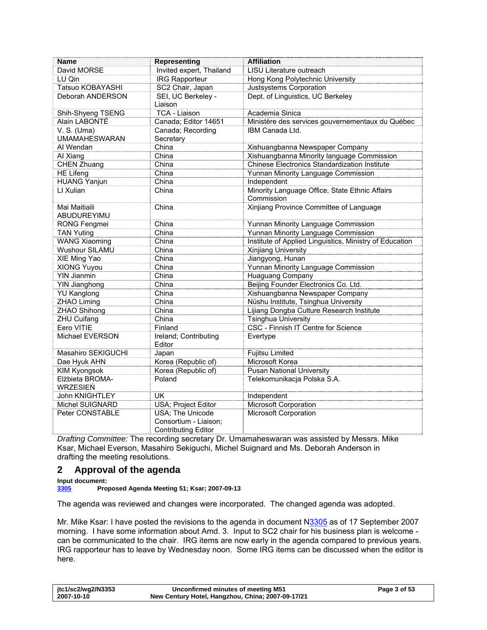<span id="page-2-0"></span>

| <b>Name</b>                 | <b>Representing</b>                                                             | <b>Affiliation</b>                                           |
|-----------------------------|---------------------------------------------------------------------------------|--------------------------------------------------------------|
| David MORSE                 | Invited expert, Thailand                                                        | LISU Literature outreach                                     |
| LU Qin                      | <b>IRG Rapporteur</b>                                                           | Hong Kong Polytechnic University                             |
| Tatsuo KOBAYASHI            | SC2 Chair, Japan                                                                | Justsystems Corporation                                      |
| Deborah ANDERSON            | SEI, UC Berkeley -                                                              | Dept. of Linguistics, UC Berkeley                            |
|                             | Liaison                                                                         |                                                              |
| Shih-Shyeng TSENG           | TCA - Liaison                                                                   | Academia Sinica                                              |
| Alain LABONTÉ               | Canada; Editor 14651                                                            | Ministère des services gouvernementaux du Québec             |
| V. S. (Uma)                 | Canada; Recording                                                               | IBM Canada Ltd.                                              |
| <b>UMAMAHESWARAN</b>        | Secretary                                                                       |                                                              |
| Al Wendan                   | China                                                                           | Xishuangbanna Newspaper Company                              |
| Al Xiang                    | China                                                                           | Xishuangbanna Minority language Commission                   |
| CHEN Zhuang                 | China                                                                           | <b>Chinese Electronics Standardization Institute</b>         |
| <b>HE Lifeng</b>            | China                                                                           | Yunnan Minority Language Commission                          |
| <b>HUANG Yanjun</b>         | China                                                                           | Independent                                                  |
| LI Xulian                   | China                                                                           | Minority Language Office, State Ethnic Affairs<br>Commission |
| Mai Maitiaili               | China                                                                           | Xinjiang Province Committee of Language                      |
| ABUDUREYIMU                 |                                                                                 |                                                              |
| RONG Fengmei                | China                                                                           | Yunnan Minority Language Commission                          |
| <b>TAN Yuting</b>           | China                                                                           | Yunnan Minority Language Commission                          |
| <b>WANG Xiaoming</b>        | China                                                                           | Institute of Applied Linguistics, Ministry of Education      |
| Wushour SILAMU              | China                                                                           | Xinjiang University                                          |
| XIE Ming Yao                | China                                                                           | Jiangyong, Hunan                                             |
| XIONG Yuyou                 | China                                                                           | Yunnan Minority Language Commission                          |
| <b>YIN Jianmin</b>          | China                                                                           | <b>Huaguang Company</b>                                      |
| <b>YIN Jianghong</b>        | China                                                                           | Beijing Founder Electronics Co. Ltd.                         |
| <b>YU Kanglong</b>          | China                                                                           | Xishuangbanna Newspaper Company                              |
| ZHAO Liming                 | China                                                                           | Nüshu Institute, Tsinghua University                         |
| <b>ZHAO Shihong</b>         | China                                                                           | Lijiang Dongba Culture Research Institute                    |
| <b>ZHU Cuifang</b>          | China                                                                           | <b>Tsinghua University</b>                                   |
| Eero VITIE                  | Finland                                                                         | CSC - Finnish IT Centre for Science                          |
| Michael EVERSON             | Ireland; Contributing                                                           | Evertype                                                     |
|                             | Editor                                                                          |                                                              |
| Masahiro SEKIGUCHI          | Japan                                                                           | <b>Fujitsu Limited</b>                                       |
| Dae Hyuk AHN                | Korea (Republic of)                                                             | Microsoft Korea                                              |
| <b>KIM Kyongsok</b>         | Korea (Republic of)                                                             | <b>Pusan National University</b>                             |
| Elżbieta BROMA-<br>WRZESIEŃ | Poland                                                                          | Telekomunikacja Polska S.A.                                  |
| John KNIGHTLEY              | <b>UK</b>                                                                       | Independent                                                  |
| Michel SUIGNARD             | USA; Project Editor                                                             | <b>Microsoft Corporation</b>                                 |
| Peter CONSTABLE             | <b>USA</b> ; The Unicode<br>Consortium - Liaison;<br><b>Contributing Editor</b> | Microsoft Corporation                                        |

*Drafting Committee:* The recording secretary Dr. Umamaheswaran was assisted by Messrs. Mike Ksar, Michael Everson, Masahiro Sekiguchi, Michel Suignard and Ms. Deborah Anderson in drafting the meeting resolutions.

# **2 Approval of the agenda**

**Input document:** 

**[3305](http://www.dkuug.dk/jtc1/sc2/wg2/docs/n3305.doc) Proposed Agenda Meeting 51; Ksar; 2007-09-13** 

The agenda was reviewed and changes were incorporated. The changed agenda was adopted.

Mr. Mike Ksar: I have posted the revisions to the agenda in document [N3305](http://www.dkuug.dk/jtc1/sc2/wg2/docs/n3305.doc) as of 17 September 2007 morning. I have some information about Amd. 3. Input to SC2 chair for his business plan is welcome can be communicated to the chair. IRG items are now early in the agenda compared to previous years. IRG rapporteur has to leave by Wednesday noon. Some IRG items can be discussed when the editor is here.

| itc1/sc2/wg2/N3353 | Unconfirmed minutes of meeting M51                | Page 3 of 53 |
|--------------------|---------------------------------------------------|--------------|
| 2007-10-10         | New Century Hotel, Hangzhou, China; 2007-09-17/21 |              |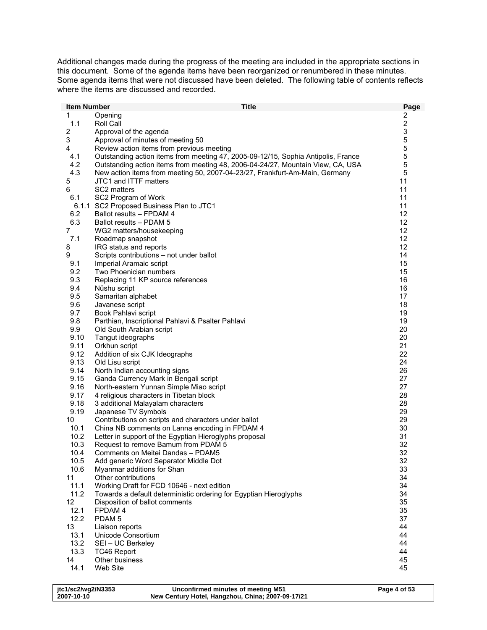Additional changes made during the progress of the meeting are included in the appropriate sections in this document. Some of the agenda items have been reorganized or renumbered in these minutes. Some agenda items that were not discussed have been deleted. The following table of contents reflects where the items are discussed and recorded.

| <b>Item Number</b>      | <b>Title</b>                                                                                        | Page           |
|-------------------------|-----------------------------------------------------------------------------------------------------|----------------|
| 1                       | Opening                                                                                             | 2              |
| 1.1                     | Roll Call                                                                                           | $\overline{c}$ |
| $\overline{\mathbf{c}}$ | Approval of the agenda                                                                              | 3              |
| 3                       | Approval of minutes of meeting 50                                                                   | 5              |
| 4                       | Review action items from previous meeting                                                           | 5              |
| 4.1                     | Outstanding action items from meeting 47, 2005-09-12/15, Sophia Antipolis, France                   | $\mathbf 5$    |
| 4.2                     | Outstanding action items from meeting 48, 2006-04-24/27, Mountain View, CA, USA                     | 5              |
| 4.3                     | New action items from meeting 50, 2007-04-23/27, Frankfurt-Am-Main, Germany                         | 5              |
| 5                       | JTC1 and ITTF matters                                                                               | 11             |
| 6                       | SC2 matters                                                                                         | 11             |
| 6.1                     | SC2 Program of Work                                                                                 | 11             |
|                         | 6.1.1 SC2 Proposed Business Plan to JTC1                                                            | 11             |
| 6.2                     | Ballot results - FPDAM 4                                                                            | 12             |
| 6.3                     | Ballot results - PDAM 5                                                                             | 12             |
| 7                       | WG2 matters/housekeeping                                                                            | 12             |
| 7.1                     | Roadmap snapshot                                                                                    | 12             |
| 8                       | IRG status and reports                                                                              | 12             |
| 9                       | Scripts contributions - not under ballot                                                            | 14             |
| 9.1                     | Imperial Aramaic script<br>Two Phoenician numbers                                                   | 15             |
| 9.2<br>9.3              | Replacing 11 KP source references                                                                   | 15<br>16       |
| 9.4                     |                                                                                                     | 16             |
| 9.5                     | Nüshu script<br>Samaritan alphabet                                                                  | 17             |
| 9.6                     | Javanese script                                                                                     | 18             |
| 9.7                     | Book Pahlavi script                                                                                 | 19             |
| 9.8                     | Parthian, Inscriptional Pahlavi & Psalter Pahlavi                                                   | 19             |
| 9.9                     | Old South Arabian script                                                                            | 20             |
| 9.10                    | Tangut ideographs                                                                                   | 20             |
| 9.11                    | Orkhun script                                                                                       | 21             |
| 9.12                    | Addition of six CJK Ideographs                                                                      | 22             |
| 9.13                    | Old Lisu script                                                                                     | 24             |
| 9.14                    | North Indian accounting signs                                                                       | 26             |
| 9.15                    | Ganda Currency Mark in Bengali script                                                               | 27             |
| 9.16                    | North-eastern Yunnan Simple Miao script                                                             | 27             |
| 9.17                    | 4 religious characters in Tibetan block                                                             | 28             |
| 9.18                    | 3 additional Malayalam characters                                                                   | 28             |
| 9.19                    | Japanese TV Symbols                                                                                 | 29             |
| 10                      | Contributions on scripts and characters under ballot                                                | 29             |
| 10.1                    | China NB comments on Lanna encoding in FPDAM 4                                                      | 30             |
| 10.2                    | Letter in support of the Egyptian Hieroglyphs proposal                                              | 31             |
| 10.3                    | Request to remove Bamum from PDAM 5                                                                 | 32             |
| 10.4                    | Comments on Meitei Dandas - PDAM5                                                                   | 32             |
| 10.5                    | Add generic Word Separator Middle Dot                                                               | 32             |
| 10.6                    | Myanmar additions for Shan                                                                          | 33             |
| 11                      | Other contributions                                                                                 | 34             |
| 11.1                    | Working Draft for FCD 10646 - next edition                                                          | 34             |
| 11.2<br>12              | Towards a default deterministic ordering for Egyptian Hieroglyphs<br>Disposition of ballot comments | 34<br>35       |
| 12.1                    | FPDAM 4                                                                                             | 35             |
| 12.2                    | PDAM <sub>5</sub>                                                                                   | 37             |
| 13                      | Liaison reports                                                                                     | 44             |
| 13.1                    | Unicode Consortium                                                                                  | 44             |
| 13.2                    | SEI - UC Berkeley                                                                                   | 44             |
| 13.3                    | <b>TC46 Report</b>                                                                                  | 44             |
| 14                      | Other business                                                                                      | 45             |
| 14.1                    | Web Site                                                                                            | 45             |
|                         |                                                                                                     |                |

| itc1/sc2/wg2/N3353 | Unconfirmed minutes of meeting M51                | Page 4 of 53 |
|--------------------|---------------------------------------------------|--------------|
| 2007-10-10         | New Century Hotel, Hangzhou, China; 2007-09-17/21 |              |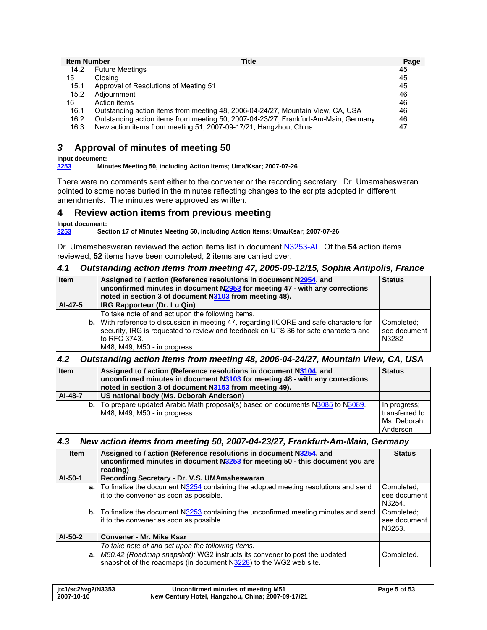<span id="page-4-0"></span>

| <b>Item Number</b> | <b>Title</b>                                                                        | Page |
|--------------------|-------------------------------------------------------------------------------------|------|
| 14.2               | <b>Future Meetings</b>                                                              | 45   |
| 15                 | Closing                                                                             | 45   |
| 15.1               | Approval of Resolutions of Meeting 51                                               | 45   |
| 15.2               | Adiournment                                                                         | 46   |
| 16                 | Action items                                                                        | 46   |
| 16.1               | Outstanding action items from meeting 48, 2006-04-24/27, Mountain View, CA, USA     | 46   |
| 16.2               | Outstanding action items from meeting 50, 2007-04-23/27, Frankfurt-Am-Main, Germany | 46   |
| 16.3               | New action items from meeting 51, 2007-09-17/21, Hangzhou, China                    | 47   |

# *3* **Approval of minutes of meeting 50**

**Input document: [3253](http://www.dkuug.dk/jtc1/sc2/wg2/docs/n3253.pdf) Minutes Meeting 50, including Action Items; Uma/Ksar; 2007-07-26** 

There were no comments sent either to the convener or the recording secretary. Dr. Umamaheswaran pointed to some notes buried in the minutes reflecting changes to the scripts adopted in different amendments. The minutes were approved as written.

# **4 Review action items from previous meeting**

# **Input document:**

**[3253](http://www.dkuug.dk/jtc1/sc2/wg2/docs/n3253.pdf) Section 17 of Minutes Meeting 50, including Action Items; Uma/Ksar; 2007-07-26** 

Dr. Umamaheswaran reviewed the action items list in document [N3253-AI](http://www.dkuug.dk/jtc1/sc2/jtc1/wg2/N3253-AI.pdf). Of the **54** action items reviewed, **52** items have been completed; **2** items are carried over.

### *4.1 Outstanding action items from meeting 47, 2005-09-12/15, Sophia Antipolis, France*

| Item    | Assigned to / action (Reference resolutions in document N2954, and<br><b>Status</b><br>unconfirmed minutes in document N2953 for meeting 47 - with any corrections<br>noted in section 3 of document N3103 from meeting 48).          |                                     |
|---------|---------------------------------------------------------------------------------------------------------------------------------------------------------------------------------------------------------------------------------------|-------------------------------------|
| AI-47-5 | IRG Rapporteur (Dr. Lu Qin)                                                                                                                                                                                                           |                                     |
|         | To take note of and act upon the following items.                                                                                                                                                                                     |                                     |
|         | <b>b.</b> With reference to discussion in meeting 47, regarding IICORE and safe characters for<br>security, IRG is requested to review and feedback on UTS 36 for safe characters and<br>to RFC 3743.<br>M48, M49, M50 - in progress. | Completed:<br>see document<br>N3282 |

### *4.2 Outstanding action items from meeting 48, 2006-04-24/27, Mountain View, CA, USA*

| <b>Item</b> | Assigned to / action (Reference resolutions in document N3104, and<br>unconfirmed minutes in document N3103 for meeting 48 - with any corrections<br>noted in section 3 of document N3153 from meeting 49). |                                                           |
|-------------|-------------------------------------------------------------------------------------------------------------------------------------------------------------------------------------------------------------|-----------------------------------------------------------|
| AI-48-7     | US national body (Ms. Deborah Anderson)                                                                                                                                                                     |                                                           |
|             | <b>b.</b> To prepare updated Arabic Math proposal(s) based on documents N3085 to N3089.<br>M48, M49, M50 - in progress.                                                                                     | In progress:<br>transferred to<br>Ms. Deborah<br>Anderson |

### *4.3 New action items from meeting 50, 2007-04-23/27, Frankfurt-Am-Main, Germany*

| <b>Item</b> | Assigned to / action (Reference resolutions in document N3254, and<br>unconfirmed minutes in document N3253 for meeting 50 - this document you are<br>reading) |                        |
|-------------|----------------------------------------------------------------------------------------------------------------------------------------------------------------|------------------------|
| AI-50-1     | Recording Secretary - Dr. V.S. UMAmaheswaran                                                                                                                   |                        |
|             | $\mathbf{a}$ . To finalize the document N3254 containing the adopted meeting resolutions and send                                                              | Completed:             |
|             | it to the convener as soon as possible.                                                                                                                        | see document<br>N3254. |
|             | <b>b.</b> To finalize the document N3253 containing the unconfirmed meeting minutes and send                                                                   | Completed;             |
|             | it to the convener as soon as possible.                                                                                                                        | see document           |
|             |                                                                                                                                                                | N3253.                 |
| AI-50-2     | <b>Convener - Mr. Mike Ksar</b>                                                                                                                                |                        |
|             | To take note of and act upon the following items.                                                                                                              |                        |
|             | a.   M50.42 (Roadmap snapshot): WG2 instructs its convener to post the updated                                                                                 | Completed.             |
|             | snapshot of the roadmaps (in document N3228) to the WG2 web site.                                                                                              |                        |

| itc1/sc2/wg2/N3353 | Unconfirmed minutes of meeting M51                | Page 5 of 53 |
|--------------------|---------------------------------------------------|--------------|
| 2007-10-10         | New Century Hotel, Hangzhou, China; 2007-09-17/21 |              |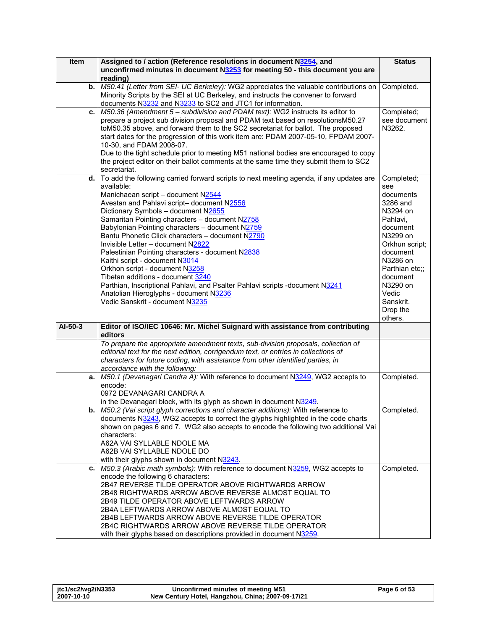| Item      | Assigned to / action (Reference resolutions in document N3254, and                                                                                                   | <b>Status</b>     |
|-----------|----------------------------------------------------------------------------------------------------------------------------------------------------------------------|-------------------|
|           | unconfirmed minutes in document N3253 for meeting 50 - this document you are                                                                                         |                   |
|           | reading)                                                                                                                                                             |                   |
| b.        | M50.41 (Letter from SEI- UC Berkeley): WG2 appreciates the valuable contributions on                                                                                 | Completed.        |
|           | Minority Scripts by the SEI at UC Berkeley, and instructs the convener to forward                                                                                    |                   |
|           | documents N3232 and N3233 to SC2 and JTC1 for information.                                                                                                           |                   |
| c.        | M50.36 (Amendment 5 – subdivision and PDAM text): WG2 instructs its editor to                                                                                        | Completed;        |
|           | prepare a project sub division proposal and PDAM text based on resolutionsM50.27                                                                                     | see document      |
|           | toM50.35 above, and forward them to the SC2 secretariat for ballot. The proposed                                                                                     | N3262.            |
|           | start dates for the progression of this work item are: PDAM 2007-05-10, FPDAM 2007-                                                                                  |                   |
|           | 10-30, and FDAM 2008-07.                                                                                                                                             |                   |
|           | Due to the tight schedule prior to meeting M51 national bodies are encouraged to copy                                                                                |                   |
|           | the project editor on their ballot comments at the same time they submit them to SC2                                                                                 |                   |
| d.        | secretariat.<br>To add the following carried forward scripts to next meeting agenda, if any updates are                                                              |                   |
|           | available:                                                                                                                                                           | Completed;<br>see |
|           | Manichaean script - document N2544                                                                                                                                   | documents         |
|           | Avestan and Pahlavi script- document N2556                                                                                                                           | 3286 and          |
|           | Dictionary Symbols - document N2655                                                                                                                                  | N3294 on          |
|           | Samaritan Pointing characters - document N2758                                                                                                                       | Pahlavi,          |
|           | Babylonian Pointing characters - document N2759                                                                                                                      | document          |
|           | Bantu Phonetic Click characters - document N2790                                                                                                                     | N3299 on          |
|           | Invisible Letter - document N2822                                                                                                                                    | Orkhun script;    |
|           | Palestinian Pointing characters - document N2838                                                                                                                     | document          |
|           | Kaithi script - document N3014                                                                                                                                       | N3286 on          |
|           | Orkhon script - document N3258                                                                                                                                       | Parthian etc::    |
|           | Tibetan additions - document 3240                                                                                                                                    | document          |
|           | Parthian, Inscriptional Pahlavi, and Psalter Pahlavi scripts -document N3241                                                                                         | N3290 on          |
|           | Anatolian Hieroglyphs - document N3236                                                                                                                               | Vedic             |
|           | Vedic Sanskrit - document N3235                                                                                                                                      | Sanskrit.         |
|           |                                                                                                                                                                      | Drop the          |
|           |                                                                                                                                                                      | others.           |
| $AI-50-3$ | Editor of ISO/IEC 10646: Mr. Michel Suignard with assistance from contributing<br>editors                                                                            |                   |
|           | To prepare the appropriate amendment texts, sub-division proposals, collection of                                                                                    |                   |
|           | editorial text for the next edition, corrigendum text, or entries in collections of                                                                                  |                   |
|           | characters for future coding, with assistance from other identified parties, in                                                                                      |                   |
|           | accordance with the following:                                                                                                                                       |                   |
| а.        | M50.1 (Devanagari Candra A): With reference to document N3249, WG2 accepts to                                                                                        | Completed.        |
|           | encode:                                                                                                                                                              |                   |
|           | 0972 DEVANAGARI CANDRA A                                                                                                                                             |                   |
|           | in the Devanagari block, with its glyph as shown in document $N3249$ .                                                                                               |                   |
| b. I      | M50.2 (Vai script glyph corrections and character additions): With reference to<br>documents N3243, WG2 accepts to correct the glyphs highlighted in the code charts | Completed.        |
|           | shown on pages 6 and 7. WG2 also accepts to encode the following two additional Vai                                                                                  |                   |
|           | characters:                                                                                                                                                          |                   |
|           | A62A VAI SYLLABLE NDOLE MA                                                                                                                                           |                   |
|           | A62B VAI SYLLABLE NDOLE DO                                                                                                                                           |                   |
|           | with their glyphs shown in document N3243.                                                                                                                           |                   |
| c.        | M50.3 (Arabic math symbols): With reference to document N3259, WG2 accepts to                                                                                        | Completed.        |
|           | encode the following 6 characters:                                                                                                                                   |                   |
|           | 2B47 REVERSE TILDE OPERATOR ABOVE RIGHTWARDS ARROW                                                                                                                   |                   |
|           | 2B48 RIGHTWARDS ARROW ABOVE REVERSE ALMOST EQUAL TO                                                                                                                  |                   |
|           | 2B49 TILDE OPERATOR ABOVE LEFTWARDS ARROW                                                                                                                            |                   |
|           | 2B4A LEFTWARDS ARROW ABOVE ALMOST EQUAL TO                                                                                                                           |                   |
|           | 2B4B LEFTWARDS ARROW ABOVE REVERSE TILDE OPERATOR                                                                                                                    |                   |
|           | 2B4C RIGHTWARDS ARROW ABOVE REVERSE TILDE OPERATOR                                                                                                                   |                   |
|           | with their glyphs based on descriptions provided in document N3259.                                                                                                  |                   |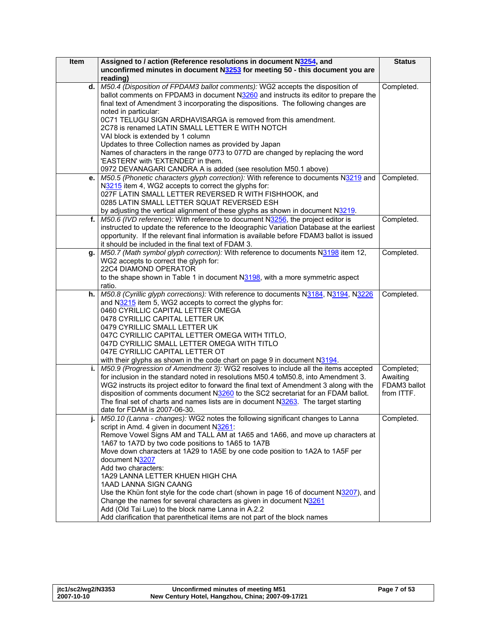| Item | Assigned to / action (Reference resolutions in document N3254, and<br>unconfirmed minutes in document N3253 for meeting 50 - this document you are<br>reading)          | <b>Status</b> |
|------|-------------------------------------------------------------------------------------------------------------------------------------------------------------------------|---------------|
| d.   | M50.4 (Disposition of FPDAM3 ballot comments): WG2 accepts the disposition of<br>ballot comments on FPDAM3 in document N3260 and instructs its editor to prepare the    | Completed.    |
|      | final text of Amendment 3 incorporating the dispositions. The following changes are<br>noted in particular:                                                             |               |
|      | 0C71 TELUGU SIGN ARDHAVISARGA is removed from this amendment.                                                                                                           |               |
|      | 2C78 is renamed LATIN SMALL LETTER E WITH NOTCH                                                                                                                         |               |
|      | VAI block is extended by 1 column                                                                                                                                       |               |
|      | Updates to three Collection names as provided by Japan                                                                                                                  |               |
|      | Names of characters in the range 0773 to 077D are changed by replacing the word<br>'EASTERN' with 'EXTENDED' in them.                                                   |               |
|      | 0972 DEVANAGARI CANDRA A is added (see resolution M50.1 above)                                                                                                          |               |
| e.   | M50.5 (Phonetic characters glyph correction): With reference to documents N3219 and                                                                                     | Completed.    |
|      | N3215 item 4, WG2 accepts to correct the glyphs for:                                                                                                                    |               |
|      | 027F LATIN SMALL LETTER REVERSED R WITH FISHHOOK, and                                                                                                                   |               |
|      | 0285 LATIN SMALL LETTER SQUAT REVERSED ESH                                                                                                                              |               |
| f.   | by adjusting the vertical alignment of these glyphs as shown in document N3219.<br>M50.6 (IVD reference): With reference to document N3256, the project editor is       | Completed.    |
|      | instructed to update the reference to the Ideographic Variation Database at the earliest                                                                                |               |
|      | opportunity. If the relevant final information is available before FDAM3 ballot is issued                                                                               |               |
|      | it should be included in the final text of FDAM 3.                                                                                                                      |               |
| g.   | M50.7 (Math symbol glyph correction): With reference to documents N3198 item 12,                                                                                        | Completed.    |
|      | WG2 accepts to correct the glyph for:                                                                                                                                   |               |
|      | 22C4 DIAMOND OPERATOR<br>to the shape shown in Table 1 in document N3198, with a more symmetric aspect                                                                  |               |
|      | ratio.                                                                                                                                                                  |               |
|      | h.   M50.8 (Cyrillic glyph corrections): With reference to documents N3184, N3194, N3226                                                                                | Completed.    |
|      | and N3215 item 5, WG2 accepts to correct the glyphs for:                                                                                                                |               |
|      | 0460 CYRILLIC CAPITAL LETTER OMEGA                                                                                                                                      |               |
|      | 0478 CYRILLIC CAPITAL LETTER UK                                                                                                                                         |               |
|      | 0479 CYRILLIC SMALL LETTER UK                                                                                                                                           |               |
|      | 047C CYRILLIC CAPITAL LETTER OMEGA WITH TITLO,<br>047D CYRILLIC SMALL LETTER OMEGA WITH TITLO                                                                           |               |
|      | 047E CYRILLIC CAPITAL LETTER OT                                                                                                                                         |               |
|      | with their glyphs as shown in the code chart on page 9 in document N3194.                                                                                               |               |
| i.   | M50.9 (Progression of Amendment 3): WG2 resolves to include all the items accepted                                                                                      | Completed;    |
|      | for inclusion in the standard noted in resolutions M50.4 toM50.8, into Amendment 3.                                                                                     | Awaiting      |
|      | WG2 instructs its project editor to forward the final text of Amendment 3 along with the                                                                                | FDAM3 ballot  |
|      | disposition of comments document N3260 to the SC2 secretariat for an FDAM ballot.<br>The final set of charts and names lists are in document N3263. The target starting | from ITTF.    |
|      | date for FDAM is 2007-06-30.                                                                                                                                            |               |
|      | M50.10 (Lanna - changes): WG2 notes the following significant changes to Lanna                                                                                          | Completed.    |
|      | script in Amd. 4 given in document N3261:                                                                                                                               |               |
|      | Remove Vowel Signs AM and TALL AM at 1A65 and 1A66, and move up characters at                                                                                           |               |
|      | 1A67 to 1A7D by two code positions to 1A65 to 1A7B                                                                                                                      |               |
|      | Move down characters at 1A29 to 1A5E by one code position to 1A2A to 1A5F per                                                                                           |               |
|      | document N3207<br>Add two characters:                                                                                                                                   |               |
|      | 1A29 LANNA LETTER KHUEN HIGH CHA                                                                                                                                        |               |
|      | 1AAD LANNA SIGN CAANG                                                                                                                                                   |               |
|      | Use the Khün font style for the code chart (shown in page 16 of document N3207), and                                                                                    |               |
|      | Change the names for several characters as given in document N3261                                                                                                      |               |
|      | Add (Old Tai Lue) to the block name Lanna in A.2.2                                                                                                                      |               |
|      | Add clarification that parenthetical items are not part of the block names                                                                                              |               |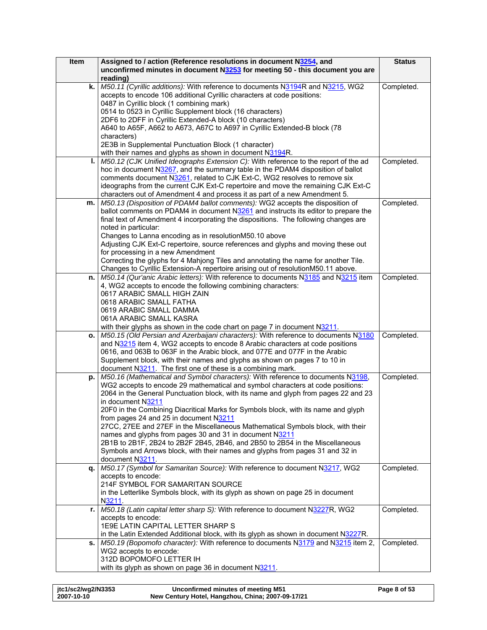| <b>Item</b> | Assigned to / action (Reference resolutions in document N3254, and                                                                                                      | <b>Status</b> |
|-------------|-------------------------------------------------------------------------------------------------------------------------------------------------------------------------|---------------|
|             | unconfirmed minutes in document N3253 for meeting 50 - this document you are                                                                                            |               |
|             | reading)                                                                                                                                                                |               |
| k.          | M50.11 (Cyrillic additions): With reference to documents N3194R and N3215, WG2                                                                                          | Completed.    |
|             | accepts to encode 106 additional Cyrillic characters at code positions:                                                                                                 |               |
|             | 0487 in Cyrillic block (1 combining mark)                                                                                                                               |               |
|             | 0514 to 0523 in Cyrillic Supplement block (16 characters)                                                                                                               |               |
|             | 2DF6 to 2DFF in Cyrillic Extended-A block (10 characters)                                                                                                               |               |
|             | A640 to A65F, A662 to A673, A67C to A697 in Cyrillic Extended-B block (78<br>characters)                                                                                |               |
|             | 2E3B in Supplemental Punctuation Block (1 character)                                                                                                                    |               |
|             | with their names and glyphs as shown in document N3194R.                                                                                                                |               |
| ı.          | M50.12 (CJK Unified Ideographs Extension C): With reference to the report of the ad                                                                                     | Completed.    |
|             | hoc in document N3267, and the summary table in the PDAM4 disposition of ballot                                                                                         |               |
|             | comments document N3261, related to CJK Ext-C, WG2 resolves to remove six                                                                                               |               |
|             | ideographs from the current CJK Ext-C repertoire and move the remaining CJK Ext-C                                                                                       |               |
|             | characters out of Amendment 4 and process it as part of a new Amendment 5.                                                                                              |               |
| m.          | M50.13 (Disposition of PDAM4 ballot comments): WG2 accepts the disposition of                                                                                           | Completed.    |
|             | ballot comments on PDAM4 in document N3261 and instructs its editor to prepare the                                                                                      |               |
|             | final text of Amendment 4 incorporating the dispositions. The following changes are                                                                                     |               |
|             | noted in particular:                                                                                                                                                    |               |
|             | Changes to Lanna encoding as in resolutionM50.10 above                                                                                                                  |               |
|             | Adjusting CJK Ext-C repertoire, source references and glyphs and moving these out<br>for processing in a new Amendment                                                  |               |
|             | Correcting the glyphs for 4 Mahjong Tiles and annotating the name for another Tile.                                                                                     |               |
|             | Changes to Cyrillic Extension-A repertoire arising out of resolutionM50.11 above.                                                                                       |               |
| n.          | M50.14 (Qur'anic Arabic letters): With reference to documents N3185 and N3215 item                                                                                      | Completed.    |
|             | 4, WG2 accepts to encode the following combining characters:                                                                                                            |               |
|             | 0617 ARABIC SMALL HIGH ZAIN                                                                                                                                             |               |
|             | 0618 ARABIC SMALL FATHA                                                                                                                                                 |               |
|             | 0619 ARABIC SMALL DAMMA                                                                                                                                                 |               |
|             | 061A ARABIC SMALL KASRA                                                                                                                                                 |               |
|             | with their glyphs as shown in the code chart on page 7 in document N3211.                                                                                               |               |
| о.          | M50.15 (Old Persian and Azerbaijani characters): With reference to documents N3180                                                                                      | Completed.    |
|             | and N3215 item 4, WG2 accepts to encode 8 Arabic characters at code positions                                                                                           |               |
|             | 0616, and 063B to 063F in the Arabic block, and 077E and 077F in the Arabic<br>Supplement block, with their names and glyphs as shown on pages 7 to 10 in               |               |
|             | document N3211. The first one of these is a combining mark.                                                                                                             |               |
| p.          | M50.16 (Mathematical and Symbol characters): With reference to documents N3198,                                                                                         | Completed.    |
|             | WG2 accepts to encode 29 mathematical and symbol characters at code positions:                                                                                          |               |
|             | 2064 in the General Punctuation block, with its name and glyph from pages 22 and 23                                                                                     |               |
|             | in document N3211                                                                                                                                                       |               |
|             | 20F0 in the Combining Diacritical Marks for Symbols block, with its name and glyph                                                                                      |               |
|             | from pages 24 and 25 in document N3211                                                                                                                                  |               |
|             | 27CC, 27EE and 27EF in the Miscellaneous Mathematical Symbols block, with their                                                                                         |               |
|             | names and glyphs from pages 30 and 31 in document N3211<br>2B1B to 2B1F, 2B24 to 2B2F 2B45, 2B46, and 2B50 to 2B54 in the Miscellaneous                                 |               |
|             | Symbols and Arrows block, with their names and glyphs from pages 31 and 32 in                                                                                           |               |
|             | document N3211.                                                                                                                                                         |               |
| q.          | M50.17 (Symbol for Samaritan Source): With reference to document N3217, WG2                                                                                             | Completed.    |
|             | accepts to encode:                                                                                                                                                      |               |
|             | 214F SYMBOL FOR SAMARITAN SOURCE                                                                                                                                        |               |
|             | in the Letterlike Symbols block, with its glyph as shown on page 25 in document                                                                                         |               |
|             | N3211.                                                                                                                                                                  |               |
|             | r.   M50.18 (Latin capital letter sharp S): With reference to document N3227R, WG2                                                                                      | Completed.    |
|             | accepts to encode:                                                                                                                                                      |               |
|             | 1E9E LATIN CAPITAL LETTER SHARP S                                                                                                                                       |               |
|             | in the Latin Extended Additional block, with its glyph as shown in document N3227R.<br>M50.19 (Bopomofo character): With reference to documents N3179 and N3215 item 2, | Completed.    |
| s.          | WG2 accepts to encode:                                                                                                                                                  |               |
|             | 312D BOPOMOFO LETTER IH                                                                                                                                                 |               |
|             | with its glyph as shown on page 36 in document N3211.                                                                                                                   |               |
|             |                                                                                                                                                                         |               |

| itc1/sc2/wg2/N3353 | Unconfirmed minutes of meeting M51                | Page 8 of 53 |
|--------------------|---------------------------------------------------|--------------|
| 2007-10-10         | New Century Hotel, Hangzhou, China; 2007-09-17/21 |              |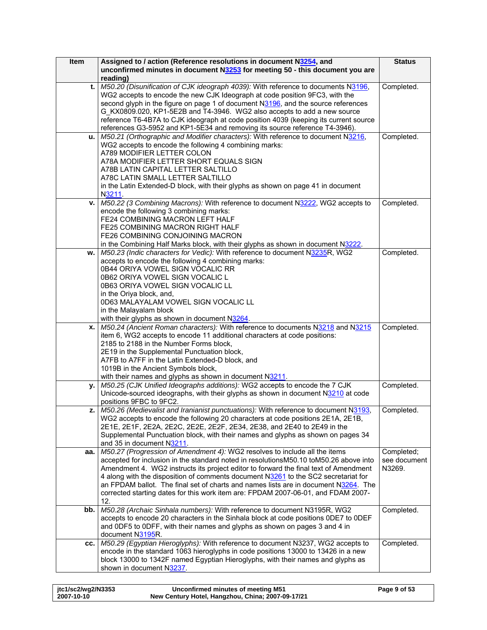| Item | Assigned to / action (Reference resolutions in document N3254, and                                                                                                  | <b>Status</b> |
|------|---------------------------------------------------------------------------------------------------------------------------------------------------------------------|---------------|
|      | unconfirmed minutes in document N3253 for meeting 50 - this document you are                                                                                        |               |
|      | reading)                                                                                                                                                            |               |
| t.   | M50.20 (Disunification of CJK ideograph 4039): With reference to documents N3196,                                                                                   | Completed.    |
|      | WG2 accepts to encode the new CJK Ideograph at code position 9FC3, with the                                                                                         |               |
|      | second glyph in the figure on page 1 of document N3196, and the source references                                                                                   |               |
|      | G KX0809.020, KP1-5E2B and T4-3946. WG2 also accepts to add a new source                                                                                            |               |
|      | reference T6-4B7A to CJK ideograph at code position 4039 (keeping its current source<br>references G3-5952 and KP1-5E34 and removing its source reference T4-3946). |               |
| u.   | M50.21 (Orthographic and Modifier characters): With reference to document N3216,                                                                                    | Completed.    |
|      | WG2 accepts to encode the following 4 combining marks:                                                                                                              |               |
|      | A789 MODIFIER LETTER COLON                                                                                                                                          |               |
|      | A78A MODIFIER LETTER SHORT EQUALS SIGN                                                                                                                              |               |
|      | A78B LATIN CAPITAL LETTER SALTILLO                                                                                                                                  |               |
|      | A78C LATIN SMALL LETTER SALTILLO                                                                                                                                    |               |
|      | in the Latin Extended-D block, with their glyphs as shown on page 41 in document                                                                                    |               |
|      | N3211.                                                                                                                                                              |               |
| v.   | M50.22 (3 Combining Macrons): With reference to document N3222, WG2 accepts to                                                                                      | Completed.    |
|      | encode the following 3 combining marks:                                                                                                                             |               |
|      | FE24 COMBINING MACRON LEFT HALF                                                                                                                                     |               |
|      | FE25 COMBINING MACRON RIGHT HALF                                                                                                                                    |               |
|      | FE26 COMBINING CONJOINING MACRON                                                                                                                                    |               |
|      | in the Combining Half Marks block, with their glyphs as shown in document N3222.                                                                                    |               |
| w.   | M50.23 (Indic characters for Vedic): With reference to document N3235R, WG2                                                                                         | Completed.    |
|      | accepts to encode the following 4 combining marks:                                                                                                                  |               |
|      | 0B44 ORIYA VOWEL SIGN VOCALIC RR                                                                                                                                    |               |
|      | 0B62 ORIYA VOWEL SIGN VOCALIC L<br>0B63 ORIYA VOWEL SIGN VOCALIC LL                                                                                                 |               |
|      | in the Oriya block, and,                                                                                                                                            |               |
|      | 0D63 MALAYALAM VOWEL SIGN VOCALIC LL                                                                                                                                |               |
|      | in the Malayalam block                                                                                                                                              |               |
|      | with their glyphs as shown in document N3264.                                                                                                                       |               |
| x.   | M50.24 (Ancient Roman characters): With reference to documents N3218 and N3215                                                                                      | Completed.    |
|      | item 6, WG2 accepts to encode 11 additional characters at code positions:                                                                                           |               |
|      | 2185 to 2188 in the Number Forms block,                                                                                                                             |               |
|      | 2E19 in the Supplemental Punctuation block,                                                                                                                         |               |
|      | A7FB to A7FF in the Latin Extended-D block, and                                                                                                                     |               |
|      | 1019B in the Ancient Symbols block,                                                                                                                                 |               |
|      | with their names and glyphs as shown in document N3211.                                                                                                             |               |
| у.   | M50.25 (CJK Unified Ideographs additions): WG2 accepts to encode the 7 CJK                                                                                          | Completed.    |
|      | Unicode-sourced ideographs, with their glyphs as shown in document N3210 at code                                                                                    |               |
|      | positions 9FBC to 9FC2.                                                                                                                                             |               |
|      | z.   $M50.26$ (Medievalist and Iranianist punctuations): With reference to document $N3193$ ,                                                                       | Completed.    |
|      | WG2 accepts to encode the following 20 characters at code positions 2E1A, 2E1B,                                                                                     |               |
|      | 2E1E, 2E1F, 2E2A, 2E2C, 2E2E, 2E2F, 2E34, 2E38, and 2E40 to 2E49 in the                                                                                             |               |
|      | Supplemental Punctuation block, with their names and glyphs as shown on pages 34<br>and 35 in document N3211.                                                       |               |
| aa.  | M50.27 (Progression of Amendment 4): WG2 resolves to include all the items                                                                                          | Completed;    |
|      | accepted for inclusion in the standard noted in resolutionsM50.10 toM50.26 above into                                                                               | see document  |
|      | Amendment 4. WG2 instructs its project editor to forward the final text of Amendment                                                                                | N3269.        |
|      | 4 along with the disposition of comments document N3261 to the SC2 secretariat for                                                                                  |               |
|      | an FPDAM ballot. The final set of charts and names lists are in document N3264. The                                                                                 |               |
|      | corrected starting dates for this work item are: FPDAM 2007-06-01, and FDAM 2007-                                                                                   |               |
|      | 12.                                                                                                                                                                 |               |
| bb.  | M50.28 (Archaic Sinhala numbers): With reference to document N3195R, WG2                                                                                            | Completed.    |
|      | accepts to encode 20 characters in the Sinhala block at code positions ODE7 to ODEF                                                                                 |               |
|      | and 0DF5 to 0DFF, with their names and glyphs as shown on pages 3 and 4 in                                                                                          |               |
|      | document N3195R.                                                                                                                                                    |               |
| CC.  | M50.29 (Egyptian Hieroglyphs): With reference to document N3237, WG2 accepts to                                                                                     | Completed.    |
|      | encode in the standard 1063 hieroglyphs in code positions 13000 to 13426 in a new                                                                                   |               |
|      | block 13000 to 1342F named Egyptian Hieroglyphs, with their names and glyphs as                                                                                     |               |
|      | shown in document N3237.                                                                                                                                            |               |

| jtc1/sc2/wg2/N3353 | Unconfirmed minutes of meeting M51                | Page 9 of 53 |
|--------------------|---------------------------------------------------|--------------|
| 2007-10-10         | New Century Hotel, Hangzhou, China; 2007-09-17/21 |              |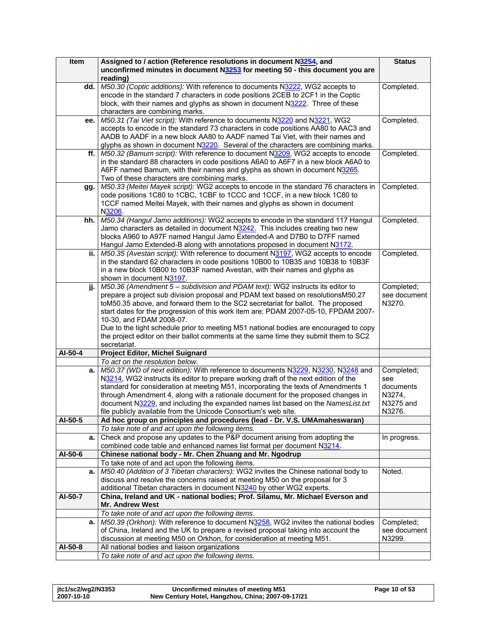| Item    | Assigned to / action (Reference resolutions in document N3254, and                                                                                  | <b>Status</b> |
|---------|-----------------------------------------------------------------------------------------------------------------------------------------------------|---------------|
|         | unconfirmed minutes in document N3253 for meeting 50 - this document you are                                                                        |               |
|         | reading)                                                                                                                                            |               |
| dd.     | M50.30 (Coptic additions): With reference to documents N3222, WG2 accepts to                                                                        | Completed.    |
|         | encode in the standard 7 characters in code positions 2CEB to 2CF1 in the Coptic                                                                    |               |
|         | block, with their names and glyphs as shown in document N3222. Three of these                                                                       |               |
|         | characters are combining marks.                                                                                                                     |               |
| ee.     | M50.31 (Tai Viet script): With reference to documents N3220 and N3221, WG2                                                                          | Completed.    |
|         | accepts to encode in the standard 73 characters in code positions AA80 to AAC3 and                                                                  |               |
|         | AADB to AADF in a new block AA80 to AADF named Tai Viet, with their names and                                                                       |               |
|         | glyphs as shown in document N3220. Several of the characters are combining marks.                                                                   |               |
| ff.     | M50.32 (Bamum script): With reference to document N3209, WG2 accepts to encode                                                                      | Completed.    |
|         | in the standard 88 characters in code positions A6A0 to A6F7 in a new block A6A0 to                                                                 |               |
|         | A6FF named Bamum, with their names and glyphs as shown in document N3265.                                                                           |               |
|         | Two of these characters are combining marks.                                                                                                        |               |
| gg.     | M50.33 (Meitei Mayek script): WG2 accepts to encode in the standard 76 characters in                                                                | Completed.    |
|         | code positions 1C80 to 1CBC, 1CBF to 1CCC and 1CCF, in a new block 1C80 to                                                                          |               |
|         | 1CCF named Meitei Mayek, with their names and glyphs as shown in document                                                                           |               |
|         | N3206                                                                                                                                               |               |
| hh.     | M50.34 (Hangul Jamo additions): WG2 accepts to encode in the standard 117 Hangul                                                                    | Completed.    |
|         | Jamo characters as detailed in document N3242. This includes creating two new                                                                       |               |
|         | blocks A960 to A97F named Hangul Jamo Extended-A and D7B0 to D7FF named                                                                             |               |
|         | Hangul Jamo Extended-B along with annotations proposed in document N3172.                                                                           |               |
| ii.     | M50.35 (Avestan script): With reference to document N3197, WG2 accepts to encode                                                                    | Completed.    |
|         |                                                                                                                                                     |               |
|         | in the standard 62 characters in code positions 10B00 to 10B35 and 10B38 to 10B3F                                                                   |               |
|         | in a new block 10B00 to 10B3F named Avestan, with their names and glyphs as                                                                         |               |
|         | shown in document N3197.                                                                                                                            |               |
| jj.     | M50.36 (Amendment 5 - subdivision and PDAM text): WG2 instructs its editor to                                                                       | Completed;    |
|         | prepare a project sub division proposal and PDAM text based on resolutionsM50.27                                                                    | see document  |
|         | toM50.35 above, and forward them to the SC2 secretariat for ballot. The proposed                                                                    | N3270.        |
|         | start dates for the progression of this work item are: PDAM 2007-05-10, FPDAM 2007-                                                                 |               |
|         | 10-30, and FDAM 2008-07.                                                                                                                            |               |
|         | Due to the tight schedule prior to meeting M51 national bodies are encouraged to copy                                                               |               |
|         | the project editor on their ballot comments at the same time they submit them to SC2                                                                |               |
|         | secretariat.                                                                                                                                        |               |
| AI-50-4 | <b>Project Editor, Michel Suignard</b>                                                                                                              |               |
|         | To act on the resolution below.                                                                                                                     |               |
| a.      | M50.37 (WD of next edition): With reference to documents N3229, N3230, N3248 and                                                                    | Completed;    |
|         | N3214, WG2 instructs its editor to prepare working draft of the next edition of the                                                                 | see           |
|         | standard for consideration at meeting M51, incorporating the texts of Amendments 1                                                                  | documents     |
|         | through Amendment 4, along with a rationale document for the proposed changes in                                                                    | N3274,        |
|         | document N3229, and including the expanded names list based on the NamesList.txt<br>file publicly available from the Unicode Consortium's web site. | N3275 and     |
|         |                                                                                                                                                     | N3276.        |
| AI-50-5 | Ad hoc group on principles and procedures (lead - Dr. V.S. UMAmaheswaran)                                                                           |               |
|         | To take note of and act upon the following items.                                                                                                   |               |
| a.      | Check and propose any updates to the P&P document arising from adopting the                                                                         | In progress.  |
|         | combined code table and enhanced names list format per document N3214.                                                                              |               |
| AI-50-6 | Chinese national body - Mr. Chen Zhuang and Mr. Ngodrup                                                                                             |               |
|         | To take note of and act upon the following items.                                                                                                   |               |
| a.      | M50.40 (Addition of 3 Tibetan characters): WG2 invites the Chinese national body to                                                                 | Noted.        |
|         | discuss and resolve the concerns raised at meeting M50 on the proposal for 3                                                                        |               |
|         | additional Tibetan characters in document N3240 by other WG2 experts.                                                                               |               |
| AI-50-7 | China, Ireland and UK - national bodies; Prof. Silamu, Mr. Michael Everson and                                                                      |               |
|         | Mr. Andrew West                                                                                                                                     |               |
|         | To take note of and act upon the following items.                                                                                                   |               |
| a.      | M50.39 (Orkhon): With reference to document N3258, WG2 invites the national bodies                                                                  | Completed;    |
|         | of China, Ireland and the UK to prepare a revised proposal taking into account the                                                                  | see document  |
|         | discussion at meeting M50 on Orkhon, for consideration at meeting M51.                                                                              | N3299.        |
| AI-50-8 | All national bodies and liaison organizations                                                                                                       |               |
|         | To take note of and act upon the following items.                                                                                                   |               |

| itc1/sc2/wg2/N3353 | Unconfirmed minutes of meeting M51                | Page 10 of 53 |
|--------------------|---------------------------------------------------|---------------|
| 2007-10-10         | New Century Hotel, Hangzhou, China; 2007-09-17/21 |               |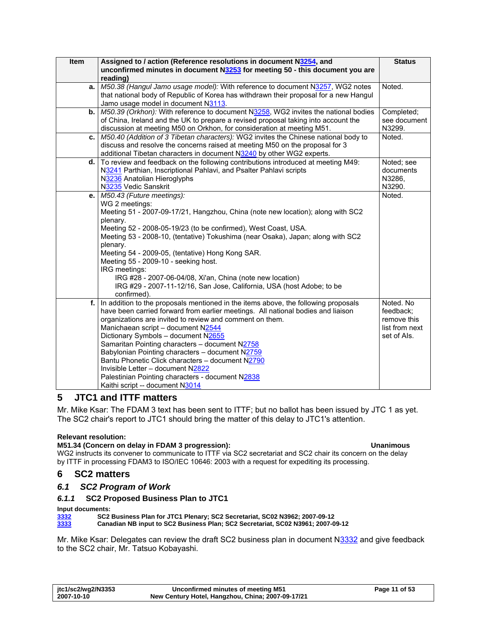<span id="page-10-0"></span>

| Item | Assigned to / action (Reference resolutions in document N3254, and                    | <b>Status</b>                 |
|------|---------------------------------------------------------------------------------------|-------------------------------|
|      | unconfirmed minutes in document N3253 for meeting 50 - this document you are          |                               |
|      | reading)                                                                              |                               |
| a.   | M50.38 (Hangul Jamo usage model): With reference to document N3257, WG2 notes         | Noted.                        |
|      | that national body of Republic of Korea has withdrawn their proposal for a new Hangul |                               |
|      | Jamo usage model in document N3113.                                                   |                               |
| b.   | M50.39 (Orkhon): With reference to document N3258, WG2 invites the national bodies    | Completed;                    |
|      | of China, Ireland and the UK to prepare a revised proposal taking into account the    | see document                  |
|      | discussion at meeting M50 on Orkhon, for consideration at meeting M51.                | N3299.                        |
| c.   | M50.40 (Addition of 3 Tibetan characters): WG2 invites the Chinese national body to   | Noted.                        |
|      | discuss and resolve the concerns raised at meeting M50 on the proposal for 3          |                               |
|      | additional Tibetan characters in document N3240 by other WG2 experts.                 |                               |
| d.   | To review and feedback on the following contributions introduced at meeting M49:      | Noted; see                    |
|      | N3241 Parthian, Inscriptional Pahlavi, and Psalter Pahlavi scripts                    | documents                     |
|      | N3236 Anatolian Hieroglyphs                                                           | N3286,                        |
|      | N3235 Vedic Sanskrit                                                                  | N3290.                        |
| e.   | M50.43 (Future meetings):                                                             | Noted.                        |
|      | WG 2 meetings:                                                                        |                               |
|      | Meeting 51 - 2007-09-17/21, Hangzhou, China (note new location); along with SC2       |                               |
|      | plenary.                                                                              |                               |
|      | Meeting 52 - 2008-05-19/23 (to be confirmed), West Coast, USA.                        |                               |
|      | Meeting 53 - 2008-10, (tentative) Tokushima (near Osaka), Japan; along with SC2       |                               |
|      | plenary.                                                                              |                               |
|      | Meeting 54 - 2009-05, (tentative) Hong Kong SAR.                                      |                               |
|      | Meeting 55 - 2009-10 - seeking host.                                                  |                               |
|      | IRG meetings:                                                                         |                               |
|      | IRG #28 - 2007-06-04/08, Xi'an, China (note new location)                             |                               |
|      | IRG #29 - 2007-11-12/16, San Jose, California, USA (host Adobe; to be                 |                               |
|      | confirmed).                                                                           |                               |
| f.   | In addition to the proposals mentioned in the items above, the following proposals    | Noted, No.                    |
|      | have been carried forward from earlier meetings. All national bodies and liaison      | feedback:                     |
|      | organizations are invited to review and comment on them.                              | remove this<br>list from next |
|      | Manichaean script - document N2544<br>Dictionary Symbols - document N2655             | set of Als.                   |
|      | Samaritan Pointing characters - document N2758                                        |                               |
|      | Babylonian Pointing characters - document N2759                                       |                               |
|      | Bantu Phonetic Click characters - document N2790                                      |                               |
|      | Invisible Letter - document N2822                                                     |                               |
|      | Palestinian Pointing characters - document N2838                                      |                               |
|      | Kaithi script -- document N3014                                                       |                               |
|      |                                                                                       |                               |

# **5 JTC1 and ITTF matters**

Mr. Mike Ksar: The FDAM 3 text has been sent to ITTF; but no ballot has been issued by JTC 1 as yet. The SC2 chair's report to JTC1 should bring the matter of this delay to JTC1's attention.

### **Relevant resolution:**

### **M51.34 (Concern on delay in FDAM 3 progression): Unanimous**

WG2 instructs its convener to communicate to ITTF via SC2 secretariat and SC2 chair its concern on the delay by ITTF in processing FDAM3 to ISO/IEC 10646: 2003 with a request for expediting its processing.

# **6 SC2 matters**

### *6.1 SC2 Program of Work*

### *6.1.1* **SC2 Proposed Business Plan to JTC1**

**Input documents:**<br>
<u>3332</u> SC2<br>
<u>3333</u> Cana **[3332](http://www.dkuug.dk/jtc1/sc2/wg2/docs/n3332.pdf) SC2 Business Plan for JTC1 Plenary; SC2 Secretariat, SC02 N3962; 2007-09-12 [3333](http://www.dkuug.dk/jtc1/sc2/wg2/docs/n3333.pdf) Canadian NB input to SC2 Business Plan; SC2 Secretariat, SC02 N3961; 2007-09-12** 

Mr. Mike Ksar: Delegates can review the draft SC2 business plan in document N[3332](http://www.dkuug.dk/jtc1/sc2/wg2/docs/n3332.pdf) and give feedback to the SC2 chair, Mr. Tatsuo Kobayashi.

| jtc1/sc2/wg2/N3353 | Unconfirmed minutes of meeting M51                | Page 11 of 53 |
|--------------------|---------------------------------------------------|---------------|
| 2007-10-10         | New Century Hotel, Hangzhou, China; 2007-09-17/21 |               |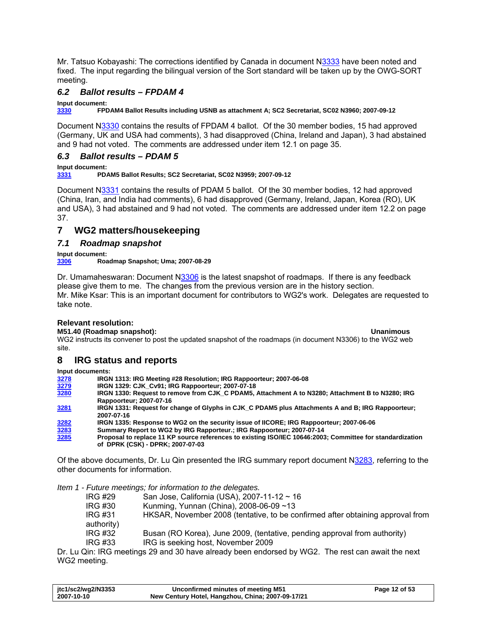<span id="page-11-0"></span>Mr. Tatsuo Kobayashi: The corrections identified by Canada in document N[3333](http://www.dkuug.dk/jtc1/sc2/wg2/docs/n3333.pdf) have been noted and fixed. The input regarding the bilingual version of the Sort standard will be taken up by the OWG-SORT meeting.

# *6.2 Ballot results – FPDAM 4*

**Input document:** 

**[3330](http://www.dkuug.dk/jtc1/sc2/wg2/docs/n3330.pdf) FPDAM4 Ballot Results including USNB as attachment A; SC2 Secretariat, SC02 N3960; 2007-09-12** 

Document N[3330](http://www.dkuug.dk/jtc1/sc2/wg2/docs/n3330.pdf) contains the results of FPDAM 4 ballot. Of the 30 member bodies, 15 had approved (Germany, UK and USA had comments), 3 had disapproved (China, Ireland and Japan), 3 had abstained and 9 had not voted. The comments are addressed under item [12.1](#page-34-1) on page [35.](#page-34-1)

# *6.3 Ballot results – PDAM 5*

**Input document:**<br>**3331** PDA **[3331](http://www.dkuug.dk/jtc1/sc2/wg2/docs/n3331.pdf) PDAM5 Ballot Results; SC2 Secretariat, SC02 N3959; 2007-09-12** 

Document N[3331](http://www.dkuug.dk/jtc1/sc2/wg2/docs/n3331.pdf) contains the results of PDAM 5 ballot. Of the 30 member bodies, 12 had approved (China, Iran, and India had comments), 6 had disapproved (Germany, Ireland, Japan, Korea (RO), UK and USA), 3 had abstained and 9 had not voted. The comments are addressed under item [12.2](#page-36-1) on page [37](#page-36-1).

# **7 WG2 matters/housekeeping**

### *7.1 Roadmap snapshot*

**Input document: [3306](http://www.dkuug.dk/jtc1/sc2/wg2/docs/n3306.pdf) Roadmap Snapshot; Uma; 2007-08-29** 

Dr. Umamaheswaran: Document N[3306](http://www.dkuug.dk/jtc1/sc2/wg2/docs/n3306.pdf) is the latest snapshot of roadmaps. If there is any feedback please give them to me. The changes from the previous version are in the history section. Mr. Mike Ksar: This is an important document for contributors to WG2's work. Delegates are requested to take note.

### **Relevant resolution:**

**M51.40 (Roadmap snapshot): Unanimous**  WG2 instructs its convener to post the updated snapshot of the roadmaps (in document N3306) to the WG2 web site.

# **8 IRG status and reports**

**Input documents:** 

| 3278 | IRGN 1313: IRG Meeting #28 Resolution; IRG Rappoorteur; 2007-06-08                                                                            |
|------|-----------------------------------------------------------------------------------------------------------------------------------------------|
| 3279 | IRGN 1329: CJK Cv91; IRG Rappoorteur; 2007-07-18                                                                                              |
| 3280 | IRGN 1330: Request to remove from CJK_C PDAM5, Attachment A to N3280; Attachment B to N3280; IRG                                              |
|      | Rappoorteur: 2007-07-16                                                                                                                       |
| 3281 | IRGN 1331: Request for change of Glyphs in CJK C PDAM5 plus Attachments A and B; IRG Rappoorteur;                                             |
|      | 2007-07-16                                                                                                                                    |
| 3282 | IRGN 1335: Response to WG2 on the security issue of IICORE; IRG Rappoorteur; 2007-06-06                                                       |
| 3283 | Summary Report to WG2 by IRG Rapporteur.; IRG Rappoorteur; 2007-07-14                                                                         |
| 3285 | Proposal to replace 11 KP source references to existing ISO/IEC 10646:2003; Committee for standardization<br>of DPRK (CSK) - DPRK: 2007-07-03 |
|      |                                                                                                                                               |

Of the above documents, Dr. Lu Qin presented the IRG summary report document [N3283](http://www.dkuug.dk/jtc1/sc2/wg2/docs/n3283.doc), referring to the other documents for information.

*Item 1 - Future meetings; for information to the delegates.* 

| IRG #29    | San Jose, California (USA), 2007-11-12 ~ 16                                    |
|------------|--------------------------------------------------------------------------------|
| IRG #30    | Kunming, Yunnan (China), 2008-06-09 ~13                                        |
| IRG #31    | HKSAR, November 2008 (tentative, to be confirmed after obtaining approval from |
| authority) |                                                                                |
| IRG #32    | Busan (RO Korea), June 2009, (tentative, pending approval from authority)      |
| IRG #33    | IRG is seeking host, November 2009                                             |
|            |                                                                                |

Dr. Lu Qin: IRG meetings 29 and 30 have already been endorsed by WG2. The rest can await the next WG2 meeting.

| itc1/sc2/wg2/N3353 | Unconfirmed minutes of meeting M51                | Page 12 of 53 |
|--------------------|---------------------------------------------------|---------------|
| 2007-10-10         | New Century Hotel, Hangzhou, China; 2007-09-17/21 |               |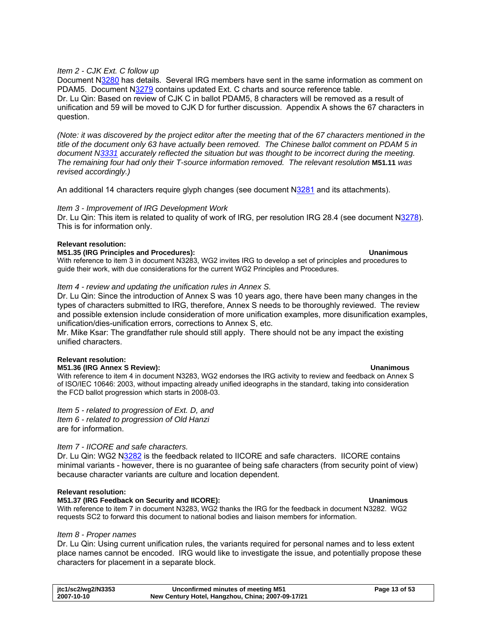### <span id="page-12-0"></span>*Item 2 - CJK Ext. C follow up*

Document N[3280](http://www.dkuug.dk/jtc1/sc2/wg2/docs/n3280.zip) has details. Several IRG members have sent in the same information as comment on PDAM5. Document [N3279](http://www.dkuug.dk/jtc1/sc2/wg2/docs/n3279.zip) contains updated Ext. C charts and source reference table. Dr. Lu Qin: Based on review of CJK C in ballot PDAM5, 8 characters will be removed as a result of unification and 59 will be moved to CJK D for further discussion. Appendix A shows the 67 characters in question.

*(Note: it was discovered by the project editor after the meeting that of the 67 characters mentioned in the title of the document only 63 have actually been removed. The Chinese ballot comment on PDAM 5 in document N[3331](http://www.dkuug.dk/jtc1/sc2/wg2/docs/n3331.pdf) accurately reflected the situation but was thought to be incorrect during the meeting. The remaining four had only their T-source information removed. The relevant resolution* **[M51.11](#page-42-0)** *was revised accordingly.)* 

An additional 14 characters require glyph changes (see document [N3281](http://www.dkuug.dk/jtc1/sc2/wg2/docs/n3281.doc) and its attachments).

### *Item 3 - Improvement of IRG Development Work*

Dr. Lu Qin: This item is related to quality of work of IRG, per resolution IRG 28.4 (see document [N3278\)](http://www.dkuug.dk/jtc1/sc2/wg2/docs/n3278.doc). This is for information only.

### **Relevant resolution:**

### **M51.35 (IRG Principles and Procedures): Unanimous**

With reference to item 3 in document N3283, WG2 invites IRG to develop a set of principles and procedures to guide their work, with due considerations for the current WG2 Principles and Procedures.

### *Item 4 - review and updating the unification rules in Annex S.*

Dr. Lu Qin: Since the introduction of Annex S was 10 years ago, there have been many changes in the types of characters submitted to IRG, therefore, Annex S needs to be thoroughly reviewed. The review and possible extension include consideration of more unification examples, more disunification examples, unification/dies-unification errors, corrections to Annex S, etc.

Mr. Mike Ksar: The grandfather rule should still apply. There should not be any impact the existing unified characters.

### **Relevant resolution:**

### **M51.36 (IRG Annex S Review): Unanimous**

With reference to item 4 in document N3283, WG2 endorses the IRG activity to review and feedback on Annex S of ISO/IEC 10646: 2003, without impacting already unified ideographs in the standard, taking into consideration the FCD ballot progression which starts in 2008-03.

*Item 5 - related to progression of Ext. D, and Item 6 - related to progression of Old Hanzi*  are for information.

### *Item 7 - IICORE and safe characters.*

Dr. Lu Qin: WG2 N[3282](http://www.dkuug.dk/jtc1/sc2/wg2/docs/n3282.doc) is the feedback related to IICORE and safe characters. IICORE contains minimal variants - however, there is no guarantee of being safe characters (from security point of view) because character variants are culture and location dependent.

### **Relevant resolution:**

### **M51.37 (IRG Feedback on Security and IICORE): Unanimous**

With reference to item 7 in document N3283, WG2 thanks the IRG for the feedback in document N3282. WG2 requests SC2 to forward this document to national bodies and liaison members for information.

### *Item 8 - Proper names*

Dr. Lu Qin: Using current unification rules, the variants required for personal names and to less extent place names cannot be encoded. IRG would like to investigate the issue, and potentially propose these characters for placement in a separate block.

| jtc1/sc2/wg2/N3353 | Unconfirmed minutes of meeting M51                | Page 13 of 53 |
|--------------------|---------------------------------------------------|---------------|
| 2007-10-10         | New Century Hotel, Hangzhou, China; 2007-09-17/21 |               |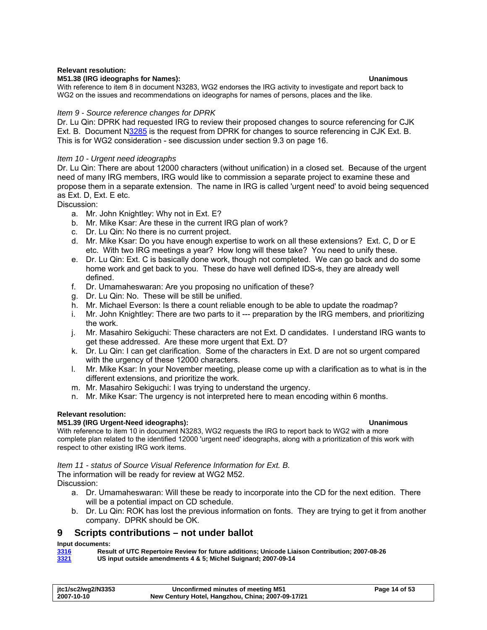### <span id="page-13-0"></span>**Relevant resolution:**

### **M51.38 (IRG ideographs for Names): Unanimous**

With reference to item 8 in document N3283, WG2 endorses the IRG activity to investigate and report back to WG2 on the issues and recommendations on ideographs for names of persons, places and the like.

### *Item 9 - Source reference changes for DPRK*

Dr. Lu Qin: DPRK had requested IRG to review their proposed changes to source referencing for CJK Ext. B. Document N[3285](http://www.dkuug.dk/jtc1/sc2/wg2/docs/n3285.doc) is the request from DPRK for changes to source referencing in CJK Ext. B. This is for WG2 consideration - see discussion under section [9.3](#page-15-1) on page [16.](#page-15-1)

### *Item 10 - Urgent need ideographs*

Dr. Lu Qin: There are about 12000 characters (without unification) in a closed set. Because of the urgent need of many IRG members, IRG would like to commission a separate project to examine these and propose them in a separate extension. The name in IRG is called 'urgent need' to avoid being sequenced as Ext. D, Ext. E etc.

Discussion:

- a. Mr. John Knightley: Why not in Ext. E?
- b. Mr. Mike Ksar: Are these in the current IRG plan of work?
- c. Dr. Lu Qin: No there is no current project.
- d. Mr. Mike Ksar: Do you have enough expertise to work on all these extensions? Ext. C, D or E etc. With two IRG meetings a year? How long will these take? You need to unify these.
- e. Dr. Lu Qin: Ext. C is basically done work, though not completed. We can go back and do some home work and get back to you. These do have well defined IDS-s, they are already well defined.
- f. Dr. Umamaheswaran: Are you proposing no unification of these?
- g. Dr. Lu Qin: No. These will be still be unified.
- h. Mr. Michael Everson: Is there a count reliable enough to be able to update the roadmap?
- i. Mr. John Knightley: There are two parts to it --- preparation by the IRG members, and prioritizing the work.
- j. Mr. Masahiro Sekiguchi: These characters are not Ext. D candidates. I understand IRG wants to get these addressed. Are these more urgent that Ext. D?
- k. Dr. Lu Qin: I can get clarification. Some of the characters in Ext. D are not so urgent compared with the urgency of these 12000 characters.
- l. Mr. Mike Ksar: In your November meeting, please come up with a clarification as to what is in the different extensions, and prioritize the work.
- m. Mr. Masahiro Sekiguchi: I was trying to understand the urgency.
- n. Mr. Mike Ksar: The urgency is not interpreted here to mean encoding within 6 months.

### **Relevant resolution:**

### **M51.39 (IRG Urgent-Need ideographs): Unanimous**

With reference to item 10 in document N3283, WG2 requests the IRG to report back to WG2 with a more complete plan related to the identified 12000 'urgent need' ideographs, along with a prioritization of this work with respect to other existing IRG work items.

*Item 11 - status of Source Visual Reference Information for Ext. B.* 

The information will be ready for review at WG2 M52.

Discussion:

- a. Dr. Umamaheswaran: Will these be ready to incorporate into the CD for the next edition. There will be a potential impact on CD schedule.
- b. Dr. Lu Qin: ROK has lost the previous information on fonts. They are trying to get it from another company. DPRK should be OK.

### **9 Scripts contributions – not under ballot**

### **Input documents:**

| 3316 | Result of UTC Repertoire Review for future additions; Unicode Liaison Contribution; 2007-08-26 |
|------|------------------------------------------------------------------------------------------------|
| 3321 | US input outside amendments 4 & 5; Michel Suignard; 2007-09-14                                 |

| jtc1/sc2/wg2/N3353 | Unconfirmed minutes of meeting M51                | Page 14 of 53 |
|--------------------|---------------------------------------------------|---------------|
| 2007-10-10         | New Century Hotel, Hangzhou, China; 2007-09-17/21 |               |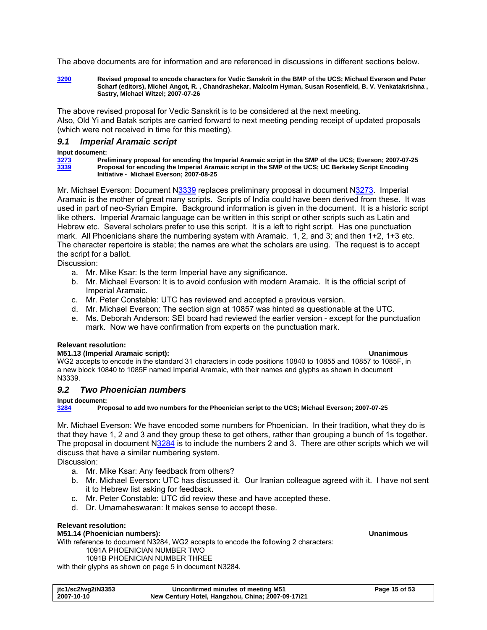<span id="page-14-0"></span>The above documents are for information and are referenced in discussions in different sections below.

**[3290](http://www.dkuug.dk/jtc1/sc2/wg2/docs/n3290.pdf) Revised proposal to encode characters for Vedic Sanskrit in the BMP of the UCS; Michael Everson and Peter Scharf (editors), Michel Angot, R. , Chandrashekar, Malcolm Hyman, Susan Rosenfield, B. V. Venkatakrishna , Sastry, Michael Witzel; 2007-07-26** 

The above revised proposal for Vedic Sanskrit is to be considered at the next meeting. Also, Old Yi and Batak scripts are carried forward to next meeting pending receipt of updated proposals (which were not received in time for this meeting).

### *9.1 Imperial Aramaic script*

### **Input document:**

**[3273](http://www.dkuug.dk/jtc1/sc2/wg2/docs/n3273.pdf) Preliminary proposal for encoding the Imperial Aramaic script in the SMP of the UCS; Everson; 2007-07-25 [3339](http://www.dkuug.dk/jtc1/sc2/wg2/docs/n3339.pdf) Proposal for encoding the Imperial Aramaic script in the SMP of the UCS; UC Berkeley Script Encoding Initiative - Michael Everson; 2007-08-25** 

Mr. Michael Everson: Document [N3339](http://www.dkuug.dk/jtc1/sc2/wg2/docs/n3339.pdf) replaces preliminary proposal in document [N3273.](http://www.dkuug.dk/jtc1/sc2/wg2/docs/n3273.pdf) Imperial Aramaic is the mother of great many scripts. Scripts of India could have been derived from these. It was used in part of neo-Syrian Empire. Background information is given in the document. It is a historic script like others. Imperial Aramaic language can be written in this script or other scripts such as Latin and Hebrew etc. Several scholars prefer to use this script. It is a left to right script. Has one punctuation mark. All Phoenicians share the numbering system with Aramaic. 1, 2, and 3; and then 1+2, 1+3 etc. The character repertoire is stable; the names are what the scholars are using. The request is to accept the script for a ballot.

Discussion:

- a. Mr. Mike Ksar: Is the term Imperial have any significance.
- b. Mr. Michael Everson: It is to avoid confusion with modern Aramaic. It is the official script of Imperial Aramaic.
- c. Mr. Peter Constable: UTC has reviewed and accepted a previous version.
- d. Mr. Michael Everson: The section sign at 10857 was hinted as questionable at the UTC.
- e. Ms. Deborah Anderson: SEI board had reviewed the earlier version except for the punctuation mark. Now we have confirmation from experts on the punctuation mark.

### **Relevant resolution:**

### **M51.13 (Imperial Aramaic script): Unanimous**

WG2 accepts to encode in the standard 31 characters in code positions 10840 to 10855 and 10857 to 1085F, in a new block 10840 to 1085F named Imperial Aramaic, with their names and glyphs as shown in document N3339.

### *9.2 Two Phoenician numbers*

### **Input document:**

**[3284](http://www.dkuug.dk/jtc1/sc2/wg2/docs/n3284.pdf) Proposal to add two numbers for the Phoenician script to the UCS; Michael Everson; 2007-07-25** 

Mr. Michael Everson: We have encoded some numbers for Phoenician. In their tradition, what they do is that they have 1, 2 and 3 and they group these to get others, rather than grouping a bunch of 1s together. The proposal in document N[3284](http://www.dkuug.dk/jtc1/sc2/wg2/docs/n3284.pdf) is to include the numbers 2 and 3. There are other scripts which we will discuss that have a similar numbering system.

Discussion:

- a. Mr. Mike Ksar: Any feedback from others?
- b. Mr. Michael Everson: UTC has discussed it. Our Iranian colleague agreed with it. I have not sent it to Hebrew list asking for feedback.
- c. Mr. Peter Constable: UTC did review these and have accepted these.
- d. Dr. Umamaheswaran: It makes sense to accept these.

### **Relevant resolution:**

### **M51.14 (Phoenician numbers): Unanimous**

With reference to document N3284, WG2 accepts to encode the following 2 characters:

1091A PHOENICIAN NUMBER TWO

1091B PHOENICIAN NUMBER THREE

with their glyphs as shown on page 5 in document N3284.

| itc1/sc2/wg2/N3353 | Unconfirmed minutes of meeting M51                | Page 15 of 53 |
|--------------------|---------------------------------------------------|---------------|
| 2007-10-10         | New Century Hotel, Hangzhou, China; 2007-09-17/21 |               |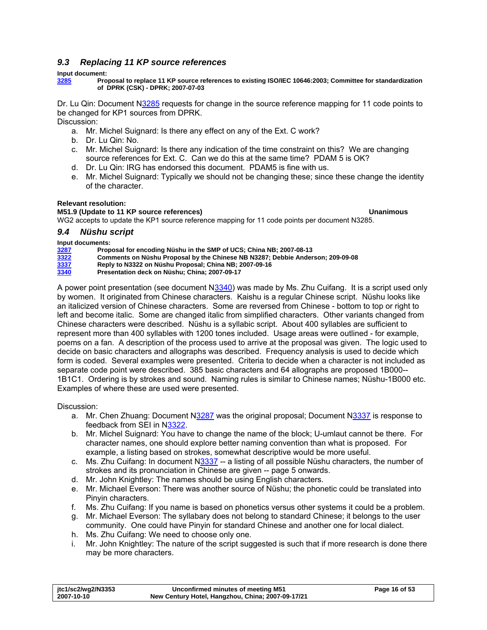# <span id="page-15-1"></span><span id="page-15-0"></span>*9.3 Replacing 11 KP source references*

### **Input document:**

**[3285](http://www.dkuug.dk/jtc1/sc2/wg2/docs/n3285.doc) Proposal to replace 11 KP source references to existing ISO/IEC 10646:2003; Committee for standardization of DPRK (CSK) - DPRK; 2007-07-03** 

Dr. Lu Qin: Document N[3285](http://www.dkuug.dk/jtc1/sc2/wg2/docs/n3285.doc) requests for change in the source reference mapping for 11 code points to be changed for KP1 sources from DPRK. Discussion:

- a. Mr. Michel Suignard: Is there any effect on any of the Ext. C work?
- b. Dr. Lu Qin: No.
- c. Mr. Michel Suignard: Is there any indication of the time constraint on this? We are changing source references for Ext. C. Can we do this at the same time? PDAM 5 is OK?
- d. Dr. Lu Qin: IRG has endorsed this document. PDAM5 is fine with us.
- e. Mr. Michel Suignard: Typically we should not be changing these; since these change the identity of the character.

### **Relevant resolution:**

**M51.9 (Update to 11 KP source references) Unanimous** 

WG2 accepts to update the KP1 source reference mapping for 11 code points per document N3285.

### *9.4 Nüshu script*

**Input documents:** 

| 3287 | Proposal for encoding Nüshu in the SMP of UCS: China NB: 2007-08-13            |
|------|--------------------------------------------------------------------------------|
| 3322 | Comments on Nüshu Proposal by the Chinese NB N3287: Debbie Anderson: 209-09-08 |
| 3337 | Reply to N3322 on Nüshu Proposal: China NB: 2007-09-16                         |
| 3340 | Presentation deck on Nüshu: China: 2007-09-17                                  |
|      |                                                                                |

A power point presentation (see document N[3340](http://www.dkuug.dk/jtc1/sc2/wg2/docs/n3340.pdf)) was made by Ms. Zhu Cuifang. It is a script used only by women. It originated from Chinese characters. Kaishu is a regular Chinese script. Nüshu looks like an italicized version of Chinese characters. Some are reversed from Chinese - bottom to top or right to left and become italic. Some are changed italic from simplified characters. Other variants changed from Chinese characters were described. Nüshu is a syllabic script. About 400 syllables are sufficient to represent more than 400 syllables with 1200 tones included. Usage areas were outlined - for example, poems on a fan. A description of the process used to arrive at the proposal was given. The logic used to decide on basic characters and allographs was described. Frequency analysis is used to decide which form is coded. Several examples were presented. Criteria to decide when a character is not included as separate code point were described. 385 basic characters and 64 allographs are proposed 1B000-- 1B1C1. Ordering is by strokes and sound. Naming rules is similar to Chinese names; Nüshu-1B000 etc. Examples of where these are used were presented.

- a. Mr. Chen Zhuang: Document N[3287](http://www.dkuug.dk/jtc1/sc2/wg2/docs/n3287.pdf) was the original proposal; Document N[3337](http://www.dkuug.dk/jtc1/sc2/wg2/docs/n3337.pdf) is response to feedback from SEI in N[3322](http://www.dkuug.dk/jtc1/sc2/wg2/docs/n3322.pdf).
- b. Mr. Michel Suignard: You have to change the name of the block; U-umlaut cannot be there. For character names, one should explore better naming convention than what is proposed. For example, a listing based on strokes, somewhat descriptive would be more useful.
- c. Ms. Zhu Cuifang: In document N[3337](http://www.dkuug.dk/jtc1/sc2/wg2/docs/n3337.pdf) -- a listing of all possible Nüshu characters, the number of strokes and its pronunciation in Chinese are given -- page 5 onwards.
- d. Mr. John Knightley: The names should be using English characters.
- e. Mr. Michael Everson: There was another source of Nüshu; the phonetic could be translated into Pinyin characters.
- f. Ms. Zhu Cuifang: If you name is based on phonetics versus other systems it could be a problem.
- g. Mr. Michael Everson: The syllabary does not belong to standard Chinese; it belongs to the user
- community. One could have Pinyin for standard Chinese and another one for local dialect.
- h. Ms. Zhu Cuifang: We need to choose only one.
- i. Mr. John Knightley: The nature of the script suggested is such that if more research is done there may be more characters.

| itc1/sc2/wg2/N3353 | Unconfirmed minutes of meeting M51                | Page 16 of 53 |
|--------------------|---------------------------------------------------|---------------|
| 2007-10-10         | New Century Hotel, Hangzhou, China; 2007-09-17/21 |               |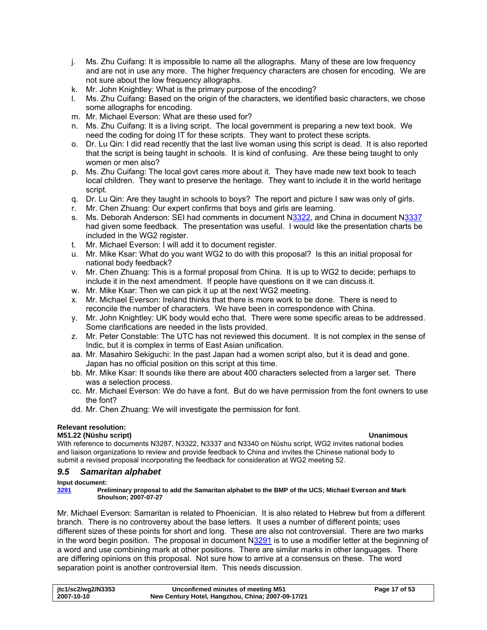- <span id="page-16-0"></span>j. Ms. Zhu Cuifang: It is impossible to name all the allographs. Many of these are low frequency and are not in use any more. The higher frequency characters are chosen for encoding. We are not sure about the low frequency allographs.
- k. Mr. John Knightley: What is the primary purpose of the encoding?
- l. Ms. Zhu Cuifang: Based on the origin of the characters, we identified basic characters, we chose some allographs for encoding.
- m. Mr. Michael Everson: What are these used for?
- n. Ms. Zhu Cuifang: It is a living script. The local government is preparing a new text book. We need the coding for doing IT for these scripts. They want to protect these scripts.
- o. Dr. Lu Qin: I did read recently that the last live woman using this script is dead. It is also reported that the script is being taught in schools. It is kind of confusing. Are these being taught to only women or men also?
- p. Ms. Zhu Cuifang: The local govt cares more about it. They have made new text book to teach local children. They want to preserve the heritage. They want to include it in the world heritage script.
- q. Dr. Lu Qin: Are they taught in schools to boys? The report and picture I saw was only of girls.
- r. Mr. Chen Zhuang: Our expert confirms that boys and girls are learning.
- s. Ms. Deborah Anderson: SEI had comments in document [N3322](http://www.dkuug.dk/jtc1/sc2/wg2/docs/n3322.pdf), and China in document N[3337](http://www.dkuug.dk/jtc1/sc2/wg2/docs/n3337.pdf) had given some feedback. The presentation was useful. I would like the presentation charts be included in the WG2 register.
- t. Mr. Michael Everson: I will add it to document register.
- u. Mr. Mike Ksar: What do you want WG2 to do with this proposal? Is this an initial proposal for national body feedback?
- v. Mr. Chen Zhuang: This is a formal proposal from China. It is up to WG2 to decide; perhaps to include it in the next amendment. If people have questions on it we can discuss it.
- w. Mr. Mike Ksar: Then we can pick it up at the next WG2 meeting.
- x. Mr. Michael Everson: Ireland thinks that there is more work to be done. There is need to reconcile the number of characters. We have been in correspondence with China.
- y. Mr. John Knightley: UK body would echo that. There were some specific areas to be addressed. Some clarifications are needed in the lists provided.
- z. Mr. Peter Constable: The UTC has not reviewed this document. It is not complex in the sense of Indic, but it is complex in terms of East Asian unification.
- aa. Mr. Masahiro Sekiguchi: In the past Japan had a women script also, but it is dead and gone. Japan has no official position on this script at this time.
- bb. Mr. Mike Ksar: It sounds like there are about 400 characters selected from a larger set. There was a selection process.
- cc. Mr. Michael Everson: We do have a font. But do we have permission from the font owners to use the font?
- dd. Mr. Chen Zhuang: We will investigate the permission for font.

### **Relevant resolution:**

### **M51.22 (Nüshu script) Unanimous**

With reference to documents N3287, N3322, N3337 and N3340 on Nüshu script, WG2 invites national bodies and liaison organizations to review and provide feedback to China and invites the Chinese national body to submit a revised proposal incorporating the feedback for consideration at WG2 meeting 52.

### *9.5 Samaritan alphabet*

### **Input document:**

**[3291](http://www.dkuug.dk/jtc1/sc2/wg2/docs/n3291.pdf) Preliminary proposal to add the Samaritan alphabet to the BMP of the UCS; Michael Everson and Mark Shoulson; 2007-07-27** 

Mr. Michael Everson: Samaritan is related to Phoenician. It is also related to Hebrew but from a different branch. There is no controversy about the base letters. It uses a number of different points; uses different sizes of these points for short and long. These are also not controversial. There are two marks in the word begin position. The proposal in document [N3291](http://www.dkuug.dk/jtc1/sc2/wg2/docs/n3291.pdf) is to use a modifier letter at the beginning of a word and use combining mark at other positions. There are similar marks in other languages. There are differing opinions on this proposal. Not sure how to arrive at a consensus on these. The word separation point is another controversial item. This needs discussion.

| itc1/sc2/wg2/N3353 | Unconfirmed minutes of meeting M51                | Page 17 of 53 |
|--------------------|---------------------------------------------------|---------------|
| 2007-10-10         | New Century Hotel, Hangzhou, China; 2007-09-17/21 |               |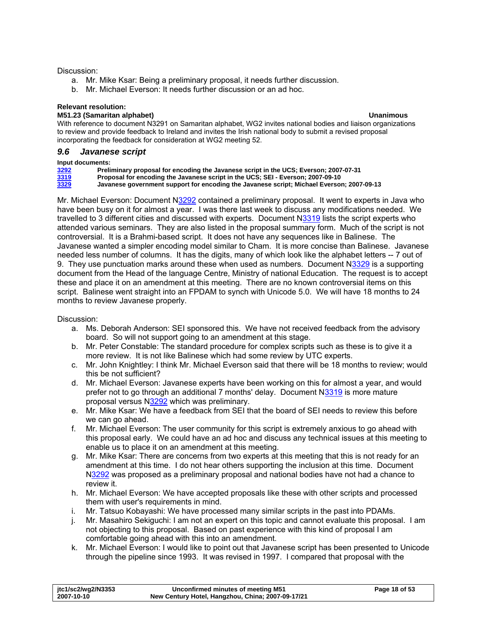### <span id="page-17-0"></span>Discussion:

- a. Mr. Mike Ksar: Being a preliminary proposal, it needs further discussion.
- b. Mr. Michael Everson: It needs further discussion or an ad hoc.

### **Relevant resolution:**

### **M51.23 (Samaritan alphabet) Unanimous**

With reference to document N3291 on Samaritan alphabet, WG2 invites national bodies and liaison organizations to review and provide feedback to Ireland and invites the Irish national body to submit a revised proposal incorporating the feedback for consideration at WG2 meeting 52.

### *9.6 Javanese script*

### **Input documents:**

**[3292](http://www.dkuug.dk/jtc1/sc2/wg2/docs/n3292.pdf) Preliminary proposal for encoding the Javanese script in the UCS; Everson; 2007-07-31** 

**[3319](http://www.dkuug.dk/jtc1/sc2/wg2/docs/n3319.pdf) Proposal for encoding the Javanese script in the UCS; SEI - Everson; 2007-09-10** 

**[3329](http://www.dkuug.dk/jtc1/sc2/wg2/docs/n3329.pdf) Javanese government support for encoding the Javanese script; Michael Everson; 2007-09-13** 

Mr. Michael Everson: Document [N3292](http://www.dkuug.dk/jtc1/sc2/wg2/docs/n3292.pdf) contained a preliminary proposal. It went to experts in Java who have been busy on it for almost a year. I was there last week to discuss any modifications needed. We travelled to 3 different cities and discussed with experts. Document N[3319](http://www.dkuug.dk/jtc1/sc2/wg2/docs/n3319.pdf) lists the script experts who attended various seminars. They are also listed in the proposal summary form. Much of the script is not controversial. It is a Brahmi-based script. It does not have any sequences like in Balinese. The Javanese wanted a simpler encoding model similar to Cham. It is more concise than Balinese. Javanese needed less number of columns. It has the digits, many of which look like the alphabet letters -- 7 out of 9. They use punctuation marks around these when used as numbers. Document N[3329](http://www.dkuug.dk/jtc1/sc2/wg2/docs/n3329.pdf) is a supporting document from the Head of the language Centre, Ministry of national Education. The request is to accept these and place it on an amendment at this meeting. There are no known controversial items on this script. Balinese went straight into an FPDAM to synch with Unicode 5.0. We will have 18 months to 24 months to review Javanese properly.

- a. Ms. Deborah Anderson: SEI sponsored this. We have not received feedback from the advisory board. So will not support going to an amendment at this stage.
- b. Mr. Peter Constable: The standard procedure for complex scripts such as these is to give it a more review. It is not like Balinese which had some review by UTC experts.
- c. Mr. John Knightley: I think Mr. Michael Everson said that there will be 18 months to review; would this be not sufficient?
- d. Mr. Michael Everson: Javanese experts have been working on this for almost a year, and would prefer not to go through an additional 7 months' delay. Document [N3319](http://www.dkuug.dk/jtc1/sc2/wg2/docs/n3319.pdf) is more mature proposal versus N[3292](http://www.dkuug.dk/jtc1/sc2/wg2/docs/n3292.pdf) which was preliminary.
- e. Mr. Mike Ksar: We have a feedback from SEI that the board of SEI needs to review this before we can go ahead.
- f. Mr. Michael Everson: The user community for this script is extremely anxious to go ahead with this proposal early. We could have an ad hoc and discuss any technical issues at this meeting to enable us to place it on an amendment at this meeting.
- g. Mr. Mike Ksar: There are concerns from two experts at this meeting that this is not ready for an amendment at this time. I do not hear others supporting the inclusion at this time. Document [N3292](http://www.dkuug.dk/jtc1/sc2/wg2/docs/n3292.pdf) was proposed as a preliminary proposal and national bodies have not had a chance to review it.
- h. Mr. Michael Everson: We have accepted proposals like these with other scripts and processed them with user's requirements in mind.
- i. Mr. Tatsuo Kobayashi: We have processed many similar scripts in the past into PDAMs.
- j. Mr. Masahiro Sekiguchi: I am not an expert on this topic and cannot evaluate this proposal. I am not objecting to this proposal. Based on past experience with this kind of proposal I am comfortable going ahead with this into an amendment.
- k. Mr. Michael Everson: I would like to point out that Javanese script has been presented to Unicode through the pipeline since 1993. It was revised in 1997. I compared that proposal with the

| itc1/sc2/wg2/N3353 | Unconfirmed minutes of meeting M51                | Page 18 of 53 |
|--------------------|---------------------------------------------------|---------------|
| 2007-10-10         | New Century Hotel, Hangzhou, China; 2007-09-17/21 |               |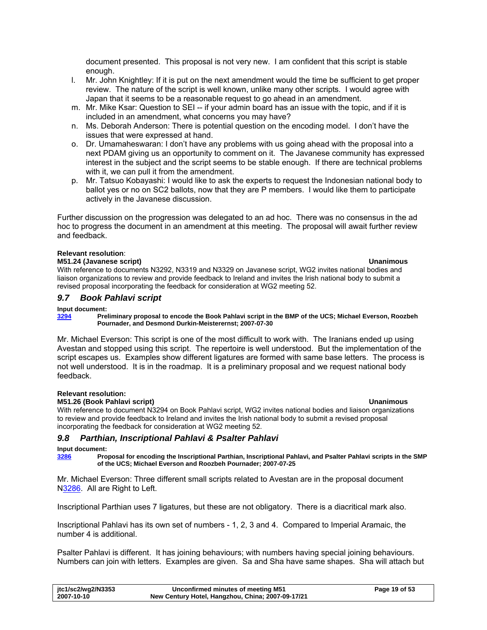<span id="page-18-0"></span>document presented. This proposal is not very new. I am confident that this script is stable enough.

- l. Mr. John Knightley: If it is put on the next amendment would the time be sufficient to get proper review. The nature of the script is well known, unlike many other scripts. I would agree with Japan that it seems to be a reasonable request to go ahead in an amendment.
- m. Mr. Mike Ksar: Question to SEI -- if your admin board has an issue with the topic, and if it is included in an amendment, what concerns you may have?
- n. Ms. Deborah Anderson: There is potential question on the encoding model. I don't have the issues that were expressed at hand.
- o. Dr. Umamaheswaran: I don't have any problems with us going ahead with the proposal into a next PDAM giving us an opportunity to comment on it. The Javanese community has expressed interest in the subject and the script seems to be stable enough. If there are technical problems with it, we can pull it from the amendment.
- p. Mr. Tatsuo Kobayashi: I would like to ask the experts to request the Indonesian national body to ballot yes or no on SC2 ballots, now that they are P members. I would like them to participate actively in the Javanese discussion.

Further discussion on the progression was delegated to an ad hoc. There was no consensus in the ad hoc to progress the document in an amendment at this meeting. The proposal will await further review and feedback.

### **Relevant resolution**:

### **M51.24 (Javanese script) Unanimous**

With reference to documents N3292, N3319 and N3329 on Javanese script, WG2 invites national bodies and liaison organizations to review and provide feedback to Ireland and invites the Irish national body to submit a revised proposal incorporating the feedback for consideration at WG2 meeting 52.

### *9.7 Book Pahlavi script*

### **Input document:**

### **[3294](http://www.dkuug.dk/jtc1/sc2/wg2/docs/n3294.pdf) Preliminary proposal to encode the Book Pahlavi script in the BMP of the UCS; Michael Everson, Roozbeh Pournader, and Desmond Durkin-Meisterernst; 2007-07-30**

Mr. Michael Everson: This script is one of the most difficult to work with. The Iranians ended up using Avestan and stopped using this script. The repertoire is well understood. But the implementation of the script escapes us. Examples show different ligatures are formed with same base letters. The process is not well understood. It is in the roadmap. It is a preliminary proposal and we request national body feedback.

### **Relevant resolution:**

### **M51.26 (Book Pahlavi script) Unanimous**

With reference to document N3294 on Book Pahlavi script, WG2 invites national bodies and liaison organizations to review and provide feedback to Ireland and invites the Irish national body to submit a revised proposal incorporating the feedback for consideration at WG2 meeting 52.

### *9.8 Parthian, Inscriptional Pahlavi & Psalter Pahlavi*

### **Input document:**

**[3286](http://www.dkuug.dk/jtc1/sc2/wg2/docs/n3286.pdf) Proposal for encoding the Inscriptional Parthian, Inscriptional Pahlavi, and Psalter Pahlavi scripts in the SMP of the UCS; Michael Everson and Roozbeh Pournader; 2007-07-25** 

Mr. Michael Everson: Three different small scripts related to Avestan are in the proposal document [N3286.](http://www.dkuug.dk/jtc1/sc2/wg2/docs/n3286.pdf) All are Right to Left.

Inscriptional Parthian uses 7 ligatures, but these are not obligatory. There is a diacritical mark also.

Inscriptional Pahlavi has its own set of numbers - 1, 2, 3 and 4. Compared to Imperial Aramaic, the number 4 is additional.

Psalter Pahlavi is different. It has joining behaviours; with numbers having special joining behaviours. Numbers can join with letters. Examples are given. Sa and Sha have same shapes. Sha will attach but

| jtc1/sc2/wg2/N3353 | Unconfirmed minutes of meeting M51                | Page 19 of 53 |
|--------------------|---------------------------------------------------|---------------|
| 2007-10-10         | New Century Hotel, Hangzhou, China; 2007-09-17/21 |               |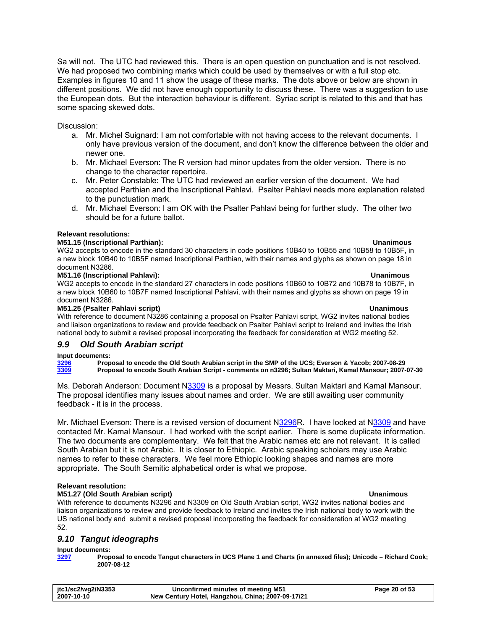<span id="page-19-0"></span>Sa will not. The UTC had reviewed this. There is an open question on punctuation and is not resolved. We had proposed two combining marks which could be used by themselves or with a full stop etc. Examples in figures 10 and 11 show the usage of these marks. The dots above or below are shown in different positions. We did not have enough opportunity to discuss these. There was a suggestion to use the European dots. But the interaction behaviour is different. Syriac script is related to this and that has some spacing skewed dots.

Discussion:

- a. Mr. Michel Suignard: I am not comfortable with not having access to the relevant documents. I only have previous version of the document, and don't know the difference between the older and newer one.
- b. Mr. Michael Everson: The R version had minor updates from the older version. There is no change to the character repertoire.
- c. Mr. Peter Constable: The UTC had reviewed an earlier version of the document. We had accepted Parthian and the Inscriptional Pahlavi. Psalter Pahlavi needs more explanation related to the punctuation mark.
- d. Mr. Michael Everson: I am OK with the Psalter Pahlavi being for further study. The other two should be for a future ballot.

### **Relevant resolutions:**

### **M51.15 (Inscriptional Parthian): Unanimous**

WG2 accepts to encode in the standard 30 characters in code positions 10B40 to 10B55 and 10B58 to 10B5F, in a new block 10B40 to 10B5F named Inscriptional Parthian, with their names and glyphs as shown on page 18 in document N3286.

### **M51.16 (Inscriptional Pahlavi): Unanimous**

WG2 accepts to encode in the standard 27 characters in code positions 10B60 to 10B72 and 10B78 to 10B7F, in a new block 10B60 to 10B7F named Inscriptional Pahlavi, with their names and glyphs as shown on page 19 in document N3286.

### **M51.25 (Psalter Pahlavi script) Unanimous**

With reference to document N3286 containing a proposal on Psalter Pahlavi script, WG2 invites national bodies and liaison organizations to review and provide feedback on Psalter Pahlavi script to Ireland and invites the Irish national body to submit a revised proposal incorporating the feedback for consideration at WG2 meeting 52.

### *9.9 Old South Arabian script*

### **Input documents:**

**[3296](http://www.dkuug.dk/jtc1/sc2/wg2/docs/n3296.pdf) Proposal to encode the Old South Arabian script in the SMP of the UCS; Everson & Yacob; 2007-08-29 [3309](http://www.dkuug.dk/jtc1/sc2/wg2/docs/n3309.pdf) Proposal to encode South Arabian Script - comments on n3296; Sultan Maktari, Kamal Mansour; 2007-07-30** 

Ms. Deborah Anderson: Document N[3309](http://www.dkuug.dk/jtc1/sc2/wg2/docs/n3309.pdf) is a proposal by Messrs. Sultan Maktari and Kamal Mansour. The proposal identifies many issues about names and order. We are still awaiting user community feedback - it is in the process.

Mr. Michael Everson: There is a revised version of document N[3296](http://www.dkuug.dk/jtc1/sc2/wg2/docs/n3296.pdf)R. I have looked at [N3309](http://www.dkuug.dk/jtc1/sc2/wg2/docs/n3309.pdf) and have contacted Mr. Kamal Mansour. I had worked with the script earlier. There is some duplicate information. The two documents are complementary. We felt that the Arabic names etc are not relevant. It is called South Arabian but it is not Arabic. It is closer to Ethiopic. Arabic speaking scholars may use Arabic names to refer to these characters. We feel more Ethiopic looking shapes and names are more appropriate. The South Semitic alphabetical order is what we propose.

### **Relevant resolution:**

### **M51.27 (Old South Arabian script) Unanimous**

With reference to documents N3296 and N3309 on Old South Arabian script, WG2 invites national bodies and liaison organizations to review and provide feedback to Ireland and invites the Irish national body to work with the US national body and submit a revised proposal incorporating the feedback for consideration at WG2 meeting 52.

### *9.10 Tangut ideographs*

## **Input documents:**

**[3297](http://www.dkuug.dk/jtc1/sc2/wg2/docs/n3297.pdf) Proposal to encode Tangut characters in UCS Plane 1 and Charts (in annexed files); Unicode – Richard Cook; 2007-08-12** 

| jtc1/sc2/wg2/N3353 | Unconfirmed minutes of meeting M51                | Page 20 of 53 |
|--------------------|---------------------------------------------------|---------------|
| 2007-10-10         | New Century Hotel, Hangzhou, China; 2007-09-17/21 |               |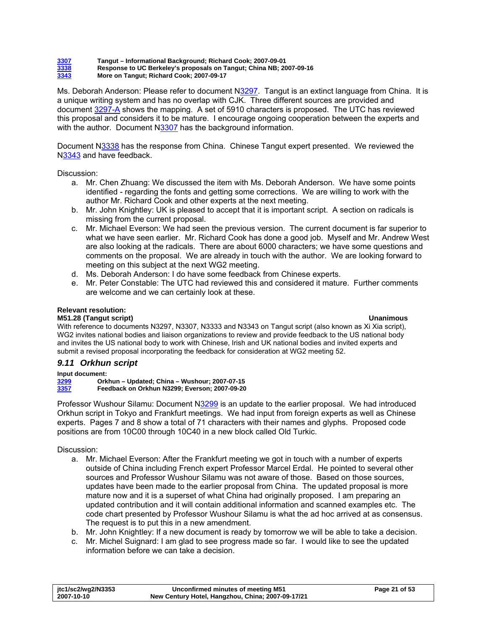<span id="page-20-0"></span>**[3307](http://www.dkuug.dk/jtc1/sc2/wg2/docs/n3307.pdf) Tangut – Informational Background; Richard Cook; 2007-09-01 [3338](http://www.dkuug.dk/jtc1/sc2/wg2/docs/n3338.pdf) Response to UC Berkeley's proposals on Tangut; China NB; 2007-09-16 [3343](http://www.dkuug.dk/jtc1/sc2/wg2/docs/n3343.pdf) More on Tangut; Richard Cook; 2007-09-17** 

Ms. Deborah Anderson: Please refer to document [N3297](http://www.dkuug.dk/jtc1/sc2/wg2/docs/n3297.pdf). Tangut is an extinct language from China. It is a unique writing system and has no overlap with CJK. Three different sources are provided and document [3297-A](http://www.dkuug.dk/jtc1/sc2/wg2/docs/n3297A.pdf) shows the mapping. A set of 5910 characters is proposed. The UTC has reviewed this proposal and considers it to be mature. I encourage ongoing cooperation between the experts and with the author. Document [N3307](http://www.dkuug.dk/jtc1/sc2/wg2/docs/n3307.pdf) has the background information.

Document N[3338](http://www.dkuug.dk/jtc1/sc2/wg2/docs/n3338.pdf) has the response from China. Chinese Tangut expert presented. We reviewed the [N3343](http://www.dkuug.dk/jtc1/sc2/wg2/docs/n3343.pdf) and have feedback.

Discussion:

- a. Mr. Chen Zhuang: We discussed the item with Ms. Deborah Anderson. We have some points identified - regarding the fonts and getting some corrections. We are willing to work with the author Mr. Richard Cook and other experts at the next meeting.
- b. Mr. John Knightley: UK is pleased to accept that it is important script. A section on radicals is missing from the current proposal.
- c. Mr. Michael Everson: We had seen the previous version. The current document is far superior to what we have seen earlier. Mr. Richard Cook has done a good job. Myself and Mr. Andrew West are also looking at the radicals. There are about 6000 characters; we have some questions and comments on the proposal. We are already in touch with the author. We are looking forward to meeting on this subject at the next WG2 meeting.
- d. Ms. Deborah Anderson: I do have some feedback from Chinese experts.
- e. Mr. Peter Constable: The UTC had reviewed this and considered it mature. Further comments are welcome and we can certainly look at these.

### **Relevant resolution:**

### **M51.28 (Tangut script) Unanimous**

With reference to documents N3297, N3307, N3333 and N3343 on Tangut script (also known as Xi Xia script), WG2 invites national bodies and liaison organizations to review and provide feedback to the US national body and invites the US national body to work with Chinese, Irish and UK national bodies and invited experts and submit a revised proposal incorporating the feedback for consideration at WG2 meeting 52.

### *9.11 Orkhun script*

**Input document:** 

**[3299](http://www.dkuug.dk/jtc1/sc2/wg2/docs/n3299.pdf) Orkhun – Updated; China – Wushour; 2007-07-15 [3357](http://www.dkuug.dk/jtc1/sc2/wg2/docs/n3357.pdf) Feedback on Orkhun N3299; Everson; 2007-09-20** 

Professor Wushour Silamu: Document [N3299](http://www.dkuug.dk/jtc1/sc2/wg2/docs/n3299.pdf) is an update to the earlier proposal. We had introduced Orkhun script in Tokyo and Frankfurt meetings. We had input from foreign experts as well as Chinese experts. Pages 7 and 8 show a total of 71 characters with their names and glyphs. Proposed code positions are from 10C00 through 10C40 in a new block called Old Turkic.

- a. Mr. Michael Everson: After the Frankfurt meeting we got in touch with a number of experts outside of China including French expert Professor Marcel Erdal. He pointed to several other sources and Professor Wushour Silamu was not aware of those. Based on those sources, updates have been made to the earlier proposal from China. The updated proposal is more mature now and it is a superset of what China had originally proposed. I am preparing an updated contribution and it will contain additional information and scanned examples etc. The code chart presented by Professor Wushour Silamu is what the ad hoc arrived at as consensus. The request is to put this in a new amendment.
- b. Mr. John Knightley: If a new document is ready by tomorrow we will be able to take a decision.
- c. Mr. Michel Suignard: I am glad to see progress made so far. I would like to see the updated information before we can take a decision.

| jtc1/sc2/wg2/N3353 | Unconfirmed minutes of meeting M51                | Page 21 of 53 |
|--------------------|---------------------------------------------------|---------------|
| 2007-10-10         | New Century Hotel, Hangzhou, China; 2007-09-17/21 |               |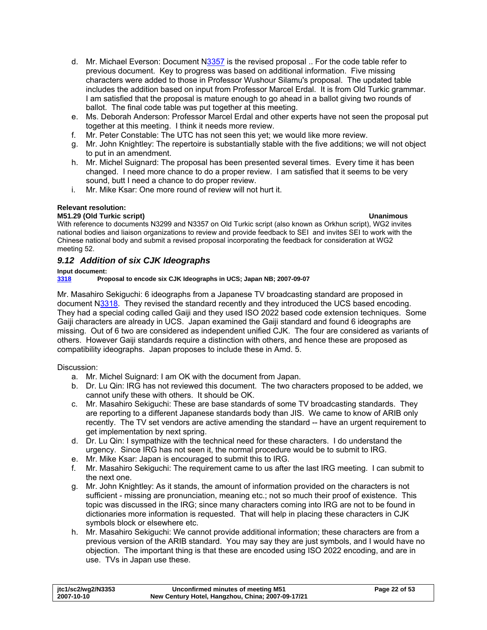- <span id="page-21-0"></span>d. Mr. Michael Everson: Document [N3357](http://www.dkuug.dk/jtc1/sc2/wg2/docs/n3357.pdf) is the revised proposal .. For the code table refer to previous document. Key to progress was based on additional information. Five missing characters were added to those in Professor Wushour Silamu's proposal. The updated table includes the addition based on input from Professor Marcel Erdal. It is from Old Turkic grammar. I am satisfied that the proposal is mature enough to go ahead in a ballot giving two rounds of ballot. The final code table was put together at this meeting.
- e. Ms. Deborah Anderson: Professor Marcel Erdal and other experts have not seen the proposal put together at this meeting. I think it needs more review.
- f. Mr. Peter Constable: The UTC has not seen this yet; we would like more review.
- g. Mr. John Knightley: The repertoire is substantially stable with the five additions; we will not object to put in an amendment.
- h. Mr. Michel Suignard: The proposal has been presented several times. Every time it has been changed. I need more chance to do a proper review. I am satisfied that it seems to be very sound, butt I need a chance to do proper review.
- i. Mr. Mike Ksar: One more round of review will not hurt it.

### **Relevant resolution:**

### **M51.29 (Old Turkic script) Unanimous**

With reference to documents N3299 and N3357 on Old Turkic script (also known as Orkhun script), WG2 invites national bodies and liaison organizations to review and provide feedback to SEI and invites SEI to work with the Chinese national body and submit a revised proposal incorporating the feedback for consideration at WG2 meeting 52.

# <span id="page-21-1"></span>*9.12 Addition of six CJK Ideographs*

### **Input document:**

**[3318](http://www.dkuug.dk/jtc1/sc2/wg2/docs/n3318.pdf) Proposal to encode six CJK Ideographs in UCS; Japan NB; 2007-09-07** 

Mr. Masahiro Sekiguchi: 6 ideographs from a Japanese TV broadcasting standard are proposed in document N[3318](http://www.dkuug.dk/jtc1/sc2/wg2/docs/n3318.pdf). They revised the standard recently and they introduced the UCS based encoding. They had a special coding called Gaiji and they used ISO 2022 based code extension techniques. Some Gaiji characters are already in UCS. Japan examined the Gaiji standard and found 6 ideographs are missing. Out of 6 two are considered as independent unified CJK. The four are considered as variants of others. However Gaiji standards require a distinction with others, and hence these are proposed as compatibility ideographs. Japan proposes to include these in Amd. 5.

- a. Mr. Michel Suignard: I am OK with the document from Japan.
- b. Dr. Lu Qin: IRG has not reviewed this document. The two characters proposed to be added, we cannot unify these with others. It should be OK.
- c. Mr. Masahiro Sekiguchi: These are base standards of some TV broadcasting standards. They are reporting to a different Japanese standards body than JIS. We came to know of ARIB only recently. The TV set vendors are active amending the standard -- have an urgent requirement to get implementation by next spring.
- d. Dr. Lu Qin: I sympathize with the technical need for these characters. I do understand the urgency. Since IRG has not seen it, the normal procedure would be to submit to IRG.
- e. Mr. Mike Ksar: Japan is encouraged to submit this to IRG.
- f. Mr. Masahiro Sekiguchi: The requirement came to us after the last IRG meeting. I can submit to the next one.
- g. Mr. John Knightley: As it stands, the amount of information provided on the characters is not sufficient - missing are pronunciation, meaning etc.; not so much their proof of existence. This topic was discussed in the IRG; since many characters coming into IRG are not to be found in dictionaries more information is requested. That will help in placing these characters in CJK symbols block or elsewhere etc.
- h. Mr. Masahiro Sekiguchi: We cannot provide additional information; these characters are from a previous version of the ARIB standard. You may say they are just symbols, and I would have no objection. The important thing is that these are encoded using ISO 2022 encoding, and are in use. TVs in Japan use these.

| jtc1/sc2/wg2/N3353 | Unconfirmed minutes of meeting M51                | Page 22 of 53 |
|--------------------|---------------------------------------------------|---------------|
| 2007-10-10         | New Century Hotel, Hangzhou, China; 2007-09-17/21 |               |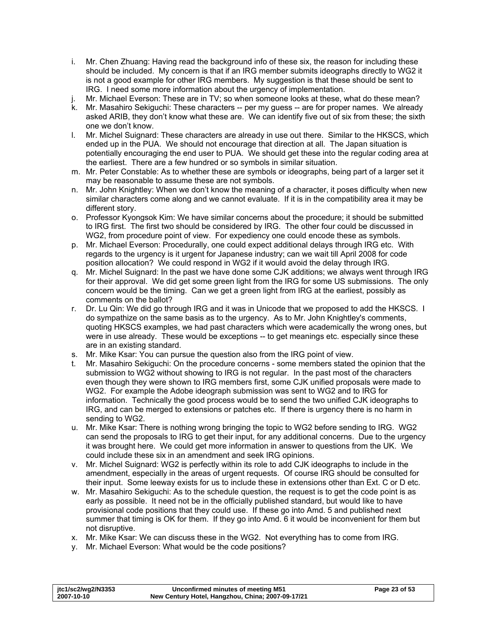- i. Mr. Chen Zhuang: Having read the background info of these six, the reason for including these should be included. My concern is that if an IRG member submits ideographs directly to WG2 it is not a good example for other IRG members. My suggestion is that these should be sent to IRG. I need some more information about the urgency of implementation.
- j. Mr. Michael Everson: These are in TV; so when someone looks at these, what do these mean?
- k. Mr. Masahiro Sekiguchi: These characters -- per my guess -- are for proper names. We already asked ARIB, they don't know what these are. We can identify five out of six from these; the sixth one we don't know.
- l. Mr. Michel Suignard: These characters are already in use out there. Similar to the HKSCS, which ended up in the PUA. We should not encourage that direction at all. The Japan situation is potentially encouraging the end user to PUA. We should get these into the regular coding area at the earliest. There are a few hundred or so symbols in similar situation.
- m. Mr. Peter Constable: As to whether these are symbols or ideographs, being part of a larger set it may be reasonable to assume these are not symbols.
- n. Mr. John Knightley: When we don't know the meaning of a character, it poses difficulty when new similar characters come along and we cannot evaluate. If it is in the compatibility area it may be different story.
- o. Professor Kyongsok Kim: We have similar concerns about the procedure; it should be submitted to IRG first. The first two should be considered by IRG. The other four could be discussed in WG2, from procedure point of view. For expediency one could encode these as symbols.
- p. Mr. Michael Everson: Procedurally, one could expect additional delays through IRG etc. With regards to the urgency is it urgent for Japanese industry; can we wait till April 2008 for code position allocation? We could respond in WG2 if it would avoid the delay through IRG.
- q. Mr. Michel Suignard: In the past we have done some CJK additions; we always went through IRG for their approval. We did get some green light from the IRG for some US submissions. The only concern would be the timing. Can we get a green light from IRG at the earliest, possibly as comments on the ballot?
- r. Dr. Lu Qin: We did go through IRG and it was in Unicode that we proposed to add the HKSCS. I do sympathize on the same basis as to the urgency. As to Mr. John Knightley's comments, quoting HKSCS examples, we had past characters which were academically the wrong ones, but were in use already. These would be exceptions -- to get meanings etc. especially since these are in an existing standard.
- s. Mr. Mike Ksar: You can pursue the question also from the IRG point of view.
- t. Mr. Masahiro Sekiguchi: On the procedure concerns some members stated the opinion that the submission to WG2 without showing to IRG is not regular. In the past most of the characters even though they were shown to IRG members first, some CJK unified proposals were made to WG2. For example the Adobe ideograph submission was sent to WG2 and to IRG for information. Technically the good process would be to send the two unified CJK ideographs to IRG, and can be merged to extensions or patches etc. If there is urgency there is no harm in sending to WG2.
- u. Mr. Mike Ksar: There is nothing wrong bringing the topic to WG2 before sending to IRG. WG2 can send the proposals to IRG to get their input, for any additional concerns. Due to the urgency it was brought here. We could get more information in answer to questions from the UK. We could include these six in an amendment and seek IRG opinions.
- v. Mr. Michel Suignard: WG2 is perfectly within its role to add CJK ideographs to include in the amendment, especially in the areas of urgent requests. Of course IRG should be consulted for their input. Some leeway exists for us to include these in extensions other than Ext. C or D etc.
- w. Mr. Masahiro Sekiguchi: As to the schedule question, the request is to get the code point is as early as possible. It need not be in the officially published standard, but would like to have provisional code positions that they could use. If these go into Amd. 5 and published next summer that timing is OK for them. If they go into Amd. 6 it would be inconvenient for them but not disruptive.
- x. Mr. Mike Ksar: We can discuss these in the WG2. Not everything has to come from IRG.
- y. Mr. Michael Everson: What would be the code positions?

| itc1/sc2/wg2/N3353 | Unconfirmed minutes of meeting M51                | Page 23 of 53 |
|--------------------|---------------------------------------------------|---------------|
| 2007-10-10         | New Century Hotel, Hangzhou, China; 2007-09-17/21 |               |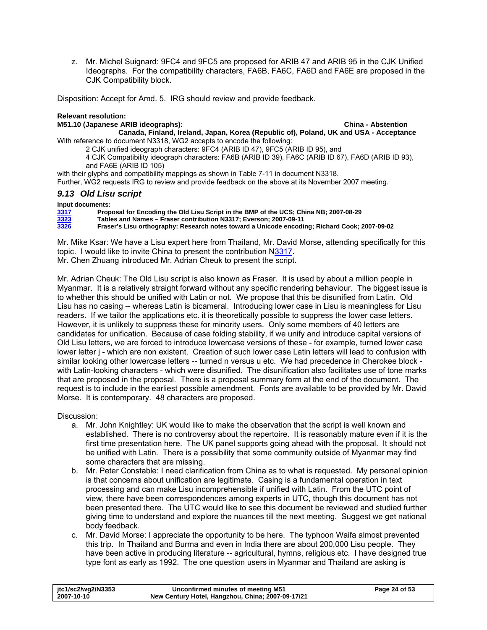<span id="page-23-0"></span>z. Mr. Michel Suignard: 9FC4 and 9FC5 are proposed for ARIB 47 and ARIB 95 in the CJK Unified Ideographs. For the compatibility characters, FA6B, FA6C, FA6D and FA6E are proposed in the CJK Compatibility block.

Disposition: Accept for Amd. 5. IRG should review and provide feedback.

### **Relevant resolution:**

<span id="page-23-1"></span>**M51.10 (Japanese ARIB ideographs): China - Abstention** 

**Canada, Finland, Ireland, Japan, Korea (Republic of), Poland, UK and USA - Acceptance**  With reference to document N3318, WG2 accepts to encode the following:

2 CJK unified ideograph characters: 9FC4 (ARIB ID 47), 9FC5 (ARIB ID 95), and

4 CJK Compatibility ideograph characters: FA6B (ARIB ID 39), FA6C (ARIB ID 67), FA6D (ARIB ID 93), and FA6E (ARIB ID 105)

with their glyphs and compatibility mappings as shown in Table 7-11 in document N3318. Further, WG2 requests IRG to review and provide feedback on the above at its November 2007 meeting.

# *9.13 Old Lisu script*

### **Input documents:**

**[3317](http://www.dkuug.dk/jtc1/sc2/wg2/docs/n3317.pdf) Proposal for Encoding the Old Lisu Script in the BMP of the UCS; China NB; 2007-08-29** 

**[3323](http://www.dkuug.dk/jtc1/sc2/wg2/docs/n3323.pdf) Tables and Names – Fraser contribution N3317; Everson; 2007-09-11 [3326](http://www.dkuug.dk/jtc1/sc2/wg2/docs/n3326.pdf) Fraser's Lisu orthography: Research notes toward a Unicode encoding; Richard Cook; 2007-09-02** 

Mr. Mike Ksar: We have a Lisu expert here from Thailand, Mr. David Morse, attending specifically for this topic. I would like to invite China to present the contribution [N3317.](http://www.dkuug.dk/jtc1/sc2/wg2/docs/n3317.pdf) Mr. Chen Zhuang introduced Mr. Adrian Cheuk to present the script.

Mr. Adrian Cheuk: The Old Lisu script is also known as Fraser. It is used by about a million people in Myanmar. It is a relatively straight forward without any specific rendering behaviour. The biggest issue is to whether this should be unified with Latin or not. We propose that this be disunified from Latin. Old Lisu has no casing -- whereas Latin is bicameral. Introducing lower case in Lisu is meaningless for Lisu readers. If we tailor the applications etc. it is theoretically possible to suppress the lower case letters. However, it is unlikely to suppress these for minority users. Only some members of 40 letters are candidates for unification. Because of case folding stability, if we unify and introduce capital versions of Old Lisu letters, we are forced to introduce lowercase versions of these - for example, turned lower case lower letter j - which are non existent. Creation of such lower case Latin letters will lead to confusion with similar looking other lowercase letters -- turned n versus u etc. We had precedence in Cherokee block with Latin-looking characters - which were disunified. The disunification also facilitates use of tone marks that are proposed in the proposal. There is a proposal summary form at the end of the document. The request is to include in the earliest possible amendment. Fonts are available to be provided by Mr. David Morse. It is contemporary. 48 characters are proposed.

- a. Mr. John Knightley: UK would like to make the observation that the script is well known and established. There is no controversy about the repertoire. It is reasonably mature even if it is the first time presentation here. The UK panel supports going ahead with the proposal. It should not be unified with Latin. There is a possibility that some community outside of Myanmar may find some characters that are missing.
- b. Mr. Peter Constable: I need clarification from China as to what is requested. My personal opinion is that concerns about unification are legitimate. Casing is a fundamental operation in text processing and can make Lisu incomprehensible if unified with Latin. From the UTC point of view, there have been correspondences among experts in UTC, though this document has not been presented there. The UTC would like to see this document be reviewed and studied further giving time to understand and explore the nuances till the next meeting. Suggest we get national body feedback.
- c. Mr. David Morse: I appreciate the opportunity to be here. The typhoon Waifa almost prevented this trip. In Thailand and Burma and even in India there are about 200,000 Lisu people. They have been active in producing literature -- agricultural, hymns, religious etc. I have designed true type font as early as 1992. The one question users in Myanmar and Thailand are asking is

| jtc1/sc2/wg2/N3353 | Unconfirmed minutes of meeting M51                | Page 24 of 53 |
|--------------------|---------------------------------------------------|---------------|
| 2007-10-10         | New Century Hotel, Hangzhou, China; 2007-09-17/21 |               |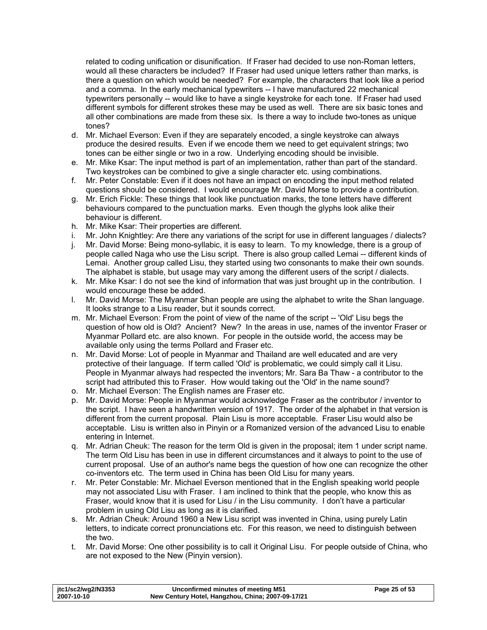related to coding unification or disunification. If Fraser had decided to use non-Roman letters, would all these characters be included? If Fraser had used unique letters rather than marks, is there a question on which would be needed? For example, the characters that look like a period and a comma. In the early mechanical typewriters -- I have manufactured 22 mechanical typewriters personally -- would like to have a single keystroke for each tone. If Fraser had used different symbols for different strokes these may be used as well. There are six basic tones and all other combinations are made from these six. Is there a way to include two-tones as unique tones?

- d. Mr. Michael Everson: Even if they are separately encoded, a single keystroke can always produce the desired results. Even if we encode them we need to get equivalent strings; two tones can be either single or two in a row. Underlying encoding should be invisible.
- e. Mr. Mike Ksar: The input method is part of an implementation, rather than part of the standard. Two keystrokes can be combined to give a single character etc. using combinations.
- f. Mr. Peter Constable: Even if it does not have an impact on encoding the input method related questions should be considered. I would encourage Mr. David Morse to provide a contribution.
- g. Mr. Erich Fickle: These things that look like punctuation marks, the tone letters have different behaviours compared to the punctuation marks. Even though the glyphs look alike their behaviour is different.
- h. Mr. Mike Ksar: Their properties are different.
- i. Mr. John Knightley: Are there any variations of the script for use in different languages / dialects?
- j. Mr. David Morse: Being mono-syllabic, it is easy to learn. To my knowledge, there is a group of people called Naga who use the Lisu script. There is also group called Lemai -- different kinds of Lemai. Another group called Lisu, they started using two consonants to make their own sounds. The alphabet is stable, but usage may vary among the different users of the script / dialects.
- k. Mr. Mike Ksar: I do not see the kind of information that was just brought up in the contribution. I would encourage these be added.
- l. Mr. David Morse: The Myanmar Shan people are using the alphabet to write the Shan language. It looks strange to a Lisu reader, but it sounds correct.
- m. Mr. Michael Everson: From the point of view of the name of the script -- 'Old' Lisu begs the question of how old is Old? Ancient? New? In the areas in use, names of the inventor Fraser or Myanmar Pollard etc. are also known. For people in the outside world, the access may be available only using the terms Pollard and Fraser etc.
- n. Mr. David Morse: Lot of people in Myanmar and Thailand are well educated and are very protective of their language. If term called 'Old' is problematic, we could simply call it Lisu. People in Myanmar always had respected the inventors; Mr. Sara Ba Thaw - a contributor to the script had attributed this to Fraser. How would taking out the 'Old' in the name sound?
- o. Mr. Michael Everson: The English names are Fraser etc.
- p. Mr. David Morse: People in Myanmar would acknowledge Fraser as the contributor / inventor to the script. I have seen a handwritten version of 1917. The order of the alphabet in that version is different from the current proposal. Plain Lisu is more acceptable. Fraser Lisu would also be acceptable. Lisu is written also in Pinyin or a Romanized version of the advanced Lisu to enable entering in Internet.
- q. Mr. Adrian Cheuk: The reason for the term Old is given in the proposal; item 1 under script name. The term Old Lisu has been in use in different circumstances and it always to point to the use of current proposal. Use of an author's name begs the question of how one can recognize the other co-inventors etc. The term used in China has been Old Lisu for many years.
- r. Mr. Peter Constable: Mr. Michael Everson mentioned that in the English speaking world people may not associated Lisu with Fraser. I am inclined to think that the people, who know this as Fraser, would know that it is used for Lisu / in the Lisu community. I don't have a particular problem in using Old Lisu as long as it is clarified.
- s. Mr. Adrian Cheuk: Around 1960 a New Lisu script was invented in China, using purely Latin letters, to indicate correct pronunciations etc. For this reason, we need to distinguish between the two.
- t. Mr. David Morse: One other possibility is to call it Original Lisu. For people outside of China, who are not exposed to the New (Pinyin version).

| jtc1/sc2/wg2/N3353 | Unconfirmed minutes of meeting M51                | Page 25 of 53 |
|--------------------|---------------------------------------------------|---------------|
| 2007-10-10         | New Century Hotel, Hangzhou, China; 2007-09-17/21 |               |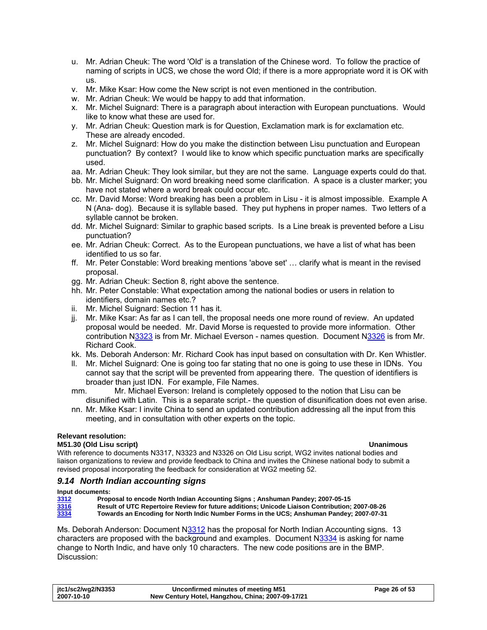- <span id="page-25-0"></span>u. Mr. Adrian Cheuk: The word 'Old' is a translation of the Chinese word. To follow the practice of naming of scripts in UCS, we chose the word Old; if there is a more appropriate word it is OK with us.
- v. Mr. Mike Ksar: How come the New script is not even mentioned in the contribution.
- w. Mr. Adrian Cheuk: We would be happy to add that information.
- x. Mr. Michel Suignard: There is a paragraph about interaction with European punctuations. Would like to know what these are used for.
- y. Mr. Adrian Cheuk: Question mark is for Question, Exclamation mark is for exclamation etc. These are already encoded.
- z. Mr. Michel Suignard: How do you make the distinction between Lisu punctuation and European punctuation? By context? I would like to know which specific punctuation marks are specifically used.
- aa. Mr. Adrian Cheuk: They look similar, but they are not the same. Language experts could do that.
- bb. Mr. Michel Suignard: On word breaking need some clarification. A space is a cluster marker; you have not stated where a word break could occur etc.
- cc. Mr. David Morse: Word breaking has been a problem in Lisu it is almost impossible. Example A N (Ana- dog). Because it is syllable based. They put hyphens in proper names. Two letters of a syllable cannot be broken.
- dd. Mr. Michel Suignard: Similar to graphic based scripts. Is a Line break is prevented before a Lisu punctuation?
- ee. Mr. Adrian Cheuk: Correct. As to the European punctuations, we have a list of what has been identified to us so far.
- ff. Mr. Peter Constable: Word breaking mentions 'above set' … clarify what is meant in the revised proposal.
- gg. Mr. Adrian Cheuk: Section 8, right above the sentence.
- hh. Mr. Peter Constable: What expectation among the national bodies or users in relation to identifiers, domain names etc.?
- ii. Mr. Michel Suignard: Section 11 has it.
- jj. Mr. Mike Ksar: As far as I can tell, the proposal needs one more round of review. An updated proposal would be needed. Mr. David Morse is requested to provide more information. Other contribution N[3323](http://www.dkuug.dk/jtc1/sc2/wg2/docs/n3323.pdf) is from Mr. Michael Everson - names question. Document [N3326](http://www.dkuug.dk/jtc1/sc2/wg2/docs/n3326.pdf) is from Mr. Richard Cook.
- kk. Ms. Deborah Anderson: Mr. Richard Cook has input based on consultation with Dr. Ken Whistler.
- ll. Mr. Michel Suignard: One is going too far stating that no one is going to use these in IDNs. You cannot say that the script will be prevented from appearing there. The question of identifiers is broader than just IDN. For example, File Names.
- mm. Mr. Michael Everson: Ireland is completely opposed to the notion that Lisu can be disunified with Latin. This is a separate script.- the question of disunification does not even arise.
- nn. Mr. Mike Ksar: I invite China to send an updated contribution addressing all the input from this meeting, and in consultation with other experts on the topic.

### **Relevant resolution:**

### **M51.30 (Old Lisu script) Unanimous**

With reference to documents N3317, N3323 and N3326 on Old Lisu script, WG2 invites national bodies and liaison organizations to review and provide feedback to China and invites the Chinese national body to submit a revised proposal incorporating the feedback for consideration at WG2 meeting 52.

### *9.14 North Indian accounting signs*

### **Input documents:**

| Proposal to encode North Indian Accounting Signs; Anshuman Pandey; 2007-05-15<br>3312 |      |                                                                                                |
|---------------------------------------------------------------------------------------|------|------------------------------------------------------------------------------------------------|
|                                                                                       |      |                                                                                                |
|                                                                                       | 3316 | Result of UTC Repertoire Review for future additions; Unicode Liaison Contribution; 2007-08-26 |
| 3334                                                                                  |      | Towards an Encoding for North Indic Number Forms in the UCS; Anshuman Pandey; 2007-07-31       |

Ms. Deborah Anderson: Document N[3312](http://www.dkuug.dk/jtc1/sc2/wg2/docs/n3312.pdf) has the proposal for North Indian Accounting signs. 13 characters are proposed with the background and examples. Document N[3334](http://www.dkuug.dk/jtc1/sc2/wg2/docs/n3334.pdf) is asking for name change to North Indic, and have only 10 characters. The new code positions are in the BMP. Discussion:

| jtc1/sc2/wg2/N3353 | Unconfirmed minutes of meeting M51                | Page 26 of 53 |
|--------------------|---------------------------------------------------|---------------|
| 2007-10-10         | New Century Hotel, Hangzhou, China; 2007-09-17/21 |               |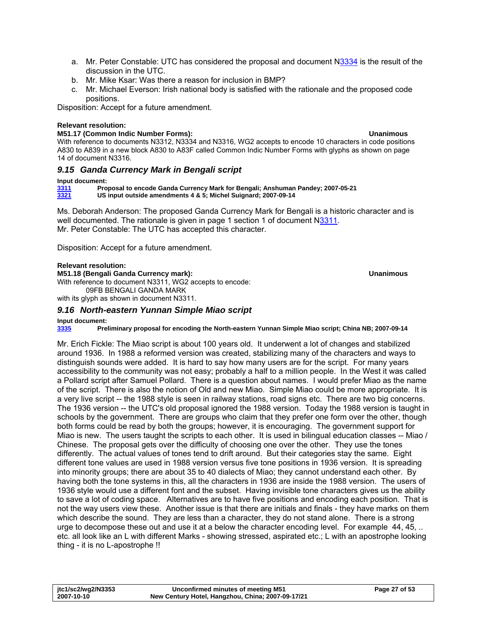- <span id="page-26-0"></span>a. Mr. Peter Constable: UTC has considered the proposal and document N[3334](http://www.dkuug.dk/jtc1/sc2/wg2/docs/n3334.pdf) is the result of the discussion in the UTC.
- b. Mr. Mike Ksar: Was there a reason for inclusion in BMP?
- c. Mr. Michael Everson: Irish national body is satisfied with the rationale and the proposed code positions.

Disposition: Accept for a future amendment.

### **Relevant resolution:**

### **M51.17 (Common Indic Number Forms): Unanimous**

With reference to documents N3312, N3334 and N3316, WG2 accepts to encode 10 characters in code positions A830 to A839 in a new block A830 to A83F called Common Indic Number Forms with glyphs as shown on page 14 of document N3316.

### *9.15 Ganda Currency Mark in Bengali script*

### **Input document:**

**[3311](http://www.dkuug.dk/jtc1/sc2/wg2/docs/n3311.pdf) Proposal to encode Ganda Currency Mark for Bengali; Anshuman Pandey; 2007-05-21 [3321](http://www.dkuug.dk/jtc1/sc2/wg2/docs/n3321.pdf) US input outside amendments 4 & 5; Michel Suignard; 2007-09-14** 

Ms. Deborah Anderson: The proposed Ganda Currency Mark for Bengali is a historic character and is well documented. The rationale is given in page 1 section 1 of document [N3311](http://www.dkuug.dk/jtc1/sc2/wg2/docs/n3311.pdf). Mr. Peter Constable: The UTC has accepted this character.

Disposition: Accept for a future amendment.

### **Relevant resolution:**

**M51.18 (Bengali Ganda Currency mark): Unanimous**  With reference to document N3311, WG2 accepts to encode: 09FB BENGALI GANDA MARK with its glyph as shown in document N3311.

### *9.16 North-eastern Yunnan Simple Miao script*

**Input document:** 

**[3335](http://www.dkuug.dk/jtc1/sc2/wg2/docs/n3335.pdf) Preliminary proposal for encoding the North-eastern Yunnan Simple Miao script; China NB; 2007-09-14** 

Mr. Erich Fickle: The Miao script is about 100 years old. It underwent a lot of changes and stabilized around 1936. In 1988 a reformed version was created, stabilizing many of the characters and ways to distinguish sounds were added. It is hard to say how many users are for the script. For many years accessibility to the community was not easy; probably a half to a million people. In the West it was called a Pollard script after Samuel Pollard. There is a question about names. I would prefer Miao as the name of the script. There is also the notion of Old and new Miao. Simple Miao could be more appropriate. It is a very live script -- the 1988 style is seen in railway stations, road signs etc. There are two big concerns. The 1936 version -- the UTC's old proposal ignored the 1988 version. Today the 1988 version is taught in schools by the government. There are groups who claim that they prefer one form over the other, though both forms could be read by both the groups; however, it is encouraging. The government support for Miao is new. The users taught the scripts to each other. It is used in bilingual education classes -- Miao / Chinese. The proposal gets over the difficulty of choosing one over the other. They use the tones differently. The actual values of tones tend to drift around. But their categories stay the same. Eight different tone values are used in 1988 version versus five tone positions in 1936 version. It is spreading into minority groups; there are about 35 to 40 dialects of Miao; they cannot understand each other. By having both the tone systems in this, all the characters in 1936 are inside the 1988 version. The users of 1936 style would use a different font and the subset. Having invisible tone characters gives us the ability to save a lot of coding space. Alternatives are to have five positions and encoding each position. That is not the way users view these. Another issue is that there are initials and finals - they have marks on them which describe the sound. They are less than a character, they do not stand alone. There is a strong urge to decompose these out and use it at a below the character encoding level. For example 44, 45, .. etc. all look like an L with different Marks - showing stressed, aspirated etc.; L with an apostrophe looking thing - it is no L-apostrophe !!

| jtc1/sc2/wg2/N3353 | Unconfirmed minutes of meeting M51                | Page 27 of 53 |
|--------------------|---------------------------------------------------|---------------|
| 2007-10-10         | New Century Hotel, Hangzhou, China; 2007-09-17/21 |               |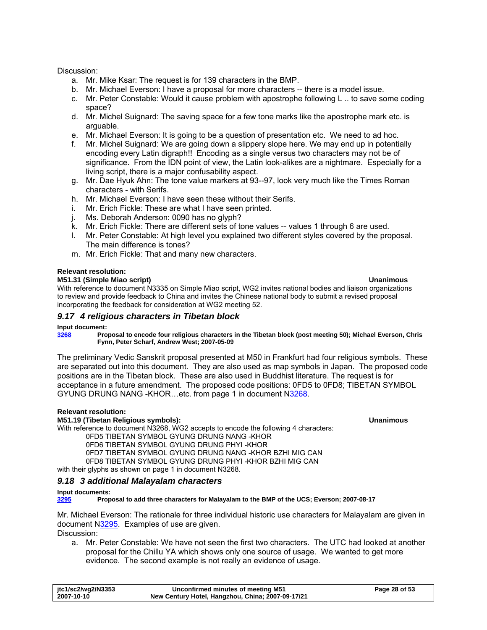### <span id="page-27-0"></span>Discussion:

- a. Mr. Mike Ksar: The request is for 139 characters in the BMP.
- b. Mr. Michael Everson: I have a proposal for more characters -- there is a model issue.
- c. Mr. Peter Constable: Would it cause problem with apostrophe following L .. to save some coding space?
- d. Mr. Michel Suignard: The saving space for a few tone marks like the apostrophe mark etc. is arguable.
- e. Mr. Michael Everson: It is going to be a question of presentation etc. We need to ad hoc.
- f. Mr. Michel Suignard: We are going down a slippery slope here. We may end up in potentially encoding every Latin digraph!! Encoding as a single versus two characters may not be of significance. From the IDN point of view, the Latin look-alikes are a nightmare. Especially for a living script, there is a major confusability aspect.
- g. Mr. Dae Hyuk Ahn: The tone value markers at 93--97, look very much like the Times Roman characters - with Serifs.
- h. Mr. Michael Everson: I have seen these without their Serifs.
- i. Mr. Erich Fickle: These are what I have seen printed.
- j. Ms. Deborah Anderson: 0090 has no glyph?
- k. Mr. Erich Fickle: There are different sets of tone values -- values 1 through 6 are used.
- l. Mr. Peter Constable: At high level you explained two different styles covered by the proposal. The main difference is tones?
- m. Mr. Erich Fickle: That and many new characters.

### **Relevant resolution:**

### **M51.31 (Simple Miao script) Unanimous**

With reference to document N3335 on Simple Miao script, WG2 invites national bodies and liaison organizations to review and provide feedback to China and invites the Chinese national body to submit a revised proposal incorporating the feedback for consideration at WG2 meeting 52.

### *9.17 4 religious characters in Tibetan block*

### **Input document:**

**[3268](http://www.dkuug.dk/jtc1/sc2/wg2/docs/n3268.pdf) Proposal to encode four religious characters in the Tibetan block (post meeting 50); Michael Everson, Chris Fynn, Peter Scharf, Andrew West; 2007-05-09** 

The preliminary Vedic Sanskrit proposal presented at M50 in Frankfurt had four religious symbols. These are separated out into this document. They are also used as map symbols in Japan. The proposed code positions are in the Tibetan block. These are also used in Buddhist literature. The request is for acceptance in a future amendment. The proposed code positions: 0FD5 to 0FD8; TIBETAN SYMBOL GYUNG DRUNG NANG -KHOR…etc. from page 1 in document [N3268.](http://www.dkuug.dk/jtc1/sc2/wg2/docs/n3268.pdf)

### **Relevant resolution:**

### **M51.19 (Tibetan Religious symbols): Unanimous**

With reference to document N3268, WG2 accepts to encode the following 4 characters:

0FD5 TIBETAN SYMBOL GYUNG DRUNG NANG -KHOR

0FD6 TIBETAN SYMBOL GYUNG DRUNG PHYI -KHOR

0FD7 TIBETAN SYMBOL GYUNG DRUNG NANG -KHOR BZHI MIG CAN

0FD8 TIBETAN SYMBOL GYUNG DRUNG PHYI -KHOR BZHI MIG CAN

with their glyphs as shown on page 1 in document N3268.

### *9.18 3 additional Malayalam characters*

### **Input documents:**

**[3295](http://www.dkuug.dk/jtc1/sc2/wg2/docs/n3295.pdf) Proposal to add three characters for Malayalam to the BMP of the UCS; Everson; 2007-08-17** 

Mr. Michael Everson: The rationale for three individual historic use characters for Malayalam are given in document N[3295](http://www.dkuug.dk/jtc1/sc2/wg2/docs/n3295.pdf). Examples of use are given.

Discussion:

a. Mr. Peter Constable: We have not seen the first two characters. The UTC had looked at another proposal for the Chillu YA which shows only one source of usage. We wanted to get more evidence. The second example is not really an evidence of usage.

| .jtc1/sc2/wg2/N3353 | Unconfirmed minutes of meeting M51                | Page 28 of 53 |
|---------------------|---------------------------------------------------|---------------|
| 2007-10-10          | New Century Hotel, Hangzhou, China; 2007-09-17/21 |               |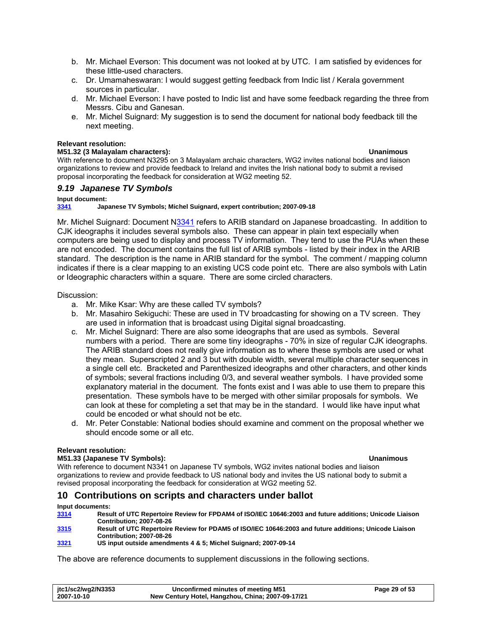- <span id="page-28-0"></span>b. Mr. Michael Everson: This document was not looked at by UTC. I am satisfied by evidences for these little-used characters.
- c. Dr. Umamaheswaran: I would suggest getting feedback from Indic list / Kerala government sources in particular.
- d. Mr. Michael Everson: I have posted to Indic list and have some feedback regarding the three from Messrs. Cibu and Ganesan.
- e. Mr. Michel Suignard: My suggestion is to send the document for national body feedback till the next meeting.

### **Relevant resolution:**

### **M51.32 (3 Malayalam characters): Unanimous**

With reference to document N3295 on 3 Malayalam archaic characters, WG2 invites national bodies and liaison organizations to review and provide feedback to Ireland and invites the Irish national body to submit a revised proposal incorporating the feedback for consideration at WG2 meeting 52.

### *9.19 Japanese TV Symbols*

### **Input document:**

**[3341](http://www.dkuug.dk/jtc1/sc2/wg2/docs/n3341.pdf) Japanese TV Symbols; Michel Suignard, expert contribution; 2007-09-18** 

Mr. Michel Suignard: Document [N3341](http://www.dkuug.dk/jtc1/sc2/wg2/docs/n3341.pdf) refers to ARIB standard on Japanese broadcasting. In addition to CJK ideographs it includes several symbols also. These can appear in plain text especially when computers are being used to display and process TV information. They tend to use the PUAs when these are not encoded. The document contains the full list of ARIB symbols - listed by their index in the ARIB standard. The description is the name in ARIB standard for the symbol. The comment / mapping column indicates if there is a clear mapping to an existing UCS code point etc. There are also symbols with Latin or Ideographic characters within a square. There are some circled characters.

Discussion:

- a. Mr. Mike Ksar: Why are these called TV symbols?
- b. Mr. Masahiro Sekiguchi: These are used in TV broadcasting for showing on a TV screen. They are used in information that is broadcast using Digital signal broadcasting.
- c. Mr. Michel Suignard: There are also some ideographs that are used as symbols. Several numbers with a period. There are some tiny ideographs - 70% in size of regular CJK ideographs. The ARIB standard does not really give information as to where these symbols are used or what they mean. Superscripted 2 and 3 but with double width, several multiple character sequences in a single cell etc. Bracketed and Parenthesized ideographs and other characters, and other kinds of symbols; several fractions including 0/3, and several weather symbols. I have provided some explanatory material in the document. The fonts exist and I was able to use them to prepare this presentation. These symbols have to be merged with other similar proposals for symbols. We can look at these for completing a set that may be in the standard. I would like have input what could be encoded or what should not be etc.
- d. Mr. Peter Constable: National bodies should examine and comment on the proposal whether we should encode some or all etc.

### **Relevant resolution:**

### **M51.33 (Japanese TV Symbols): Unanimous**

With reference to document N3341 on Japanese TV symbols, WG2 invites national bodies and liaison organizations to review and provide feedback to US national body and invites the US national body to submit a revised proposal incorporating the feedback for consideration at WG2 meeting 52.

### **10 Contributions on scripts and characters under ballot**

### **Input documents:**

- **[3314](http://www.dkuug.dk/jtc1/sc2/wg2/docs/n3314.pdf) Result of UTC Repertoire Review for FPDAM4 of ISO/IEC 10646:2003 and future additions; Unicode Liaison Contribution; 2007-08-26**
- **[3315](http://www.dkuug.dk/jtc1/sc2/wg2/docs/n3315.pdf) Result of UTC Repertoire Review for PDAM5 of ISO/IEC 10646:2003 and future additions; Unicode Liaison Contribution; 2007-08-26**
- **[3321](http://www.dkuug.dk/jtc1/sc2/wg2/docs/n3321.pdf) US input outside amendments 4 & 5; Michel Suignard; 2007-09-14**

The above are reference documents to supplement discussions in the following sections.

| jtc1/sc2/wg2/N3353 | Unconfirmed minutes of meeting M51                | Page 29 of 53 |
|--------------------|---------------------------------------------------|---------------|
| 2007-10-10         | New Century Hotel, Hangzhou, China; 2007-09-17/21 |               |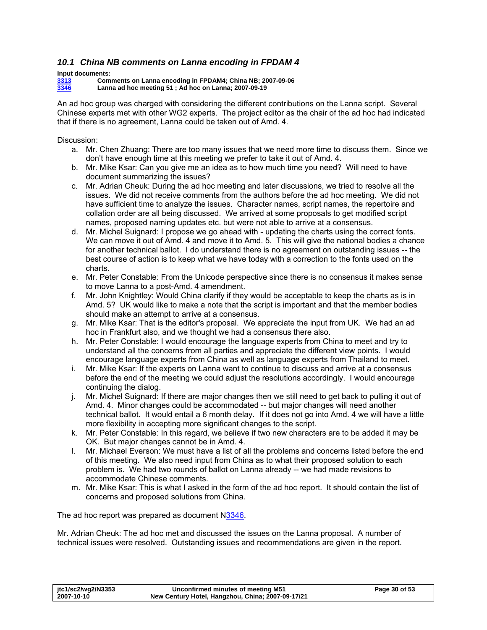# <span id="page-29-1"></span><span id="page-29-0"></span>*10.1 China NB comments on Lanna encoding in FPDAM 4*

**Input documents:** 

**[3313](http://www.dkuug.dk/jtc1/sc2/wg2/docs/n3313.pdf) Comments on Lanna encoding in FPDAM4; China NB; 2007-09-06 [3346](http://www.dkuug.dk/jtc1/sc2/wg2/docs/n3346.pdf) Lanna ad hoc meeting 51 ; Ad hoc on Lanna; 2007-09-19** 

An ad hoc group was charged with considering the different contributions on the Lanna script. Several Chinese experts met with other WG2 experts. The project editor as the chair of the ad hoc had indicated that if there is no agreement, Lanna could be taken out of Amd. 4.

Discussion:

- a. Mr. Chen Zhuang: There are too many issues that we need more time to discuss them. Since we don't have enough time at this meeting we prefer to take it out of Amd. 4.
- b. Mr. Mike Ksar: Can you give me an idea as to how much time you need? Will need to have document summarizing the issues?
- c. Mr. Adrian Cheuk: During the ad hoc meeting and later discussions, we tried to resolve all the issues. We did not receive comments from the authors before the ad hoc meeting. We did not have sufficient time to analyze the issues. Character names, script names, the repertoire and collation order are all being discussed. We arrived at some proposals to get modified script names, proposed naming updates etc. but were not able to arrive at a consensus.
- d. Mr. Michel Suignard: I propose we go ahead with updating the charts using the correct fonts. We can move it out of Amd. 4 and move it to Amd. 5. This will give the national bodies a chance for another technical ballot. I do understand there is no agreement on outstanding issues -- the best course of action is to keep what we have today with a correction to the fonts used on the charts.
- e. Mr. Peter Constable: From the Unicode perspective since there is no consensus it makes sense to move Lanna to a post-Amd. 4 amendment.
- f. Mr. John Knightley: Would China clarify if they would be acceptable to keep the charts as is in Amd. 5? UK would like to make a note that the script is important and that the member bodies should make an attempt to arrive at a consensus.
- g. Mr. Mike Ksar: That is the editor's proposal. We appreciate the input from UK. We had an ad hoc in Frankfurt also, and we thought we had a consensus there also.
- h. Mr. Peter Constable: I would encourage the language experts from China to meet and try to understand all the concerns from all parties and appreciate the different view points. I would encourage language experts from China as well as language experts from Thailand to meet.
- i. Mr. Mike Ksar: If the experts on Lanna want to continue to discuss and arrive at a consensus before the end of the meeting we could adjust the resolutions accordingly. I would encourage continuing the dialog.
- j. Mr. Michel Suignard: If there are major changes then we still need to get back to pulling it out of Amd. 4. Minor changes could be accommodated -- but major changes will need another technical ballot. It would entail a 6 month delay. If it does not go into Amd. 4 we will have a little more flexibility in accepting more significant changes to the script.
- k. Mr. Peter Constable: In this regard, we believe if two new characters are to be added it may be OK. But major changes cannot be in Amd. 4.
- l. Mr. Michael Everson: We must have a list of all the problems and concerns listed before the end of this meeting. We also need input from China as to what their proposed solution to each problem is. We had two rounds of ballot on Lanna already -- we had made revisions to accommodate Chinese comments.
- m. Mr. Mike Ksar: This is what I asked in the form of the ad hoc report. It should contain the list of concerns and proposed solutions from China.

The ad hoc report was prepared as document [N3346.](http://www.dkuug.dk/jtc1/sc2/wg2/docs/n3346.pdf)

Mr. Adrian Cheuk: The ad hoc met and discussed the issues on the Lanna proposal. A number of technical issues were resolved. Outstanding issues and recommendations are given in the report.

| jtc1/sc2/wg2/N3353 | Unconfirmed minutes of meeting M51                | Page 30 of 53 |
|--------------------|---------------------------------------------------|---------------|
| 2007-10-10         | New Century Hotel, Hangzhou, China; 2007-09-17/21 |               |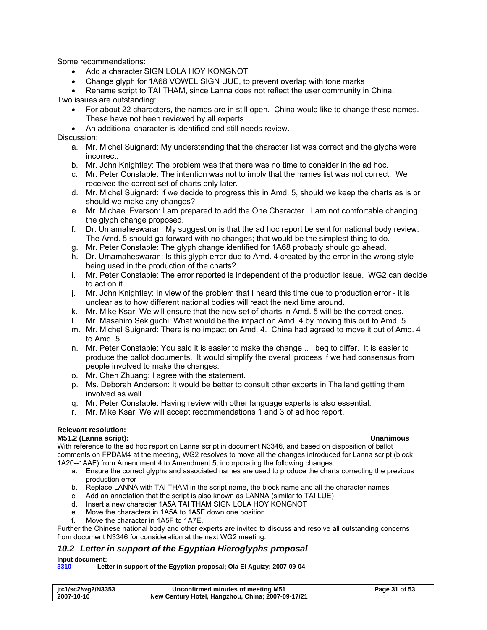<span id="page-30-0"></span>Some recommendations:

- Add a character SIGN LOLA HOY KONGNOT
- Change glyph for 1A68 VOWEL SIGN UUE, to prevent overlap with tone marks

• Rename script to TAI THAM, since Lanna does not reflect the user community in China.

Two issues are outstanding:

- For about 22 characters, the names are in still open. China would like to change these names. These have not been reviewed by all experts.
- An additional character is identified and still needs review.

Discussion:

- a. Mr. Michel Suignard: My understanding that the character list was correct and the glyphs were incorrect.
- b. Mr. John Knightley: The problem was that there was no time to consider in the ad hoc.
- c. Mr. Peter Constable: The intention was not to imply that the names list was not correct. We received the correct set of charts only later.
- d. Mr. Michel Suignard: If we decide to progress this in Amd. 5, should we keep the charts as is or should we make any changes?
- e. Mr. Michael Everson: I am prepared to add the One Character. I am not comfortable changing the glyph change proposed.
- f. Dr. Umamaheswaran: My suggestion is that the ad hoc report be sent for national body review. The Amd. 5 should go forward with no changes; that would be the simplest thing to do.
- g. Mr. Peter Constable: The glyph change identified for 1A68 probably should go ahead.
- h. Dr. Umamaheswaran: Is this glyph error due to Amd. 4 created by the error in the wrong style being used in the production of the charts?
- i. Mr. Peter Constable: The error reported is independent of the production issue. WG2 can decide to act on it.
- j. Mr. John Knightley: In view of the problem that I heard this time due to production error it is unclear as to how different national bodies will react the next time around.
- k. Mr. Mike Ksar: We will ensure that the new set of charts in Amd. 5 will be the correct ones.
- l. Mr. Masahiro Sekiguchi: What would be the impact on Amd. 4 by moving this out to Amd. 5.
- m. Mr. Michel Suignard: There is no impact on Amd. 4. China had agreed to move it out of Amd. 4 to Amd. 5.
- n. Mr. Peter Constable: You said it is easier to make the change .. I beg to differ. It is easier to produce the ballot documents. It would simplify the overall process if we had consensus from people involved to make the changes.
- o. Mr. Chen Zhuang: I agree with the statement.
- p. Ms. Deborah Anderson: It would be better to consult other experts in Thailand getting them involved as well.
- q. Mr. Peter Constable: Having review with other language experts is also essential.
- r. Mr. Mike Ksar: We will accept recommendations 1 and 3 of ad hoc report.

### **Relevant resolution:**

### <span id="page-30-1"></span>**M51.2 (Lanna script): Unanimous**

With reference to the ad hoc report on Lanna script in document N3346, and based on disposition of ballot comments on FPDAM4 at the meeting, WG2 resolves to move all the changes introduced for Lanna script (block 1A20--1AAF) from Amendment 4 to Amendment 5, incorporating the following changes:

- a. Ensure the correct glyphs and associated names are used to produce the charts correcting the previous production error
- b. Replace LANNA with TAI THAM in the script name, the block name and all the character names
- c. Add an annotation that the script is also known as LANNA (similar to TAI LUE)
- d. Insert a new character 1A5A TAI THAM SIGN LOLA HOY KONGNOT
- e. Move the characters in 1A5A to 1A5E down one position
- f. Move the character in 1A5F to 1A7E.

Further the Chinese national body and other experts are invited to discuss and resolve all outstanding concerns from document N3346 for consideration at the next WG2 meeting.

### *10.2 Letter in support of the Egyptian Hieroglyphs proposal*

### **Input document:**

**[3310](http://www.dkuug.dk/jtc1/sc2/wg2/docs/n3310.pdf) Letter in support of the Egyptian proposal; Ola El Aguizy; 2007-09-04** 

| jtc1/sc2/wg2/N3353 | Unconfirmed minutes of meeting M51                | Page 31 of 53 |
|--------------------|---------------------------------------------------|---------------|
| 2007-10-10         | New Century Hotel, Hangzhou, China; 2007-09-17/21 |               |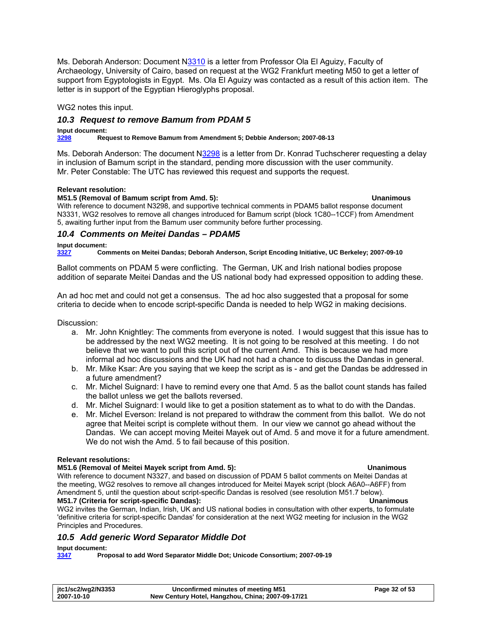<span id="page-31-0"></span>Ms. Deborah Anderson: Document N[3310](http://www.dkuug.dk/jtc1/sc2/wg2/docs/n3310.pdf) is a letter from Professor Ola El Aguizy, Faculty of Archaeology, University of Cairo, based on request at the WG2 Frankfurt meeting M50 to get a letter of support from Egyptologists in Egypt. Ms. Ola El Aguizy was contacted as a result of this action item. The letter is in support of the Egyptian Hieroglyphs proposal.

WG2 notes this input.

### <span id="page-31-3"></span>*10.3 Request to remove Bamum from PDAM 5*

### **Input document:**

**[3298](http://www.dkuug.dk/jtc1/sc2/wg2/docs/n3298.pdf) Request to Remove Bamum from Amendment 5; Debbie Anderson; 2007-08-13** 

Ms. Deborah Anderson: The document [N3298](http://www.dkuug.dk/jtc1/sc2/wg2/docs/n3298.pdf) is a letter from Dr. Konrad Tuchscherer requesting a delay in inclusion of Bamum script in the standard, pending more discussion with the user community. Mr. Peter Constable: The UTC has reviewed this request and supports the request.

### **Relevant resolution:**

### <span id="page-31-4"></span>**M51.5 (Removal of Bamum script from Amd. 5): Unanimous**

With reference to document N3298, and supportive technical comments in PDAM5 ballot response document N3331, WG2 resolves to remove all changes introduced for Bamum script (block 1C80--1CCF) from Amendment 5, awaiting further input from the Bamum user community before further processing.

### <span id="page-31-1"></span>*10.4 Comments on Meitei Dandas – PDAM5*

### **Input document:**

**[3327](http://www.dkuug.dk/jtc1/sc2/wg2/docs/n3327.pdf) Comments on Meitei Dandas; Deborah Anderson, Script Encoding Initiative, UC Berkeley; 2007-09-10** 

Ballot comments on PDAM 5 were conflicting. The German, UK and Irish national bodies propose addition of separate Meitei Dandas and the US national body had expressed opposition to adding these.

An ad hoc met and could not get a consensus. The ad hoc also suggested that a proposal for some criteria to decide when to encode script-specific Danda is needed to help WG2 in making decisions.

Discussion:

- a. Mr. John Knightley: The comments from everyone is noted. I would suggest that this issue has to be addressed by the next WG2 meeting. It is not going to be resolved at this meeting. I do not believe that we want to pull this script out of the current Amd. This is because we had more informal ad hoc discussions and the UK had not had a chance to discuss the Dandas in general.
- b. Mr. Mike Ksar: Are you saying that we keep the script as is and get the Dandas be addressed in a future amendment?
- c. Mr. Michel Suignard: I have to remind every one that Amd. 5 as the ballot count stands has failed the ballot unless we get the ballots reversed.
- d. Mr. Michel Suignard: I would like to get a position statement as to what to do with the Dandas.
- e. Mr. Michel Everson: Ireland is not prepared to withdraw the comment from this ballot. We do not agree that Meitei script is complete without them. In our view we cannot go ahead without the Dandas. We can accept moving Meitei Mayek out of Amd. 5 and move it for a future amendment. We do not wish the Amd. 5 to fail because of this position.

### **Relevant resolutions:**

### <span id="page-31-2"></span>**M51.6 (Removal of Meitei Mayek script from Amd. 5): Unanimous**

With reference to document N3327, and based on discussion of PDAM 5 ballot comments on Meitei Dandas at the meeting, WG2 resolves to remove all changes introduced for Meitei Mayek script (block A6A0--A6FF) from Amendment 5, until the question about script-specific Dandas is resolved (see resolution M51.7 below). **M51.7 (Criteria for script-specific Dandas): Unanimous** 

WG2 invites the German, Indian, Irish, UK and US national bodies in consultation with other experts, to formulate 'definitive criteria for script-specific Dandas' for consideration at the next WG2 meeting for inclusion in the WG2 Principles and Procedures.

### <span id="page-31-5"></span>*10.5 Add generic Word Separator Middle Dot*

### **Input document:**

**[3347](http://www.dkuug.dk/jtc1/sc2/wg2/docs/n3347.pdf) Proposal to add Word Separator Middle Dot; Unicode Consortium; 2007-09-19** 

| jtc1/sc2/wg2/N3353 | Unconfirmed minutes of meeting M51                | Page 32 of 53 |
|--------------------|---------------------------------------------------|---------------|
| 2007-10-10         | New Century Hotel, Hangzhou, China; 2007-09-17/21 |               |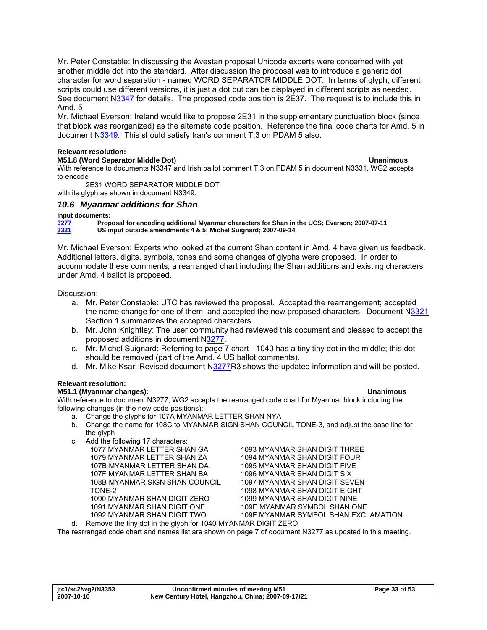<span id="page-32-0"></span>Mr. Peter Constable: In discussing the Avestan proposal Unicode experts were concerned with yet another middle dot into the standard. After discussion the proposal was to introduce a generic dot character for word separation - named WORD SEPARATOR MIDDLE DOT. In terms of glyph, different scripts could use different versions, it is just a dot but can be displayed in different scripts as needed. See document N[3347](http://www.dkuug.dk/jtc1/sc2/wg2/docs/n3347.pdf) for details. The proposed code position is 2E37. The request is to include this in Amd. 5

Mr. Michael Everson: Ireland would like to propose 2E31 in the supplementary punctuation block (since that block was reorganized) as the alternate code position. Reference the final code charts for Amd. 5 in document N[3349](http://www.dkuug.dk/jtc1/sc2/wg2/docs/n3349.pdf). This should satisfy Iran's comment T.3 on PDAM 5 also.

### **Relevant resolution:**

### **M51.8 (Word Separator Middle Dot) Unanimous**

With reference to documents N3347 and Irish ballot comment T.3 on PDAM 5 in document N3331, WG2 accepts to encode

2E31 WORD SEPARATOR MIDDLE DOT

with its glyph as shown in document N3349.

### *10.6 Myanmar additions for Shan*

<span id="page-32-1"></span>**Input documents:**<br> **3277**<br> **IS in**<br> **IS in [3277](http://www.dkuug.dk/jtc1/sc2/wg2/docs/n3277.pdf) Proposal for encoding additional Myanmar characters for Shan in the UCS; Everson; 2007-07-11 [3321](http://www.dkuug.dk/jtc1/sc2/wg2/docs/n3321.pdf) US input outside amendments 4 & 5; Michel Suignard; 2007-09-14** 

Mr. Michael Everson: Experts who looked at the current Shan content in Amd. 4 have given us feedback. Additional letters, digits, symbols, tones and some changes of glyphs were proposed. In order to accommodate these comments, a rearranged chart including the Shan additions and existing characters under Amd. 4 ballot is proposed.

Discussion:

- a. Mr. Peter Constable: UTC has reviewed the proposal. Accepted the rearrangement; accepted the name change for one of them; and accepted the new proposed characters. Document N[3321](http://www.dkuug.dk/jtc1/sc2/wg2/docs/n3321.pdf) Section 1 summarizes the accepted characters.
- b. Mr. John Knightley: The user community had reviewed this document and pleased to accept the proposed additions in document N[3277](http://www.dkuug.dk/jtc1/sc2/wg2/docs/n3277.pdf).
- c. Mr. Michel Suignard: Referring to page 7 chart 1040 has a tiny tiny dot in the middle; this dot should be removed (part of the Amd. 4 US ballot comments).
- d. Mr. Mike Ksar: Revised document N[3277](http://www.dkuug.dk/jtc1/sc2/wg2/docs/n3277.pdf)R3 shows the updated information and will be posted.

### **Relevant resolution:**

### <span id="page-32-2"></span>**M51.1 (Myanmar changes): Unanimous**

With reference to document N3277, WG2 accepts the rearranged code chart for Myanmar block including the following changes (in the new code positions):

- a. Change the glyphs for 107A MYANMAR LETTER SHAN NYA
- b. Change the name for 108C to MYANMAR SIGN SHAN COUNCIL TONE-3, and adjust the base line for the glyph
- c. Add the following 17 characters: 1077 MYANMAR LETTER SHAN GA 1079 MYANMAR LETTER SHAN ZA 107B MYANMAR LETTER SHAN DA 107F MYANMAR LETTER SHAN BA 108B MYANMAR SIGN SHAN COUNCIL TONE-2 1090 MYANMAR SHAN DIGIT ZERO

1091 MYANMAR SHAN DIGIT ONE 1092 MYANMAR SHAN DIGIT TWO

1093 MYANMAR SHAN DIGIT THREE 1094 MYANMAR SHAN DIGIT FOUR 1095 MYANMAR SHAN DIGIT FIVE 1096 MYANMAR SHAN DIGIT SIX 1097 MYANMAR SHAN DIGIT SEVEN 1098 MYANMAR SHAN DIGIT EIGHT 1099 MYANMAR SHAN DIGIT NINE 109E MYANMAR SYMBOL SHAN ONE 109F MYANMAR SYMBOL SHAN EXCLAMATION d. Remove the tiny dot in the glyph for 1040 MYANMAR DIGIT ZERO

The rearranged code chart and names list are shown on page 7 of document N3277 as updated in this meeting.

| itc1/sc2/wg2/N3353 | Unconfirmed minutes of meeting M51                | Page 33 of 53 |
|--------------------|---------------------------------------------------|---------------|
| 2007-10-10         | New Century Hotel, Hangzhou, China; 2007-09-17/21 |               |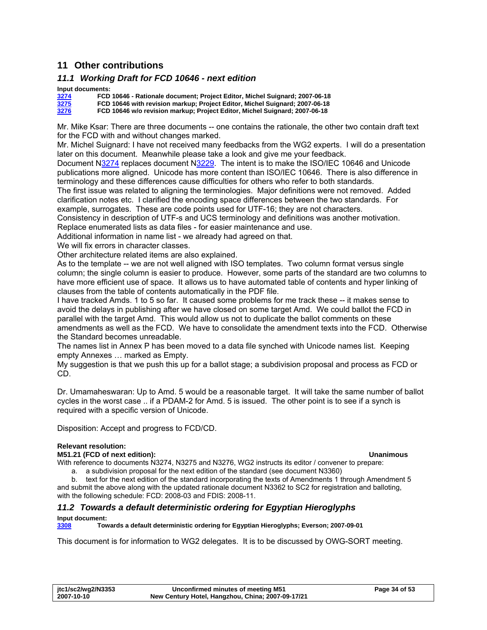# <span id="page-33-0"></span>**11 Other contributions**

### *11.1 Working Draft for FCD 10646 - next edition*

### **Input documents:**

| 3274 | FCD 10646 - Rationale document; Project Editor, Michel Suignard; 2007-06-18 |
|------|-----------------------------------------------------------------------------|
| 3275 | FCD 10646 with revision markup; Project Editor, Michel Suignard; 2007-06-18 |
| 3276 | FCD 10646 w/o revision markup; Project Editor, Michel Suignard; 2007-06-18  |

Mr. Mike Ksar: There are three documents -- one contains the rationale, the other two contain draft text for the FCD with and without changes marked.

Mr. Michel Suignard: I have not received many feedbacks from the WG2 experts. I will do a presentation later on this document. Meanwhile please take a look and give me your feedback.

Document N[3274](http://www.dkuug.dk/jtc1/sc2/wg2/docs/n3274.pdf) replaces document [N3229](http://www.dkuug.dk/jtc1/sc2/wg2/docs/n3229.pdf). The intent is to make the ISO/IEC 10646 and Unicode publications more aligned. Unicode has more content than ISO/IEC 10646. There is also difference in terminology and these differences cause difficulties for others who refer to both standards.

The first issue was related to aligning the terminologies. Major definitions were not removed. Added clarification notes etc. I clarified the encoding space differences between the two standards. For example, surrogates. These are code points used for UTF-16; they are not characters.

Consistency in description of UTF-s and UCS terminology and definitions was another motivation. Replace enumerated lists as data files - for easier maintenance and use.

Additional information in name list - we already had agreed on that.

We will fix errors in character classes.

Other architecture related items are also explained.

As to the template -- we are not well aligned with ISO templates. Two column format versus single column; the single column is easier to produce. However, some parts of the standard are two columns to have more efficient use of space. It allows us to have automated table of contents and hyper linking of clauses from the table of contents automatically in the PDF file.

I have tracked Amds. 1 to 5 so far. It caused some problems for me track these -- it makes sense to avoid the delays in publishing after we have closed on some target Amd. We could ballot the FCD in parallel with the target Amd. This would allow us not to duplicate the ballot comments on these amendments as well as the FCD. We have to consolidate the amendment texts into the FCD. Otherwise the Standard becomes unreadable.

The names list in Annex P has been moved to a data file synched with Unicode names list. Keeping empty Annexes … marked as Empty.

My suggestion is that we push this up for a ballot stage; a subdivision proposal and process as FCD or CD.

Dr. Umamaheswaran: Up to Amd. 5 would be a reasonable target. It will take the same number of ballot cycles in the worst case .. if a PDAM-2 for Amd. 5 is issued. The other point is to see if a synch is required with a specific version of Unicode.

Disposition: Accept and progress to FCD/CD.

### **Relevant resolution:**

### **M51.21 (FCD of next edition): Unanimous**

With reference to documents N3274, N3275 and N3276, WG2 instructs its editor / convener to prepare: a. a subdivision proposal for the next edition of the standard (see document N3360)

b. text for the next edition of the standard incorporating the texts of Amendments 1 through Amendment 5 and submit the above along with the updated rationale document N3362 to SC2 for registration and balloting,

with the following schedule: FCD: 2008-03 and FDIS: 2008-11.

# *11.2 Towards a default deterministic ordering for Egyptian Hieroglyphs*

# **Input document:**<br>**3308** Tow

**[3308](http://www.dkuug.dk/jtc1/sc2/wg2/docs/n3308.pdf) Towards a default deterministic ordering for Egyptian Hieroglyphs; Everson; 2007-09-01** 

This document is for information to WG2 delegates. It is to be discussed by OWG-SORT meeting.

| jtc1/sc2/wg2/N3353 | Unconfirmed minutes of meeting M51                | Page 34 of 53 |
|--------------------|---------------------------------------------------|---------------|
| 2007-10-10         | New Century Hotel, Hangzhou, China; 2007-09-17/21 |               |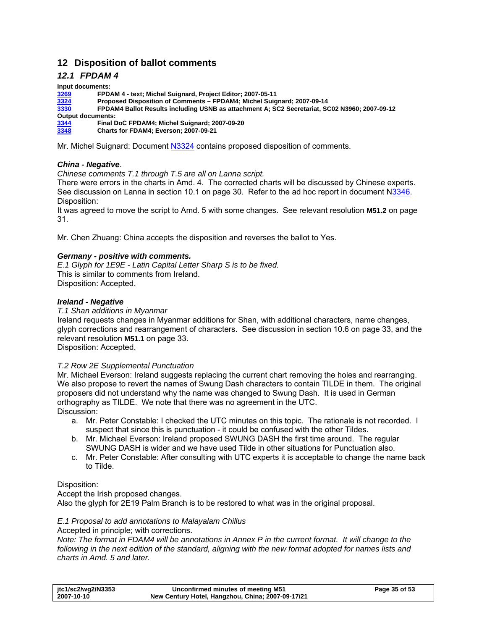# <span id="page-34-0"></span>**12 Disposition of ballot comments**

## <span id="page-34-1"></span>*12.1 FPDAM 4*

**Input documents: FPDAM 4 - text; Michel Suignard, Project Editor; 2007-05-11 Proposed Disposition of Comments – FPDAM4; Michel Suignard; 2007-09-14 FPDAM4 Ballot Results including USNB as attachment A; SC2 Secretariat, SC02 N3960; 2007-09-12 Output documents: Final DoC FPDAM4; Michel Suignard; 2007-09-20 Charts for FDAM4; Everson; 2007-09-21** 

Mr. Michel Suignard: Document [N3324](http://www.dkuug.dk/jtc1/sc2/wg2/docs/n3324.pdf) contains proposed disposition of comments.

### *China - Negative*.

*Chinese comments T.1 through T.5 are all on Lanna script.* 

There were errors in the charts in Amd. 4. The corrected charts will be discussed by Chinese experts. See discussion on Lanna in section [10.1](#page-29-1) on page [30.](#page-29-1) Refer to the ad hoc report in document [N3346.](http://www.dkuug.dk/jtc1/sc2/wg2/docs/n3346.pdf) Disposition:

It was agreed to move the script to Amd. 5 with some changes. See relevant resolution **[M51.2](#page-30-1)** on page 31.

Mr. Chen Zhuang: China accepts the disposition and reverses the ballot to Yes.

### *Germany - positive with comments.*

*<i>E.1 Glyph for 1E9E - Latin Capital Letter Sharp S is to be fixed.* This is similar to comments from Ireland. Disposition: Accepted.

### *Ireland - Negative*

*T.1 Shan additions in Myanmar* 

glyph corrections and rearrangement of characters. See discussion in section 10.6 on page 33, and the relevant resolution M51.1 on page 33. Ireland requests changes in Myanmar additions for Shan, with additional characters, name changes,

Disposition: Accepted.

### *T.2 Row 2E Supplemental Punctuation*

We also propose to revert the names of Swung Dash characters to contain TILDE in them. The original proposers did not understand why the name was changed to Swung Dash. It is used in German orthography as TILDE. We note that there was no agreement in the UTC. Disc ussion: Mr. Michael Everson: Ireland suggests replacing the current chart removing the holes and rearranging.

- a. Mr. Peter Constable: I checked the UTC minutes on this topic. The rationale is not recorded. I suspect that since this is punctuation - it could be confused with the other Tildes.
- b. Mr. Michael Everson: Ireland proposed SWUNG DASH the first time around. The regular SWUNG DASH is wider and we have used Tilde in other situations for Punctuation also.
- c. Mr. Peter Constable: After consulting with UTC experts it is acceptable to change the name back to Tilde.

### Disposition:

Also the glyph for 2E19 Palm Branch is to be restored to what was in the original proposal. Accept the Irish proposed changes.

### **E.1 Proposal to add annotations to Malayalam Chillus**

Accepted in principle; with corrections.

following in the next edition of the standard, aligning with the new format adopted for names lists and *charts in Amd. 5 and later. Note: The format in FDAM4 will be annotations in Annex P in the current format. It will change to the* 

| jtc1/sc2/wg2/N3353 | Unconfirmed minutes of meeting M51                | Page 35 of 53 |
|--------------------|---------------------------------------------------|---------------|
| 2007-10-10         | New Century Hotel, Hangzhou, China; 2007-09-17/21 |               |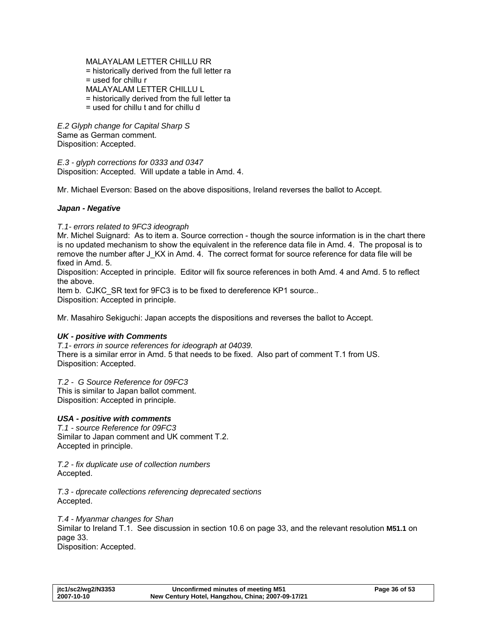MALAYALAM LETTER CHILLU RR = historically derived from the full letter ra  $=$  used for chillu  $r$ MALAYALAM LETTER CHILLU L = historically derived from the full letter ta = used for chillu t and for chillu d

*E.2 Glyph change for Capital Sharp S*  Same as German comment. Disposition: Accepted.

*E.3 - glyph corrections for 0333 and 0347*  Disposition: Accepted. Will update a table in Amd. 4.

Mr. Michael Everson: Based on the above dispositions, Ireland reverses the ballot to Accept.

### *Japan - Negative*

*T.1- errors related to 9FC3 ideograph* 

Mr. Michel Suignard: As to item a. Source correction - though the source information is in the chart there is no updated mechanism to show the equivalent in the reference data file in Amd. 4. The proposal is to remove the number after J\_KX in Amd. 4. The correct format for source reference for data file will be fixed in Amd. 5.

Disposition: Accepted in principle. Editor will fix source references in both Amd. 4 and Amd. 5 to reflect the above.

Item b. CJKC SR text for 9FC3 is to be fixed to dereference KP1 source.. Disposition: Accepted in principle.

Mr. Masahiro Sekiguchi: Japan accepts the dispositions and reverses the ballot to Accept.

### *UK - positive with Comments*

*T.1- errors in source references for ideograph at 04039.*  There is a similar error in Amd. 5 that needs to be fixed. Also part of comment T.1 from US. Disposition: Accepted.

*T.2 - G Source Reference for 09FC3* 

This is similar to Japan ballot comment. Disposition: Accepted in principle.

### *USA - positive with comments*

*T.1 - source Reference for 09FC3*  Similar to Japan comment and UK comment T.2. Accepted in principle.

*T.2 - fix duplicate use of collection numbers*  Accepted.

*T.3 - dprecate collections referencing deprecated sections*  Accepted.

*T.4 - Myanmar changes for Shan*  Similar to Ireland T.1. See discussion in section [10.6](#page-32-1) on page [33,](#page-32-1) and the relevant resolution **[M51.1](#page-32-2)** on page [33](#page-32-2). Disposition: Accepted.

| jtc1/sc2/wg2/N3353 | Unconfirmed minutes of meeting M51                | Page 36 of 53 |
|--------------------|---------------------------------------------------|---------------|
| 2007-10-10         | New Century Hotel, Hangzhou, China; 2007-09-17/21 |               |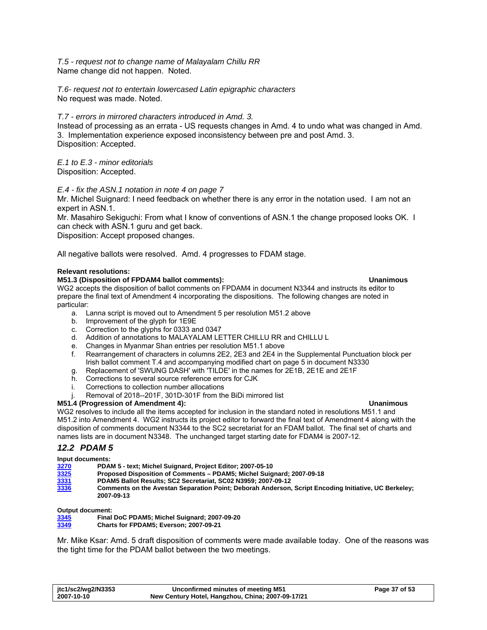<span id="page-36-0"></span>*T.5 - request not to change name of Malayalam Chillu RR*  Name change did not happen. Noted.

*T.6- request not to entertain lowercased Latin epigraphic characters*  No request was made. Noted.

### *T.7 - errors in mirrored characters introduced in Amd. 3.*

Instead of processing as an errata - US requests changes in Amd. 4 to undo what was changed in Amd. 3. Implementation experience exposed inconsistency between pre and post Amd. 3. Disposition: Accepted.

*E.1 to E.3 - minor editorials*  Disposition: Accepted.

*E.4 - fix the ASN.1 notation in note 4 on page 7* 

Mr. Michel Suignard: I need feedback on whether there is any error in the notation used. I am not an expert in ASN.1.

Mr. Masahiro Sekiguchi: From what I know of conventions of ASN.1 the change proposed looks OK. I can check with ASN.1 guru and get back.

Disposition: Accept proposed changes.

All negative ballots were resolved. Amd. 4 progresses to FDAM stage.

### **Relevant resolutions:**

### **M51.3 (Disposition of FPDAM4 ballot comments): Unanimous**

WG2 accepts the disposition of ballot comments on FPDAM4 in document N3344 and instructs its editor to prepare the final text of Amendment 4 incorporating the dispositions. The following changes are noted in particular:

a. Lanna script is moved out to Amendment 5 per resolution M51.2 above

- b. Improvement of the glyph for 1E9E
- c. Correction to the glyphs for 0333 and 0347
- d. Addition of annotations to MALAYALAM LETTER CHILLU RR and CHILLU L
- e. Changes in Myanmar Shan entries per resolution M51.1 above
- f. Rearrangement of characters in columns 2E2, 2E3 and 2E4 in the Supplemental Punctuation block per Irish ballot comment T.4 and accompanying modified chart on page 5 in document N3330
- g. Replacement of 'SWUNG DASH' with 'TILDE' in the names for 2E1B, 2E1E and 2E1F
- h. Corrections to several source reference errors for CJK
- i. Corrections to collection number allocations
- Removal of 2018--201F, 301D-301F from the BiDi mirrored list

### **M51.4 (Progression of Amendment 4): Unanimous**

WG2 resolves to include all the items accepted for inclusion in the standard noted in resolutions M51.1 and M51.2 into Amendment 4. WG2 instructs its project editor to forward the final text of Amendment 4 along with the disposition of comments document N3344 to the SC2 secretariat for an FDAM ballot. The final set of charts and names lists are in document N3348. The unchanged target starting date for FDAM4 is 2007-12.

### <span id="page-36-1"></span>*12.2 PDAM 5*

**Input documents:** 

**[3270](http://www.dkuug.dk/jtc1/sc2/wg2/docs/n3270.pdf) PDAM 5 - text; Michel Suignard, Project Editor; 2007-05-10** 

**[3325](http://www.dkuug.dk/jtc1/sc2/wg2/docs/n3325.pdf) Proposed Disposition of Comments – PDAM5; Michel Suignard; 2007-09-18** 

**[3331](http://www.dkuug.dk/jtc1/sc2/wg2/docs/n3331.pdf) PDAM5 Ballot Results; SC2 Secretariat, SC02 N3959; 2007-09-12** 

**[3336](http://www.dkuug.dk/jtc1/sc2/wg2/docs/n3336.pdf) Comments on the Avestan Separation Point; Deborah Anderson, Script Encoding Initiative, UC Berkeley; 2007-09-13** 

**Output document:** 

| 3345         | Final DoC PDAM5; Michel Suignard; 2007-09-20 |
|--------------|----------------------------------------------|
| <b>00.40</b> |                                              |

**[3349](http://www.dkuug.dk/jtc1/sc2/wg2/docs/n3349.pdf) Charts for FPDAM5; Everson; 2007-09-21** 

Mr. Mike Ksar: Amd. 5 draft disposition of comments were made available today. One of the reasons was the tight time for the PDAM ballot between the two meetings.

| jtc1/sc2/wg2/N3353 | Unconfirmed minutes of meeting M51                | Page 37 of 53 |
|--------------------|---------------------------------------------------|---------------|
| 2007-10-10         | New Century Hotel, Hangzhou, China; 2007-09-17/21 |               |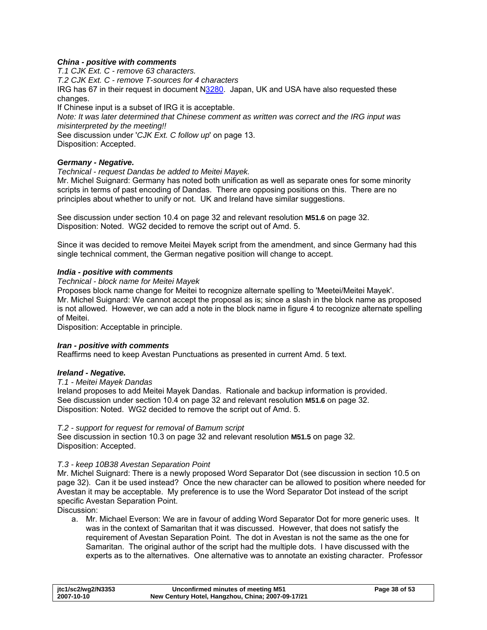### *China - positive with comments*

*T.1 CJK Ext. C - remove 63 characters. T.2 CJK Ext. C - remove T-sources for 4 characters*  IRG has 67 in their request in document N[3280.](http://www.dkuug.dk/jtc1/sc2/wg2/docs/n3280.zip) Japan, UK and USA have also requested these changes. If Chinese input is a subset of IRG it is acceptable. *Note: It was later determined that Chinese comment as written was correct and the IRG input was misinterpreted by the meeting!!*  See discussion under '*[CJK Ext. C follow up](#page-12-0)*' on page [13](#page-12-0). Disposition: Accepted. *Germany - Negative.* 

# *Technical - request Dandas be added to Meitei Mayek.*

Mr. Michel Suignard: Germany has noted both unification as well as separate ones for some minority scripts in terms of past encoding of Dandas. There are opposing positions on this. There are no principles about whether to unify or not. UK and Ireland have similar suggestions.

See discussion under section [10.4](#page-31-1) on page [32](#page-31-1) and relevant resolution **[M51.6](#page-31-2)** on page [32.](#page-31-2) Disposition: Noted. WG2 decided to remove the script out of Amd. 5.

Since it was decided to remove Meitei Mayek script from the amendment, and since Germany had this single technical comment, the German negative position will change to accept.

### *India - positive with comments*

### *Technical - block name for Meitei Mayek*

Proposes block name change for Meitei to recognize alternate spelling to 'Meetei/Meitei Mayek'. Mr. Michel Suignard: We cannot accept the proposal as is; since a slash in the block name as proposed is not allowed. However, we can add a note in the block name in figure 4 to recognize alternate spelling of Meitei.

Disposition: Acceptable in principle.

### *Iran - positive with comments*

Reaffirms need to keep Avestan Punctuations as presented in current Amd. 5 text.

### *Ireland - Negative.*

### *T.1 - Meitei Mayek Dandas*

. See discussion under section [10.4](#page-31-1) on page [32](#page-31-1) and relevant resolution **[M51.6](#page-31-2)** on page [32](#page-31-2) Ireland proposes to add Meitei Mayek Dandas. Rationale and backup information is provided. Disposition: Noted. WG2 decided to remove the script out of Amd. 5.

### *T.2 - support for request for removal of Bamum script*

. See discussion in section [10.3](#page-31-3) on page [32](#page-31-3) and relevant resolution **[M51.5](#page-31-4)** on page [32](#page-31-4) Disposition: Accepted.

### <span id="page-37-0"></span>*T.3 - keep 10B38 Avestan Separation Point*

Mr. Michel Suignard: There is a newly proposed Word Separator Dot (see discussion in section [10.5](#page-31-5) on page [32](#page-31-5)). Can it be used instead? Once the new character can be allowed to position where needed for Avestan it may be acceptable. My preference is to use the Word Separator Dot instead of the script specific Avestan Separation Point.

Discussion:

a. Mr. Michael Everson: We are in favour of adding Word Separator Dot for more generic uses. It was in the context of Samaritan that it was discussed. However, that does not satisfy the requirement of Avestan Separation Point. The dot in Avestan is not the same as the one for Samaritan. The original author of the script had the multiple dots. I have discussed with the experts as to the alternatives. One alternative was to annotate an existing character. Professor

| jtc1/sc2/wg2/N3353 | Unconfirmed minutes of meeting M51                | Page 38 of 53 |
|--------------------|---------------------------------------------------|---------------|
| 2007-10-10         | New Century Hotel, Hangzhou, China; 2007-09-17/21 |               |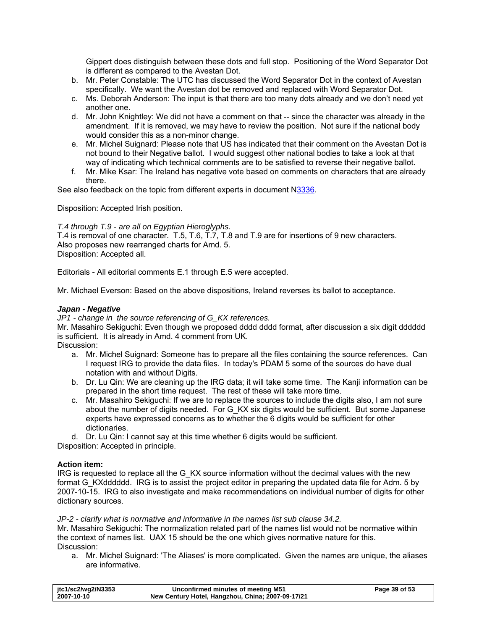Gippert does distinguish between these dots and full stop. Positioning of the Word Separator Dot is different as compared to the Avestan Dot.

- b. Mr. Peter Constable: The UTC has discussed the Word Separator Dot in the context of Avestan specifically. We want the Avestan dot be removed and replaced with Word Separator Dot.
- c. Ms. Deborah Anderson: The input is that there are too many dots already and we don't need yet another one.
- d. Mr. John Knightley: We did not have a comment on that -- since the character was already in the amendment. If it is removed, we may have to review the position. Not sure if the national body would consider this as a non-minor change.
- e. Mr. Michel Suignard: Please note that US has indicated that their comment on the Avestan Dot is not bound to their Negative ballot. I would suggest other national bodies to take a look at that way of indicating which technical comments are to be satisfied to reverse their negative ballot.
- f. Mr. Mike Ksar: The Ireland has negative vote based on comments on characters that are already there.

See also feedback on the topic from different experts in document [N3336.](http://www.dkuug.dk/jtc1/sc2/wg2/docs/n3336.pdf)

Disposition: Accepted Irish position.

### *T.4 through T.9 - are all on Egyptian Hieroglyphs.*

T.4 is removal of one character. T.5, T.6, T.7, T.8 and T.9 are for insertions of 9 new characters. Also proposes new rearranged charts for Amd. 5. Disposition: Accepted all.

Editorials - All editorial comments E.1 through E.5 were accepted.

Mr. Michael Everson: Based on the above dispositions, Ireland reverses its ballot to acceptance.

### *Japan - Negative*

*JP1 - change in the source referencing of G\_KX references.* 

Mr. Masahiro Sekiguchi: Even though we proposed dddd dddd format, after discussion a six digit dddddd is sufficient. It is already in Amd. 4 comment from UK.

Discussion:

- a. Mr. Michel Suignard: Someone has to prepare all the files containing the source references. Can I request IRG to provide the data files. In today's PDAM 5 some of the sources do have dual notation with and without Digits.
- b. Dr. Lu Qin: We are cleaning up the IRG data; it will take some time. The Kanji information can be prepared in the short time request. The rest of these will take more time.
- c. Mr. Masahiro Sekiguchi: If we are to replace the sources to include the digits also, I am not sure about the number of digits needed. For G\_KX six digits would be sufficient. But some Japanese experts have expressed concerns as to whether the 6 digits would be sufficient for other dictionaries.

d. Dr. Lu Qin: I cannot say at this time whether 6 digits would be sufficient. Disposition: Accepted in principle.

### **Action item:**

IRG is requested to replace all the G\_KX source information without the decimal values with the new format G\_KXdddddd. IRG is to assist the project editor in preparing the updated data file for Adm. 5 by 2007-10-15. IRG to also investigate and make recommendations on individual number of digits for other dictionary sources.

### *JP-2 - clarify what is normative and informative in the names list sub clause 34.2.*

Mr. Masahiro Sekiguchi: The normalization related part of the names list would not be normative within the context of names list. UAX 15 should be the one which gives normative nature for this. Discussion:

a. Mr. Michel Suignard: 'The Aliases' is more complicated. Given the names are unique, the aliases are informative.

| itc1/sc2/wg2/N3353 | Unconfirmed minutes of meeting M51                | Page 39 of 53 |
|--------------------|---------------------------------------------------|---------------|
| 2007-10-10         | New Century Hotel, Hangzhou, China; 2007-09-17/21 |               |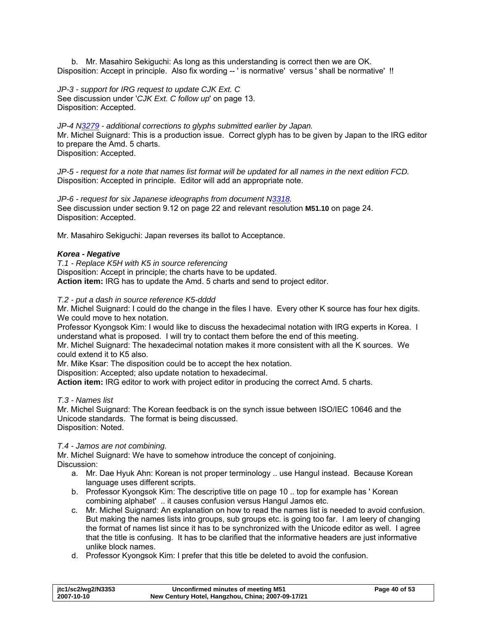b. Mr. Masahiro Sekiguchi: As long as this understanding is correct then we are OK. Disposition: Accept in principle. Also fix wording -- ' is normative' versus ' shall be normative' !!

*JP-3 - support for IRG request to update CJK Ext. C*  See discussion under '*[CJK Ext. C follow up](#page-12-0)*' on page [13](#page-12-0). Disposition: Accepted.

*JP-4 N[3279](http://www.dkuug.dk/jtc1/sc2/wg2/docs/n3279.pdf) - additional corrections to glyphs submitted earlier by Japan.*  Mr. Michel Suignard: This is a production issue. Correct glyph has to be given by Japan to the IRG editor to prepare the Amd. 5 charts. Disposition: Accepted.

*JP-5 - request for a note that names list format will be updated for all names in the next edition FCD.*  Disposition: Accepted in principle. Editor will add an appropriate note.

*JP-6 - request for six Japanese ideographs from document [N3318](http://www.dkuug.dk/jtc1/sc2/wg2/docs/n3318.pdf).*  See discussion under section [9.12](#page-21-1) on page [22](#page-21-1) and relevant resolution **[M51.10](#page-23-1)** on page [24.](#page-23-1) Disposition: Accepted.

Mr. Masahiro Sekiguchi: Japan reverses its ballot to Acceptance.

### *Korea - Negative*

*T.1 - Replace K5H with K5 in source referencing*  Disposition: Accept in principle; the charts have to be updated. **Action item:** IRG has to update the Amd. 5 charts and send to project editor.

### *T.2 - put a dash in source reference K5-dddd*

Mr. Michel Suignard: I could do the change in the files I have. Every other K source has four hex digits. We could move to hex notation.

Professor Kyongsok Kim: I would like to discuss the hexadecimal notation with IRG experts in Korea. I understand what is proposed. I will try to contact them before the end of this meeting.

Mr. Michel Suignard: The hexadecimal notation makes it more consistent with all the K sources. We could extend it to K5 also.

Mr. Mike Ksar: The disposition could be to accept the hex notation.

Disposition: Accepted; also update notation to hexadecimal.

**Action item:** IRG editor to work with project editor in producing the correct Amd. 5 charts.

*T.3 - Names list* 

Mr. Michel Suignard: The Korean feedback is on the synch issue between ISO/IEC 10646 and the Unicode standards. The format is being discussed. Disposition: Noted.

# *T.4 - Jamos are not combining.*

Mr. Michel Suignard: We have to somehow introduce the concept of conjoining. Discussion:

- a. Mr. Dae Hyuk Ahn: Korean is not proper terminology .. use Hangul instead. Because Korean language uses different scripts.
- b. Professor Kyongsok Kim: The descriptive title on page 10 .. top for example has ' Korean combining alphabet' .. it causes confusion versus Hangul Jamos etc.
- c. Mr. Michel Suignard: An explanation on how to read the names list is needed to avoid confusion. But making the names lists into groups, sub groups etc. is going too far. I am leery of changing the format of names list since it has to be synchronized with the Unicode editor as well. I agree that the title is confusing. It has to be clarified that the informative headers are just informative unlike block names.
- d. Professor Kyongsok Kim: I prefer that this title be deleted to avoid the confusion.

| jtc1/sc2/wg2/N3353 | Unconfirmed minutes of meeting M51                | Page 40 of 53 |
|--------------------|---------------------------------------------------|---------------|
| 2007-10-10         | New Century Hotel, Hangzhou, China; 2007-09-17/21 |               |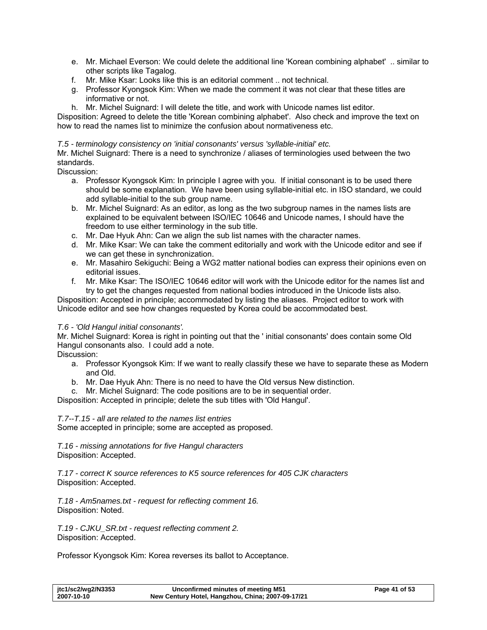- e. Mr. Michael Everson: We could delete the additional line 'Korean combining alphabet' .. similar to other scripts like Tagalog.
- f. Mr. Mike Ksar: Looks like this is an editorial comment .. not technical.
- g. Professor Kyongsok Kim: When we made the comment it was not clear that these titles are informative or not.
- h. Mr. Michel Suignard: I will delete the title, and work with Unicode names list editor.

Disposition: Agreed to delete the title 'Korean combining alphabet'. Also check and improve the text on how to read the names list to minimize the confusion about normativeness etc.

### *T.5 - terminology consistency on 'initial consonants' versus 'syllable-initial' etc.*

Mr. Michel Suignard: There is a need to synchronize / aliases of terminologies used between the two standards.

Discussion:

- a. Professor Kyongsok Kim: In principle I agree with you. If initial consonant is to be used there should be some explanation. We have been using syllable-initial etc. in ISO standard, we could add syllable-initial to the sub group name.
- b. Mr. Michel Suignard: As an editor, as long as the two subgroup names in the names lists are explained to be equivalent between ISO/IEC 10646 and Unicode names, I should have the freedom to use either terminology in the sub title.
- c. Mr. Dae Hyuk Ahn: Can we align the sub list names with the character names.
- d. Mr. Mike Ksar: We can take the comment editorially and work with the Unicode editor and see if we can get these in synchronization.
- e. Mr. Masahiro Sekiguchi: Being a WG2 matter national bodies can express their opinions even on editorial issues.
- f. Mr. Mike Ksar: The ISO/IEC 10646 editor will work with the Unicode editor for the names list and try to get the changes requested from national bodies introduced in the Unicode lists also.

Disposition: Accepted in principle; accommodated by listing the aliases. Project editor to work with Unicode editor and see how changes requested by Korea could be accommodated best.

### *T.6 - 'Old Hangul initial consonants'.*

Mr. Michel Suignard: Korea is right in pointing out that the ' initial consonants' does contain some Old Hangul consonants also. I could add a note.

Discussion:

- a. Professor Kyongsok Kim: If we want to really classify these we have to separate these as Modern and Old.
- b. Mr. Dae Hyuk Ahn: There is no need to have the Old versus New distinction.
- c. Mr. Michel Suignard: The code positions are to be in sequential order.

Disposition: Accepted in principle; delete the sub titles with 'Old Hangul'.

*T.7--T.15 - all are related to the names list entries* 

Some accepted in principle; some are accepted as proposed.

*T.16 - missing annotations for five Hangul characters*  Disposition: Accepted.

*T.17 - correct K source references to K5 source references for 405 CJK characters*  Disposition: Accepted.

*T.18 - Am5names.txt - request for reflecting comment 16.*  Disposition: Noted.

*T.19 - CJKU\_SR.txt - request reflecting comment 2.*  Disposition: Accepted.

Professor Kyongsok Kim: Korea reverses its ballot to Acceptance.

| itc1/sc2/wg2/N3353 | Unconfirmed minutes of meeting M51                | Page 41 of 53 |
|--------------------|---------------------------------------------------|---------------|
| 2007-10-10         | New Century Hotel, Hangzhou, China; 2007-09-17/21 |               |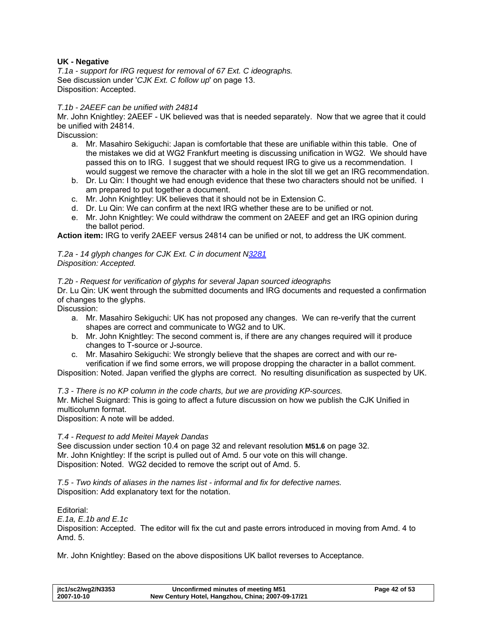### **UK - Negative**

*T.1a - support for IRG request for removal of 67 Ext. C ideographs.*  See discussion under '*[CJK Ext. C follow up](#page-12-0)*' on page [13](#page-12-0). Disposition: Accepted.

### *T.1b - 2AEEF can be unified with 24814*

Mr. John Knightley: 2AEEF - UK believed was that is needed separately. Now that we agree that it could be unified with 24814.

Discussion:

- a. Mr. Masahiro Sekiguchi: Japan is comfortable that these are unifiable within this table. One of the mistakes we did at WG2 Frankfurt meeting is discussing unification in WG2. We should have passed this on to IRG. I suggest that we should request IRG to give us a recommendation. I would suggest we remove the character with a hole in the slot till we get an IRG recommendation.
- b. Dr. Lu Qin: I thought we had enough evidence that these two characters should not be unified. I am prepared to put together a document.
- c. Mr. John Knightley: UK believes that it should not be in Extension C.
- d. Dr. Lu Qin: We can confirm at the next IRG whether these are to be unified or not.
- e. Mr. John Knightley: We could withdraw the comment on 2AEEF and get an IRG opinion during the ballot period.

**Action item:** IRG to verify 2AEEF versus 24814 can be unified or not, to address the UK comment.

### *T.2a - 14 glyph changes for CJK Ext. C in document N[3281](http://www.dkuug.dk/jtc1/sc2/wg2/docs/n3281.pdf) Disposition: Accepted.*

### *T.2b - Request for verification of glyphs for several Japan sourced ideographs*

Dr. Lu Qin: UK went through the submitted documents and IRG documents and requested a confirmation of changes to the glyphs.

Discussion:

- a. Mr. Masahiro Sekiguchi: UK has not proposed any changes. We can re-verify that the current shapes are correct and communicate to WG2 and to UK.
- b. Mr. John Knightley: The second comment is, if there are any changes required will it produce changes to T-source or J-source.
- c. Mr. Masahiro Sekiguchi: We strongly believe that the shapes are correct and with our reverification if we find some errors, we will propose dropping the character in a ballot comment.

Disposition: Noted. Japan verified the glyphs are correct. No resulting disunification as suspected by UK.

*T.3 - There is no KP column in the code charts, but we are providing KP-sources.* 

Mr. Michel Suignard: This is going to affect a future discussion on how we publish the CJK Unified in multicolumn format.

Disposition: A note will be added.

### *T.4 - Request to add Meitei Mayek Dandas*

See discussion under section [10.4](#page-31-1) on page [32](#page-31-1) and relevant resolution **[M51.6](#page-31-2)** on page [32.](#page-31-2) Mr. John Knightley: If the script is pulled out of Amd. 5 our vote on this will change. Disposition: Noted. WG2 decided to remove the script out of Amd. 5.

*T.5 - Two kinds of aliases in the names list - informal and fix for defective names.*  Disposition: Add explanatory text for the notation.

Editorial:

*E.1a, E.1b and E.1c* 

Disposition: Accepted. The editor will fix the cut and paste errors introduced in moving from Amd. 4 to Amd. 5.

Mr. John Knightley: Based on the above dispositions UK ballot reverses to Acceptance.

| jtc1/sc2/wg2/N3353 | Unconfirmed minutes of meeting M51                | Page 42 of 53 |
|--------------------|---------------------------------------------------|---------------|
| 2007-10-10         | New Century Hotel, Hangzhou, China; 2007-09-17/21 |               |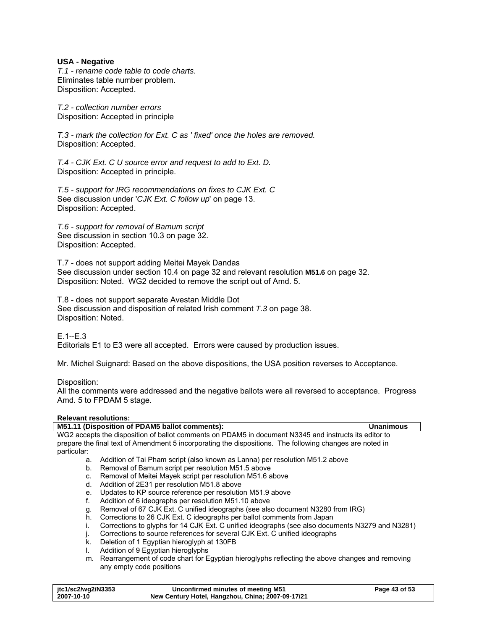### **USA - Negative**

*T.1 - rename code table to code charts.*  Eliminates table number problem. Disposition: Accepted.

*T.2 - collection number errors*  Disposition: Accepted in principle

*T.3 - mark the collection for Ext. C as ' fixed' once the holes are removed.*  Disposition: Accepted.

*T.4 - CJK Ext. C U source error and request to add to Ext. D.*  Disposition: Accepted in principle.

*T.5 - support for IRG recommendations on fixes to CJK Ext. C*  See discussion under '*[CJK Ext. C follow up](#page-12-0)*' on page [13](#page-12-0). Disposition: Accepted.

*T.6 - support for removal of Bamum script*  See discussion in section [10.3](#page-31-3) on page [32](#page-31-3). Disposition: Accepted.

T.7 - does not support adding Meitei Mayek Dandas See discussion under section [10.4](#page-31-1) on page [32](#page-31-1) and relevant resolution **[M51.6](#page-31-2)** on page [32.](#page-31-2) Disposition: Noted. WG2 decided to remove the script out of Amd. 5.

T.8 - does not support separate Avestan Middle Dot See discussion and disposition of related Irish comment *[T.3](#page-37-0)* on page [38.](#page-37-0) Disposition: Noted.

 $F$ .1- $F$ .3 Editorials E1 to E3 were all accepted. Errors were caused by production issues.

Mr. Michel Suignard: Based on the above dispositions, the USA position reverses to Acceptance.

Disposition:

All the comments were addressed and the negative ballots were all reversed to acceptance. Progress Amd. 5 to FPDAM 5 stage.

### **Relevant resolutions:**

### <span id="page-42-0"></span>**M51.11 (Disposition of PDAM5 ballot comments): Unanimous**  WG2 accepts the disposition of ballot comments on PDAM5 in document N3345 and instructs its editor to prepare the final text of Amendment 5 incorporating the dispositions. The following changes are noted in particular: a. Addition of Tai Pham script (also known as Lanna) per resolution M51.2 above b. Removal of Bamum script per resolution M51.5 above c. Removal of Meitei Mayek script per resolution M51.6 above d. Addition of 2E31 per resolution M51.8 above e. Updates to KP source reference per resolution M51.9 above f. Addition of 6 ideographs per resolution M51.10 above g. Removal of 67 CJK Ext. C unified ideographs (see also document N3280 from IRG) h. Corrections to 26 CJK Ext. C ideographs per ballot comments from Japan i. Corrections to glyphs for 14 CJK Ext. C unified ideographs (see also documents N3279 and N3281) Corrections to source references for several CJK Ext. C unified ideographs k. Deletion of 1 Egyptian hieroglyph at 130FB

- l. Addition of 9 Egyptian hieroglyphs
- m. Rearrangement of code chart for Egyptian hieroglyphs reflecting the above changes and removing any empty code positions

| jtc1/sc2/wg2/N3353 | Unconfirmed minutes of meeting M51                | Page 43 of 53 |
|--------------------|---------------------------------------------------|---------------|
| 2007-10-10         | New Century Hotel, Hangzhou, China; 2007-09-17/21 |               |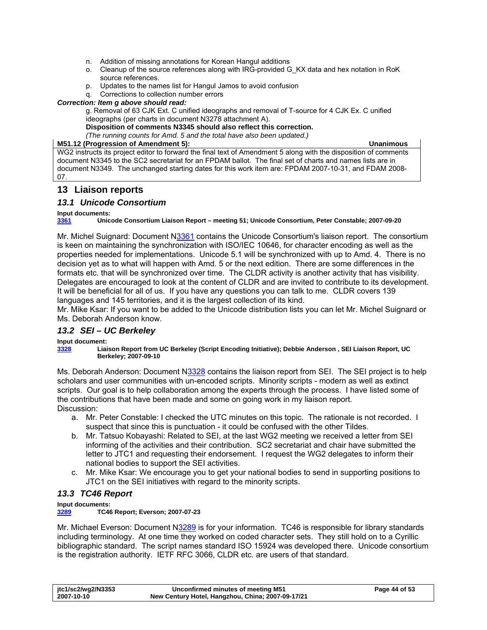- <span id="page-43-0"></span>n. Addition of missing annotations for Korean Hangul additions
- o. Cleanup of the source references along with IRG-provided G\_KX data and hex notation in RoK source references.
- p. Updates to the names list for Hangul Jamos to avoid confusion
- q. Corrections to collection number errors

### *Correction: Item g above should read:*

g. Removal of 63 CJK Ext. C unified ideographs and removal of T-source for 4 CJK Ex. C unified ideographs (per charts in document N3278 attachment A).

**Disposition of comments N3345 should also reflect this correction.** 

*(The running counts for Amd. 5 and the total have also been updated.)* 

### **M51.12 (Progression of Amendment 5): Unanimous**

WG2 instructs its project editor to forward the final text of Amendment 5 along with the disposition of comments document N3345 to the SC2 secretariat for an FPDAM ballot. The final set of charts and names lists are in document N3349. The unchanged starting dates for this work item are: FPDAM 2007-10-31, and FDAM 2008- 07.

# **13 Liaison reports**

### *13.1 Unicode Consortium*

**Input documents:** 

**[3361](http://www.dkuug.dk/jtc1/sc2/wg2/docs/n3361.pdf) Unicode Consortium Liaison Report – meeting 51; Unicode Consortium, Peter Constable; 2007-09-20** 

Mr. Michel Suignard: Document [N3361](http://www.dkuug.dk/jtc1/sc2/wg2/docs/n3361.pdf) contains the Unicode Consortium's liaison report. The consortium is keen on maintaining the synchronization with ISO/IEC 10646, for character encoding as well as the properties needed for implementations. Unicode 5.1 will be synchronized with up to Amd. 4. There is no decision yet as to what will happen with Amd. 5 or the next edition. There are some differences in the formats etc. that will be synchronized over time. The CLDR activity is another activity that has visibility. Delegates are encouraged to look at the content of CLDR and are invited to contribute to its development. It will be beneficial for all of us. If you have any questions you can talk to me. CLDR covers 139 languages and 145 territories, and it is the largest collection of its kind.

Mr. Mike Ksar: If you want to be added to the Unicode distribution lists you can let Mr. Michel Suignard or Ms. Deborah Anderson know.

# *13.2 SEI – UC Berkeley*

### **Input document:**

**[3328](http://www.dkuug.dk/jtc1/sc2/wg2/docs/n3328.pdf) Liaison Report from UC Berkeley (Script Encoding Initiative); Debbie Anderson , SEI Liaison Report, UC Berkeley; 2007-09-10** 

Ms. Deborah Anderson: Document N[3328](http://www.dkuug.dk/jtc1/sc2/wg2/docs/n3328.pdf) contains the liaison report from SEI. The SEI project is to help scholars and user communities with un-encoded scripts. Minority scripts - modern as well as extinct scripts. Our goal is to help collaboration among the experts through the process. I have listed some of the contributions that have been made and some on going work in my liaison report. Discussion:

- a. Mr. Peter Constable: I checked the UTC minutes on this topic. The rationale is not recorded. I suspect that since this is punctuation - it could be confused with the other Tildes.
- b. Mr. Tatsuo Kobayashi: Related to SEI, at the last WG2 meeting we received a letter from SEI informing of the activities and their contribution. SC2 secretariat and chair have submitted the letter to JTC1 and requesting their endorsement. I request the WG2 delegates to inform their national bodies to support the SEI activities.
- c. Mr. Mike Ksar: We encourage you to get your national bodies to send in supporting positions to JTC1 on the SEI initiatives with regard to the minority scripts.

# *13.3 TC46 Report*

**Input documents:** 

### **[3289](http://www.dkuug.dk/jtc1/sc2/wg2/docs/n3289.pdf) TC46 Report; Everson; 2007-07-23**

Mr. Michael Everson: Document [N3289](http://www.dkuug.dk/jtc1/sc2/wg2/docs/n3289.pdf) is for your information. TC46 is responsible for library standards including terminology. At one time they worked on coded character sets. They still hold on to a Cyrillic bibliographic standard. The script names standard ISO 15924 was developed there. Unicode consortium is the registration authority. IETF RFC 3066, CLDR etc. are users of that standard.

| jtc1/sc2/wg2/N3353 | Unconfirmed minutes of meeting M51                | Page 44 of 53 |
|--------------------|---------------------------------------------------|---------------|
| 2007-10-10         | New Century Hotel, Hangzhou, China; 2007-09-17/21 |               |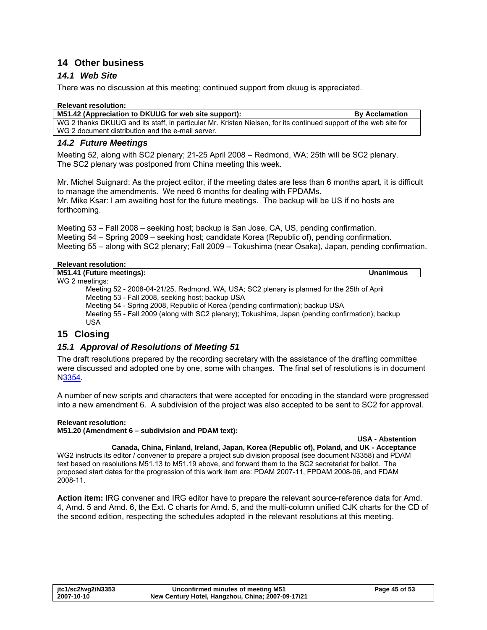# <span id="page-44-0"></span>**14 Other business**

# *14.1 Web Site*

There was no discussion at this meeting; continued support from dkuug is appreciated.

| <b>Relevant resolution:</b>                                                                                       |                       |
|-------------------------------------------------------------------------------------------------------------------|-----------------------|
| M51.42 (Appreciation to DKUUG for web site support):                                                              | <b>By Acclamation</b> |
| WG 2 thanks DKUUG and its staff, in particular Mr. Kristen Nielsen, for its continued support of the web site for |                       |
| WG 2 document distribution and the e-mail server.                                                                 |                       |

### *14.2 Future Meetings*

Meeting 52, along with SC2 plenary; 21-25 April 2008 – Redmond, WA; 25th will be SC2 plenary. The SC2 plenary was postponed from China meeting this week.

Mr. Michel Suignard: As the project editor, if the meeting dates are less than 6 months apart, it is difficult to manage the amendments. We need 6 months for dealing with FPDAMs. Mr. Mike Ksar: I am awaiting host for the future meetings. The backup will be US if no hosts are forthcoming.

Meeting 53 – Fall 2008 – seeking host; backup is San Jose, CA, US, pending confirmation. Meeting 54 – Spring 2009 – seeking host; candidate Korea (Republic of), pending confirmation. Meeting 55 – along with SC2 plenary; Fall 2009 – Tokushima (near Osaka), Japan, pending confirmation.

### **Relevant resolution:**

**M51.41 (Future meetings): Unanimous**  WG 2 meetings:

Meeting 52 - 2008-04-21/25, Redmond, WA, USA; SC2 plenary is planned for the 25th of April Meeting 53 - Fall 2008, seeking host; backup USA Meeting 54 - Spring 2008, Republic of Korea (pending confirmation); backup USA

Meeting 55 - Fall 2009 (along with SC2 plenary); Tokushima, Japan (pending confirmation); backup USA

# **15 Closing**

# *15.1 Approval of Resolutions of Meeting 51*

The draft resolutions prepared by the recording secretary with the assistance of the drafting committee were discussed and adopted one by one, some with changes. The final set of resolutions is in document [N3354.](http://www.dkuug.dk/jtc1/sc2/wg2/docs/N3354.doc)

A number of new scripts and characters that were accepted for encoding in the standard were progressed into a new amendment 6. A subdivision of the project was also accepted to be sent to SC2 for approval.

### **Relevant resolution:**

**M51.20 (Amendment 6 – subdivision and PDAM text):** 

### **USA - Abstention**

**Canada, China, Finland, Ireland, Japan, Korea (Republic of), Poland, and UK - Acceptance**  WG2 instructs its editor / convener to prepare a project sub division proposal (see document N3358) and PDAM text based on resolutions M51.13 to M51.19 above, and forward them to the SC2 secretariat for ballot. The proposed start dates for the progression of this work item are: PDAM 2007-11, FPDAM 2008-06, and FDAM 2008-11.

**Action item:** IRG convener and IRG editor have to prepare the relevant source-reference data for Amd. 4, Amd. 5 and Amd. 6, the Ext. C charts for Amd. 5, and the multi-column unified CJK charts for the CD of the second edition, respecting the schedules adopted in the relevant resolutions at this meeting.

| jtc1/sc2/wg2/N3353 | Unconfirmed minutes of meeting M51                | Page 45 of 53 |
|--------------------|---------------------------------------------------|---------------|
| 2007-10-10         | New Century Hotel, Hangzhou, China; 2007-09-17/21 |               |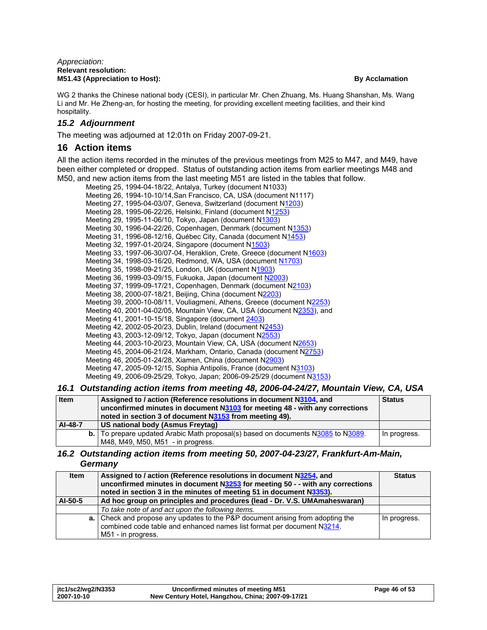<span id="page-45-0"></span>WG 2 thanks the Chinese national body (CESI), in particular Mr. Chen Zhuang, Ms. Huang Shanshan, Ms. Wang Li and Mr. He Zheng-an, for hosting the meeting, for providing excellent meeting facilities, and their kind hospitality.

### *15.2 Adjournment*

The meeting was adjourned at 12:01h on Friday 2007-09-21.

# **16 Action items**

All the action items recorded in the minutes of the previous meetings from M25 to M47, and M49, have been either completed or dropped. Status of outstanding action items from earlier meetings M48 and M50, and new action items from the last meeting M51 are listed in the tables that follow.

| Meeting 25, 1994-04-18/22, Antalya, Turkey (document N1033)             |
|-------------------------------------------------------------------------|
| Meeting 26, 1994-10-10/14, San Francisco, CA, USA (document N1117)      |
| Meeting 27, 1995-04-03/07, Geneva, Switzerland (document N1203)         |
| Meeting 28, 1995-06-22/26, Helsinki, Finland (document N1253)           |
| Meeting 29, 1995-11-06/10, Tokyo, Japan (document N1303)                |
| Meeting 30, 1996-04-22/26, Copenhagen, Denmark (document N1353)         |
| Meeting 31, 1996-08-12/16, Québec City, Canada (document N1453)         |
| Meeting 32, 1997-01-20/24, Singapore (document N1503)                   |
| Meeting 33, 1997-06-30/07-04, Heraklion, Crete, Greece (document N1603) |
| Meeting 34, 1998-03-16/20, Redmond, WA, USA (document N1703)            |
| Meeting 35, 1998-09-21/25, London, UK (document N1903)                  |
| Meeting 36, 1999-03-09/15, Fukuoka, Japan (document N2003)              |
| Meeting 37, 1999-09-17/21, Copenhagen, Denmark (document N2103)         |
| Meeting 38, 2000-07-18/21, Beijing, China (document N2203)              |
| Meeting 39, 2000-10-08/11, Vouliagmeni, Athens, Greece (document N2253) |
| Meeting 40, 2001-04-02/05, Mountain View, CA, USA (document N2353), and |
| Meeting 41, 2001-10-15/18, Singapore (document 2403)                    |
| Meeting 42, 2002-05-20/23, Dublin, Ireland (document N2453)             |
| Meeting 43, 2003-12-09/12, Tokyo, Japan (document N2553)                |
| Meeting 44, 2003-10-20/23, Mountain View, CA, USA (document N2653)      |
| Meeting 45, 2004-06-21/24, Markham, Ontario, Canada (document N2753)    |
| Meeting 46, 2005-01-24/28, Xiamen, China (document N2903)               |
| Meeting 47, 2005-09-12/15, Sophia Antipolis, France (document N3103)    |
| Meeting 49, 2006-09-25/29, Tokyo, Japan; 2006-09-25/29 (document N3153) |
|                                                                         |

### *16.1 Outstanding action items from meeting 48, 2006-04-24/27, Mountain View, CA, USA*

| <b>Item</b> | Assigned to / action (Reference resolutions in document N3104, and<br>unconfirmed minutes in document N3103 for meeting 48 - with any corrections<br>noted in section 3 of document N3153 from meeting 49). | <b>Status</b> |
|-------------|-------------------------------------------------------------------------------------------------------------------------------------------------------------------------------------------------------------|---------------|
| AI-48-7     | US national body (Asmus Freytag)                                                                                                                                                                            |               |
|             | b.   To prepare updated Arabic Math proposal(s) based on documents N3085 to N3089.                                                                                                                          | In progress.  |
|             | M48, M49, M50, M51 - in progress.                                                                                                                                                                           |               |

### *16.2 Outstanding action items from meeting 50, 2007-04-23/27, Frankfurt-Am-Main, Germany*

| <b>Item</b> | Assigned to / action (Reference resolutions in document N3254, and<br>unconfirmed minutes in document $N3253$ for meeting 50 - - with any corrections<br>noted in section 3 in the minutes of meeting 51 in document N3353). | <b>Status</b> |
|-------------|------------------------------------------------------------------------------------------------------------------------------------------------------------------------------------------------------------------------------|---------------|
| AI-50-5     | Ad hoc group on principles and procedures (lead - Dr. V.S. UMAmaheswaran)                                                                                                                                                    |               |
|             | To take note of and act upon the following items.                                                                                                                                                                            |               |
|             | a. Check and propose any updates to the P&P document arising from adopting the<br>combined code table and enhanced names list format per document N3214.<br>M51 - in progress.                                               | In progress.  |

| itc1/sc2/wg2/N3353 | Unconfirmed minutes of meeting M51                | Page 46 of 53 |
|--------------------|---------------------------------------------------|---------------|
| 2007-10-10         | New Century Hotel, Hangzhou, China; 2007-09-17/21 |               |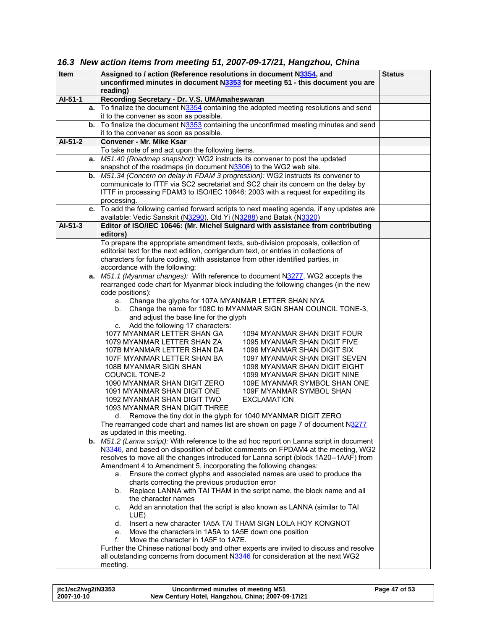# <span id="page-46-0"></span>*16.3 New action items from meeting 51, 2007-09-17/21, Hangzhou, China*

| <b>Item</b>   | Assigned to / action (Reference resolutions in document N3354, and                      |  |
|---------------|-----------------------------------------------------------------------------------------|--|
|               | unconfirmed minutes in document N3353 for meeting 51 - this document you are            |  |
|               | reading)                                                                                |  |
| AI-51-1       | Recording Secretary - Dr. V.S. UMAmaheswaran                                            |  |
| а.            | To finalize the document N3354 containing the adopted meeting resolutions and send      |  |
|               | it to the convener as soon as possible.                                                 |  |
| b.            | To finalize the document N3353 containing the unconfirmed meeting minutes and send      |  |
|               | it to the convener as soon as possible.                                                 |  |
| AI-51-2       | Convener - Mr. Mike Ksar                                                                |  |
|               | To take note of and act upon the following items.                                       |  |
| a.            | M51.40 (Roadmap snapshot): WG2 instructs its convener to post the updated               |  |
|               | snapshot of the roadmaps (in document N3306) to the WG2 web site.                       |  |
| b.            | M51.34 (Concern on delay in FDAM 3 progression): WG2 instructs its convener to          |  |
|               | communicate to ITTF via SC2 secretariat and SC2 chair its concern on the delay by       |  |
|               | ITTF in processing FDAM3 to ISO/IEC 10646: 2003 with a request for expediting its       |  |
|               | processing.                                                                             |  |
| c.            | To add the following carried forward scripts to next meeting agenda, if any updates are |  |
|               | available: Vedic Sanskrit (N3290), Old Yi (N3288) and Batak (N3320)                     |  |
| $AI-51-3$     | Editor of ISO/IEC 10646: (Mr. Michel Suignard with assistance from contributing         |  |
|               | editors)                                                                                |  |
|               | To prepare the appropriate amendment texts, sub-division proposals, collection of       |  |
|               | editorial text for the next edition, corrigendum text, or entries in collections of     |  |
|               | characters for future coding, with assistance from other identified parties, in         |  |
|               | accordance with the following:                                                          |  |
| a.            | M51.1 (Myanmar changes): With reference to document N3277, WG2 accepts the              |  |
|               | rearranged code chart for Myanmar block including the following changes (in the new     |  |
|               | code positions):                                                                        |  |
|               | Change the glyphs for 107A MYANMAR LETTER SHAN NYA<br>a.                                |  |
|               | Change the name for 108C to MYANMAR SIGN SHAN COUNCIL TONE-3,<br>b.                     |  |
|               | and adjust the base line for the glyph                                                  |  |
|               | c. Add the following 17 characters:                                                     |  |
|               | 1077 MYANMAR LETTER SHAN GA<br>1094 MYANMAR SHAN DIGIT FOUR                             |  |
|               | 1079 MYANMAR LETTER SHAN ZA<br>1095 MYANMAR SHAN DIGIT FIVE                             |  |
|               | 107B MYANMAR LETTER SHAN DA<br>1096 MYANMAR SHAN DIGIT SIX                              |  |
|               | 107F MYANMAR LETTER SHAN BA<br>1097 MYANMAR SHAN DIGIT SEVEN                            |  |
|               | 108B MYANMAR SIGN SHAN<br>1098 MYANMAR SHAN DIGIT EIGHT                                 |  |
|               | <b>COUNCIL TONE-2</b><br>1099 MYANMAR SHAN DIGIT NINE                                   |  |
|               | 1090 MYANMAR SHAN DIGIT ZERO<br>109E MYANMAR SYMBOL SHAN ONE                            |  |
|               | 1091 MYANMAR SHAN DIGIT ONE<br>109F MYANMAR SYMBOL SHAN                                 |  |
|               | 1092 MYANMAR SHAN DIGIT TWO<br><b>EXCLAMATION</b>                                       |  |
|               | 1093 MYANMAR SHAN DIGIT THREE                                                           |  |
|               | Remove the tiny dot in the glyph for 1040 MYANMAR DIGIT ZERO<br>d.                      |  |
|               | The rearranged code chart and names list are shown on page 7 of document N3277          |  |
|               | as updated in this meeting.                                                             |  |
| $\mathbf b$ . | M51.2 (Lanna script): With reference to the ad hoc report on Lanna script in document   |  |
|               | N3346, and based on disposition of ballot comments on FPDAM4 at the meeting, WG2        |  |
|               | resolves to move all the changes introduced for Lanna script (block 1A20--1AAF) from    |  |
|               | Amendment 4 to Amendment 5, incorporating the following changes:                        |  |
|               | Ensure the correct glyphs and associated names are used to produce the<br>a.            |  |
|               | charts correcting the previous production error                                         |  |
|               | Replace LANNA with TAI THAM in the script name, the block name and all<br>b.            |  |
|               | the character names                                                                     |  |
|               | Add an annotation that the script is also known as LANNA (similar to TAI<br>C.          |  |
|               | LUE)                                                                                    |  |
|               | Insert a new character 1A5A TAI THAM SIGN LOLA HOY KONGNOT<br>d.                        |  |
|               | Move the characters in 1A5A to 1A5E down one position<br>е.                             |  |
|               | f.<br>Move the character in 1A5F to 1A7E.                                               |  |
|               | Further the Chinese national body and other experts are invited to discuss and resolve  |  |
|               | all outstanding concerns from document N3346 for consideration at the next WG2          |  |
|               | meeting.                                                                                |  |

| jtc1/sc2/wg2/N3353 | Unconfirmed minutes of meeting M51                | Page 47 of 53 |
|--------------------|---------------------------------------------------|---------------|
| 2007-10-10         | New Century Hotel, Hangzhou, China; 2007-09-17/21 |               |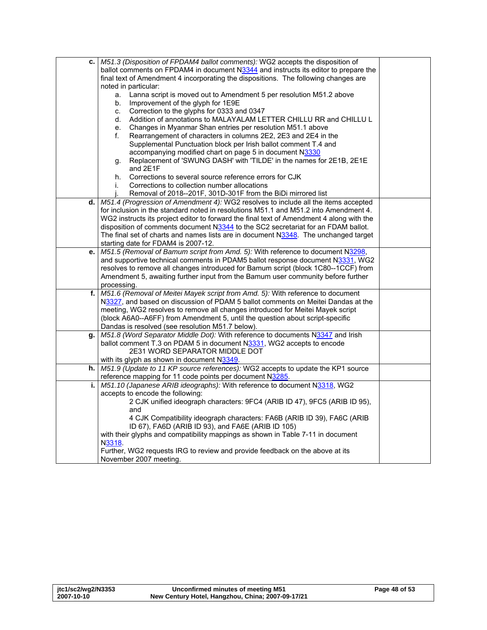| c. | M51.3 (Disposition of FPDAM4 ballot comments): WG2 accepts the disposition of                                                                                      |  |
|----|--------------------------------------------------------------------------------------------------------------------------------------------------------------------|--|
|    | ballot comments on FPDAM4 in document N3344 and instructs its editor to prepare the                                                                                |  |
|    | final text of Amendment 4 incorporating the dispositions. The following changes are                                                                                |  |
|    | noted in particular:                                                                                                                                               |  |
|    | Lanna script is moved out to Amendment 5 per resolution M51.2 above<br>a.                                                                                          |  |
|    | Improvement of the glyph for 1E9E<br>b.                                                                                                                            |  |
|    | Correction to the glyphs for 0333 and 0347<br>C.                                                                                                                   |  |
|    | Addition of annotations to MALAYALAM LETTER CHILLU RR and CHILLU L<br>d.                                                                                           |  |
|    | Changes in Myanmar Shan entries per resolution M51.1 above<br>е.                                                                                                   |  |
|    | Rearrangement of characters in columns 2E2, 2E3 and 2E4 in the<br>f.                                                                                               |  |
|    | Supplemental Punctuation block per Irish ballot comment T.4 and                                                                                                    |  |
|    | accompanying modified chart on page 5 in document N3330                                                                                                            |  |
|    | Replacement of 'SWUNG DASH' with 'TILDE' in the names for 2E1B, 2E1E<br>g.                                                                                         |  |
|    | and 2E1F                                                                                                                                                           |  |
|    | Corrections to several source reference errors for CJK<br>h.                                                                                                       |  |
|    | Corrections to collection number allocations<br>i.                                                                                                                 |  |
|    | Removal of 2018--201F, 301D-301F from the BiDi mirrored list                                                                                                       |  |
| d. | M51.4 (Progression of Amendment 4): WG2 resolves to include all the items accepted                                                                                 |  |
|    | for inclusion in the standard noted in resolutions M51.1 and M51.2 into Amendment 4.                                                                               |  |
|    | WG2 instructs its project editor to forward the final text of Amendment 4 along with the                                                                           |  |
|    | disposition of comments document N3344 to the SC2 secretariat for an FDAM ballot.                                                                                  |  |
|    | The final set of charts and names lists are in document N3348. The unchanged target                                                                                |  |
|    | starting date for FDAM4 is 2007-12.                                                                                                                                |  |
| e. | M51.5 (Removal of Bamum script from Amd. 5): With reference to document N3298,                                                                                     |  |
|    | and supportive technical comments in PDAM5 ballot response document N3331, WG2                                                                                     |  |
|    | resolves to remove all changes introduced for Bamum script (block 1C80--1CCF) from                                                                                 |  |
|    | Amendment 5, awaiting further input from the Bamum user community before further                                                                                   |  |
| f. | processing.                                                                                                                                                        |  |
|    | M51.6 (Removal of Meitei Mayek script from Amd. 5): With reference to document                                                                                     |  |
|    | N3327, and based on discussion of PDAM 5 ballot comments on Meitei Dandas at the<br>meeting, WG2 resolves to remove all changes introduced for Meitei Mayek script |  |
|    | (block A6A0--A6FF) from Amendment 5, until the question about script-specific                                                                                      |  |
|    | Dandas is resolved (see resolution M51.7 below).                                                                                                                   |  |
| g. | M51.8 (Word Separator Middle Dot): With reference to documents N3347 and Irish                                                                                     |  |
|    | ballot comment T.3 on PDAM 5 in document N3331, WG2 accepts to encode                                                                                              |  |
|    | 2E31 WORD SEPARATOR MIDDLE DOT                                                                                                                                     |  |
|    | with its glyph as shown in document N3349.                                                                                                                         |  |
| h. | M51.9 (Update to 11 KP source references): WG2 accepts to update the KP1 source                                                                                    |  |
|    | reference mapping for 11 code points per document N3285.                                                                                                           |  |
| i. | M51.10 (Japanese ARIB ideographs): With reference to document N3318, WG2                                                                                           |  |
|    | accepts to encode the following:                                                                                                                                   |  |
|    | 2 CJK unified ideograph characters: 9FC4 (ARIB ID 47), 9FC5 (ARIB ID 95),                                                                                          |  |
|    | and                                                                                                                                                                |  |
|    | 4 CJK Compatibility ideograph characters: FA6B (ARIB ID 39), FA6C (ARIB                                                                                            |  |
|    | ID 67), FA6D (ARIB ID 93), and FA6E (ARIB ID 105)                                                                                                                  |  |
|    | with their glyphs and compatibility mappings as shown in Table 7-11 in document                                                                                    |  |
|    | N3318.                                                                                                                                                             |  |
|    | Further, WG2 requests IRG to review and provide feedback on the above at its                                                                                       |  |
|    | November 2007 meeting.                                                                                                                                             |  |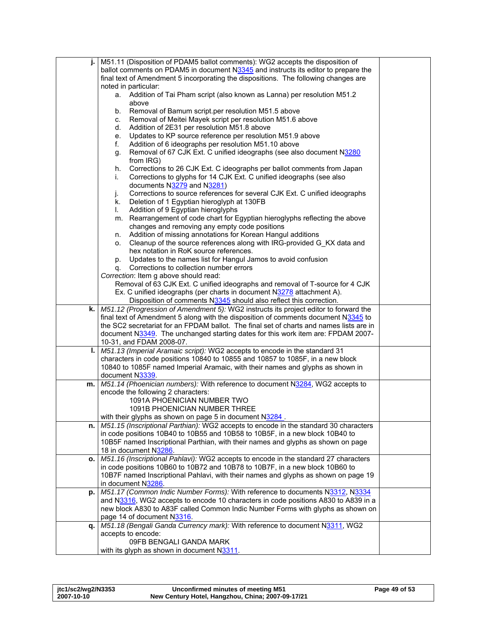|      | M51.11 (Disposition of PDAM5 ballot comments): WG2 accepts the disposition of                                          |  |
|------|------------------------------------------------------------------------------------------------------------------------|--|
|      | ballot comments on PDAM5 in document N3345 and instructs its editor to prepare the                                     |  |
|      | final text of Amendment 5 incorporating the dispositions. The following changes are                                    |  |
|      | noted in particular:                                                                                                   |  |
|      | a. Addition of Tai Pham script (also known as Lanna) per resolution M51.2                                              |  |
|      | above                                                                                                                  |  |
|      | Removal of Bamum script.per resolution M51.5 above<br>b.                                                               |  |
|      | Removal of Meitei Mayek script per resolution M51.6 above<br>C.                                                        |  |
|      | Addition of 2E31 per resolution M51.8 above<br>d.                                                                      |  |
|      | Updates to KP source reference per resolution M51.9 above<br>е.                                                        |  |
|      | Addition of 6 ideographs per resolution M51.10 above<br>f.                                                             |  |
|      | Removal of 67 CJK Ext. C unified ideographs (see also document N3280<br>g.                                             |  |
|      | from IRG)                                                                                                              |  |
|      | Corrections to 26 CJK Ext. C ideographs per ballot comments from Japan<br>h.                                           |  |
|      | Corrections to glyphs for 14 CJK Ext. C unified ideographs (see also<br>İ.                                             |  |
|      | documents N3279 and N3281)                                                                                             |  |
|      | Corrections to source references for several CJK Ext. C unified ideographs<br>j.                                       |  |
|      | Deletion of 1 Egyptian hieroglyph at 130FB<br>k.                                                                       |  |
|      | Addition of 9 Egyptian hieroglyphs<br>L.                                                                               |  |
|      | m. Rearrangement of code chart for Egyptian hieroglyphs reflecting the above                                           |  |
|      | changes and removing any empty code positions                                                                          |  |
|      | Addition of missing annotations for Korean Hangul additions<br>n.                                                      |  |
|      | Cleanup of the source references along with IRG-provided G_KX data and<br>о.<br>hex notation in RoK source references. |  |
|      | Updates to the names list for Hangul Jamos to avoid confusion                                                          |  |
|      | p.<br>Corrections to collection number errors                                                                          |  |
|      | q.<br>Correction: Item g above should read:                                                                            |  |
|      | Removal of 63 CJK Ext. C unified ideographs and removal of T-source for 4 CJK                                          |  |
|      | Ex. C unified ideographs (per charts in document N3278 attachment A).                                                  |  |
|      | Disposition of comments N3345 should also reflect this correction.                                                     |  |
| k. I | M51.12 (Progression of Amendment 5): WG2 instructs its project editor to forward the                                   |  |
|      | final text of Amendment 5 along with the disposition of comments document N3345 to                                     |  |
|      | the SC2 secretariat for an FPDAM ballot. The final set of charts and names lists are in                                |  |
|      | document N3349. The unchanged starting dates for this work item are: FPDAM 2007-                                       |  |
|      | 10-31, and FDAM 2008-07.                                                                                               |  |
| ı.   | M51.13 (Imperial Aramaic script): WG2 accepts to encode in the standard 31                                             |  |
|      | characters in code positions 10840 to 10855 and 10857 to 1085F, in a new block                                         |  |
|      | 10840 to 1085F named Imperial Aramaic, with their names and glyphs as shown in                                         |  |
|      | document N3339.                                                                                                        |  |
| m.   | M51.14 (Phoenician numbers): With reference to document N3284, WG2 accepts to<br>encode the following 2 characters:    |  |
|      | 1091A PHOENICIAN NUMBER TWO                                                                                            |  |
|      | <b>1091B PHOENICIAN NUMBER THREE</b>                                                                                   |  |
|      | with their glyphs as shown on page 5 in document N3284.                                                                |  |
| n.   | M51.15 (Inscriptional Parthian): WG2 accepts to encode in the standard 30 characters                                   |  |
|      | in code positions 10B40 to 10B55 and 10B58 to 10B5F, in a new block 10B40 to                                           |  |
|      | 10B5F named Inscriptional Parthian, with their names and glyphs as shown on page                                       |  |
|      | 18 in document N3286.                                                                                                  |  |
| о.   | M51.16 (Inscriptional Pahlavi): WG2 accepts to encode in the standard 27 characters                                    |  |
|      | in code positions 10B60 to 10B72 and 10B78 to 10B7F, in a new block 10B60 to                                           |  |
|      | 10B7F named Inscriptional Pahlavi, with their names and glyphs as shown on page 19                                     |  |
|      | in document N3286.                                                                                                     |  |
| p.   | M51.17 (Common Indic Number Forms): With reference to documents N3312, N3334                                           |  |
|      | and N3316, WG2 accepts to encode 10 characters in code positions A830 to A839 in a                                     |  |
|      | new block A830 to A83F called Common Indic Number Forms with glyphs as shown on                                        |  |
|      | page 14 of document N3316.                                                                                             |  |
| q.   | M51.18 (Bengali Ganda Currency mark): With reference to document N3311, WG2                                            |  |
|      | accepts to encode:                                                                                                     |  |
|      | 09FB BENGALI GANDA MARK                                                                                                |  |
|      | with its glyph as shown in document N3311.                                                                             |  |

| jtc1/sc2/wg2/N3353 | Unconfirmed minutes of meeting M51                | Page 49 of 53 |
|--------------------|---------------------------------------------------|---------------|
| 2007-10-10         | New Century Hotel, Hangzhou, China; 2007-09-17/21 |               |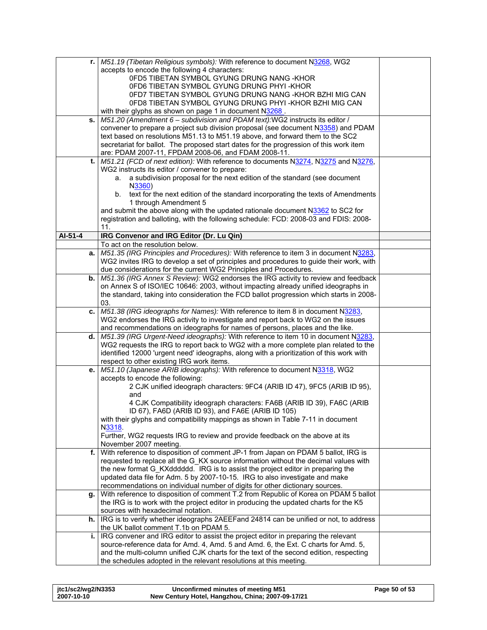|         | r.   M51.19 (Tibetan Religious symbols): With reference to document N3268, WG2           |  |
|---------|------------------------------------------------------------------------------------------|--|
|         | accepts to encode the following 4 characters:                                            |  |
|         | 0FD5 TIBETAN SYMBOL GYUNG DRUNG NANG - KHOR                                              |  |
|         | 0FD6 TIBETAN SYMBOL GYUNG DRUNG PHYI-KHOR                                                |  |
|         | 0FD7 TIBETAN SYMBOL GYUNG DRUNG NANG-KHOR BZHI MIG CAN                                   |  |
|         | 0FD8 TIBETAN SYMBOL GYUNG DRUNG PHYI-KHOR BZHI MIG CAN                                   |  |
|         | with their glyphs as shown on page 1 in document N3268.                                  |  |
| s.      | M51.20 (Amendment 6 - subdivision and PDAM text): WG2 instructs its editor /             |  |
|         | convener to prepare a project sub division proposal (see document N3358) and PDAM        |  |
|         | text based on resolutions M51.13 to M51.19 above, and forward them to the SC2            |  |
|         | secretariat for ballot. The proposed start dates for the progression of this work item   |  |
|         | are: PDAM 2007-11, FPDAM 2008-06, and FDAM 2008-11.                                      |  |
|         | M51.21 (FCD of next edition): With reference to documents N3274, N3275 and N3276,        |  |
| t.      | WG2 instructs its editor / convener to prepare:                                          |  |
|         |                                                                                          |  |
|         | a subdivision proposal for the next edition of the standard (see document<br>a.          |  |
|         | N3360)                                                                                   |  |
|         | text for the next edition of the standard incorporating the texts of Amendments<br>b.    |  |
|         | 1 through Amendment 5                                                                    |  |
|         | and submit the above along with the updated rationale document N3362 to SC2 for          |  |
|         | registration and balloting, with the following schedule: FCD: 2008-03 and FDIS: 2008-    |  |
|         | 11.                                                                                      |  |
| AI-51-4 | IRG Convenor and IRG Editor (Dr. Lu Qin)                                                 |  |
|         | To act on the resolution below.                                                          |  |
| a.      | M51.35 (IRG Principles and Procedures): With reference to item 3 in document N3283,      |  |
|         | WG2 invites IRG to develop a set of principles and procedures to guide their work, with  |  |
|         | due considerations for the current WG2 Principles and Procedures.                        |  |
| b.      | M51.36 (IRG Annex S Review): WG2 endorses the IRG activity to review and feedback        |  |
|         | on Annex S of ISO/IEC 10646: 2003, without impacting already unified ideographs in       |  |
|         | the standard, taking into consideration the FCD ballot progression which starts in 2008- |  |
|         | 03.                                                                                      |  |
| c.      | M51.38 (IRG ideographs for Names): With reference to item 8 in document N3283,           |  |
|         | WG2 endorses the IRG activity to investigate and report back to WG2 on the issues        |  |
|         | and recommendations on ideographs for names of persons, places and the like.             |  |
| d.      | M51.39 (IRG Urgent-Need ideographs): With reference to item 10 in document N3283,        |  |
|         | WG2 requests the IRG to report back to WG2 with a more complete plan related to the      |  |
|         | identified 12000 'urgent need' ideographs, along with a prioritization of this work with |  |
|         | respect to other existing IRG work items.                                                |  |
| е.      | M51.10 (Japanese ARIB ideographs): With reference to document N3318, WG2                 |  |
|         | accepts to encode the following:                                                         |  |
|         | 2 CJK unified ideograph characters: 9FC4 (ARIB ID 47), 9FC5 (ARIB ID 95),                |  |
|         | and                                                                                      |  |
|         | 4 CJK Compatibility ideograph characters: FA6B (ARIB ID 39), FA6C (ARIB                  |  |
|         | ID 67), FA6D (ARIB ID 93), and FA6E (ARIB ID 105)                                        |  |
|         | with their glyphs and compatibility mappings as shown in Table 7-11 in document          |  |
|         | N3318.                                                                                   |  |
|         | Further, WG2 requests IRG to review and provide feedback on the above at its             |  |
|         | November 2007 meeting.                                                                   |  |
| f.      | With reference to disposition of comment JP-1 from Japan on PDAM 5 ballot, IRG is        |  |
|         | requested to replace all the G KX source information without the decimal values with     |  |
|         | the new format G KXdddddd. IRG is to assist the project editor in preparing the          |  |
|         | updated data file for Adm. 5 by 2007-10-15. IRG to also investigate and make             |  |
|         | recommendations on individual number of digits for other dictionary sources.             |  |
| g.      | With reference to disposition of comment T.2 from Republic of Korea on PDAM 5 ballot     |  |
|         | the IRG is to work with the project editor in producing the updated charts for the K5    |  |
|         | sources with hexadecimal notation.                                                       |  |
| h.      | IRG is to verify whether ideographs 2AEEFand 24814 can be unified or not, to address     |  |
|         | the UK ballot comment T.1b on PDAM 5.                                                    |  |
| i.      | IRG convener and IRG editor to assist the project editor in preparing the relevant       |  |
|         | source-reference data for Amd. 4, Amd. 5 and Amd. 6, the Ext. C charts for Amd. 5,       |  |
|         | and the multi-column unified CJK charts for the text of the second edition, respecting   |  |
|         | the schedules adopted in the relevant resolutions at this meeting.                       |  |
|         |                                                                                          |  |

| itc1/sc2/wg2/N3353 | Unconfirmed minutes of meeting M51                | Page 50 of 53 |
|--------------------|---------------------------------------------------|---------------|
| 2007-10-10         | New Century Hotel, Hangzhou, China; 2007-09-17/21 |               |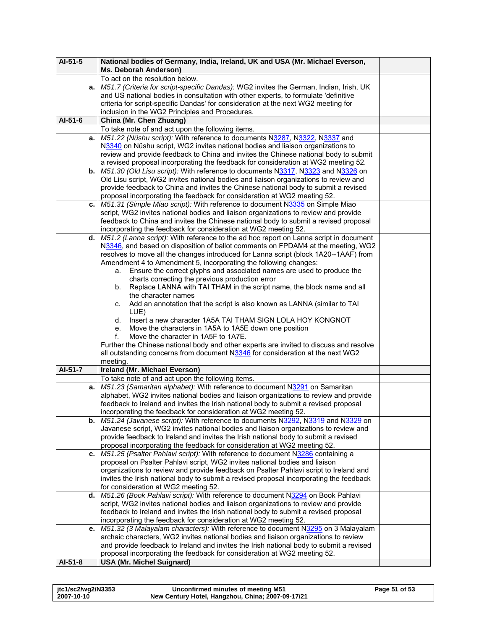| $AI-51-5$ | National bodies of Germany, India, Ireland, UK and USA (Mr. Michael Everson,                                                                                             |  |
|-----------|--------------------------------------------------------------------------------------------------------------------------------------------------------------------------|--|
|           | Ms. Deborah Anderson)                                                                                                                                                    |  |
|           | To act on the resolution below.                                                                                                                                          |  |
| a.        | M51.7 (Criteria for script-specific Dandas): WG2 invites the German, Indian, Irish, UK                                                                                   |  |
|           | and US national bodies in consultation with other experts, to formulate 'definitive                                                                                      |  |
|           | criteria for script-specific Dandas' for consideration at the next WG2 meeting for                                                                                       |  |
|           | inclusion in the WG2 Principles and Procedures.                                                                                                                          |  |
| $AI-51-6$ | China (Mr. Chen Zhuang)                                                                                                                                                  |  |
|           | To take note of and act upon the following items.                                                                                                                        |  |
| a.        | M51.22 (Nüshu script): With reference to documents N3287, N3322, N3337 and                                                                                               |  |
|           | N3340 on Nüshu script, WG2 invites national bodies and liaison organizations to                                                                                          |  |
|           | review and provide feedback to China and invites the Chinese national body to submit                                                                                     |  |
|           | a revised proposal incorporating the feedback for consideration at WG2 meeting 52.                                                                                       |  |
| b.        | M51.30 (Old Lisu script): With reference to documents N3317, N3323 and N3326 on<br>Old Lisu script, WG2 invites national bodies and liaison organizations to review and  |  |
|           | provide feedback to China and invites the Chinese national body to submit a revised                                                                                      |  |
|           | proposal incorporating the feedback for consideration at WG2 meeting 52.                                                                                                 |  |
| c.        | M51.31 (Simple Miao script): With reference to document N3335 on Simple Miao                                                                                             |  |
|           | script, WG2 invites national bodies and liaison organizations to review and provide                                                                                      |  |
|           | feedback to China and invites the Chinese national body to submit a revised proposal                                                                                     |  |
|           | incorporating the feedback for consideration at WG2 meeting 52.                                                                                                          |  |
| d.        | M51.2 (Lanna script): With reference to the ad hoc report on Lanna script in document                                                                                    |  |
|           | N3346, and based on disposition of ballot comments on FPDAM4 at the meeting, WG2                                                                                         |  |
|           | resolves to move all the changes introduced for Lanna script (block 1A20--1AAF) from                                                                                     |  |
|           | Amendment 4 to Amendment 5, incorporating the following changes:                                                                                                         |  |
|           | Ensure the correct glyphs and associated names are used to produce the<br>a.                                                                                             |  |
|           | charts correcting the previous production error                                                                                                                          |  |
|           | Replace LANNA with TAI THAM in the script name, the block name and all<br>b.                                                                                             |  |
|           | the character names                                                                                                                                                      |  |
|           | Add an annotation that the script is also known as LANNA (similar to TAI<br>C.                                                                                           |  |
|           | LUE)                                                                                                                                                                     |  |
|           | Insert a new character 1A5A TAI THAM SIGN LOLA HOY KONGNOT<br>d.                                                                                                         |  |
|           | Move the characters in 1A5A to 1A5E down one position<br>$e_{\cdot}$                                                                                                     |  |
|           | Move the character in 1A5F to 1A7E.<br>f.                                                                                                                                |  |
|           | Further the Chinese national body and other experts are invited to discuss and resolve<br>all outstanding concerns from document N3346 for consideration at the next WG2 |  |
|           | meeting.                                                                                                                                                                 |  |
| Al-51-7   | Ireland (Mr. Michael Everson)                                                                                                                                            |  |
|           | To take note of and act upon the following items.                                                                                                                        |  |
| a.        | M51.23 (Samaritan alphabet): With reference to document N3291 on Samaritan                                                                                               |  |
|           | alphabet, WG2 invites national bodies and liaison organizations to review and provide                                                                                    |  |
|           | feedback to Ireland and invites the Irish national body to submit a revised proposal                                                                                     |  |
|           | incorporating the feedback for consideration at WG2 meeting 52.                                                                                                          |  |
| b.        | M51.24 (Javanese script): With reference to documents N3292, N3319 and N3329 on                                                                                          |  |
|           | Javanese script, WG2 invites national bodies and liaison organizations to review and                                                                                     |  |
|           | provide feedback to Ireland and invites the Irish national body to submit a revised                                                                                      |  |
|           | proposal incorporating the feedback for consideration at WG2 meeting 52.                                                                                                 |  |
| c.        | M51.25 (Psalter Pahlavi script): With reference to document N3286 containing a                                                                                           |  |
|           | proposal on Psalter Pahlavi script, WG2 invites national bodies and liaison                                                                                              |  |
|           | organizations to review and provide feedback on Psalter Pahlavi script to Ireland and                                                                                    |  |
|           | invites the Irish national body to submit a revised proposal incorporating the feedback                                                                                  |  |
|           | for consideration at WG2 meeting 52.                                                                                                                                     |  |
| d.        | M51.26 (Book Pahlavi script): With reference to document N3294 on Book Pahlavi                                                                                           |  |
|           | script, WG2 invites national bodies and liaison organizations to review and provide                                                                                      |  |
|           | feedback to Ireland and invites the Irish national body to submit a revised proposal                                                                                     |  |
|           | incorporating the feedback for consideration at WG2 meeting 52.                                                                                                          |  |
| e.        | M51.32 (3 Malayalam characters): With reference to document N3295 on 3 Malayalam                                                                                         |  |
|           | archaic characters, WG2 invites national bodies and liaison organizations to review                                                                                      |  |
|           | and provide feedback to Ireland and invites the Irish national body to submit a revised                                                                                  |  |
| $AI-51-8$ | proposal incorporating the feedback for consideration at WG2 meeting 52.<br><b>USA (Mr. Michel Suignard)</b>                                                             |  |
|           |                                                                                                                                                                          |  |

| itc1/sc2/wg2/N3353 | Unconfirmed minutes of meeting M51                | Page 51 of 53 |
|--------------------|---------------------------------------------------|---------------|
| 2007-10-10         | New Century Hotel, Hangzhou, China; 2007-09-17/21 |               |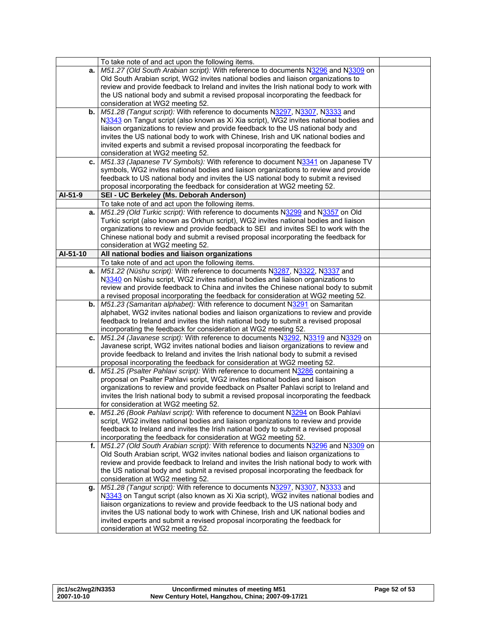|              | To take note of and act upon the following items.                                                                                   |  |
|--------------|-------------------------------------------------------------------------------------------------------------------------------------|--|
| а.           | M51.27 (Old South Arabian script): With reference to documents N3296 and N3309 on                                                   |  |
|              | Old South Arabian script, WG2 invites national bodies and liaison organizations to                                                  |  |
|              | review and provide feedback to Ireland and invites the Irish national body to work with                                             |  |
|              | the US national body and submit a revised proposal incorporating the feedback for                                                   |  |
|              | consideration at WG2 meeting 52.                                                                                                    |  |
| b.           | M51.28 (Tangut script): With reference to documents N3297, N3307, N3333 and                                                         |  |
|              | N3343 on Tangut script (also known as Xi Xia script), WG2 invites national bodies and                                               |  |
|              | liaison organizations to review and provide feedback to the US national body and                                                    |  |
|              | invites the US national body to work with Chinese, Irish and UK national bodies and                                                 |  |
|              | invited experts and submit a revised proposal incorporating the feedback for                                                        |  |
|              | consideration at WG2 meeting 52.                                                                                                    |  |
| c.           | M51.33 (Japanese TV Symbols): With reference to document N3341 on Japanese TV                                                       |  |
|              | symbols, WG2 invites national bodies and liaison organizations to review and provide                                                |  |
|              | feedback to US national body and invites the US national body to submit a revised                                                   |  |
|              | proposal incorporating the feedback for consideration at WG2 meeting 52.                                                            |  |
| AI-51-9      | SEI - UC Berkeley (Ms. Deborah Anderson)                                                                                            |  |
|              | To take note of and act upon the following items.<br>M51.29 (Old Turkic script): With reference to documents N3299 and N3357 on Old |  |
| a.           | Turkic script (also known as Orkhun script), WG2 invites national bodies and liaison                                                |  |
|              | organizations to review and provide feedback to SEI and invites SEI to work with the                                                |  |
|              | Chinese national body and submit a revised proposal incorporating the feedback for                                                  |  |
|              | consideration at WG2 meeting 52.                                                                                                    |  |
| AI-51-10     | All national bodies and liaison organizations                                                                                       |  |
|              | To take note of and act upon the following items.                                                                                   |  |
| а.           | M51.22 (Nüshu script): With reference to documents N3287, N3322, N3337 and                                                          |  |
|              | N3340 on Nüshu script, WG2 invites national bodies and liaison organizations to                                                     |  |
|              | review and provide feedback to China and invites the Chinese national body to submit                                                |  |
|              | a revised proposal incorporating the feedback for consideration at WG2 meeting 52.                                                  |  |
| b.           | M51.23 (Samaritan alphabet): With reference to document N3291 on Samaritan                                                          |  |
|              | alphabet, WG2 invites national bodies and liaison organizations to review and provide                                               |  |
|              | feedback to Ireland and invites the Irish national body to submit a revised proposal                                                |  |
|              | incorporating the feedback for consideration at WG2 meeting 52.                                                                     |  |
| c.           | M51.24 (Javanese script): With reference to documents N3292, N3319 and N3329 on                                                     |  |
|              | Javanese script, WG2 invites national bodies and liaison organizations to review and                                                |  |
|              | provide feedback to Ireland and invites the Irish national body to submit a revised                                                 |  |
|              | proposal incorporating the feedback for consideration at WG2 meeting 52.                                                            |  |
| d. I         | M51.25 (Psalter Pahlavi script): With reference to document N3286 containing a                                                      |  |
|              | proposal on Psalter Pahlavi script, WG2 invites national bodies and liaison                                                         |  |
|              | organizations to review and provide feedback on Psalter Pahlavi script to Ireland and                                               |  |
|              | invites the Irish national body to submit a revised proposal incorporating the feedback                                             |  |
|              | for consideration at WG2 meeting 52.                                                                                                |  |
|              | M51.26 (Book Pahlavi script): With reference to document N3294 on Book Pahlavi                                                      |  |
|              | script, WG2 invites national bodies and liaison organizations to review and provide                                                 |  |
|              | feedback to Ireland and invites the Irish national body to submit a revised proposal                                                |  |
|              | incorporating the feedback for consideration at WG2 meeting 52.                                                                     |  |
| $f_{\rm{r}}$ | M51.27 (Old South Arabian script): With reference to documents N3296 and N3309 on                                                   |  |
|              | Old South Arabian script, WG2 invites national bodies and liaison organizations to                                                  |  |
|              | review and provide feedback to Ireland and invites the Irish national body to work with                                             |  |
|              | the US national body and submit a revised proposal incorporating the feedback for<br>consideration at WG2 meeting 52.               |  |
|              | M51.28 (Tangut script): With reference to documents N3297, N3307, N3333 and                                                         |  |
| g.           | N3343 on Tangut script (also known as Xi Xia script), WG2 invites national bodies and                                               |  |
|              | liaison organizations to review and provide feedback to the US national body and                                                    |  |
|              | invites the US national body to work with Chinese, Irish and UK national bodies and                                                 |  |
|              | invited experts and submit a revised proposal incorporating the feedback for                                                        |  |
|              | consideration at WG2 meeting 52.                                                                                                    |  |